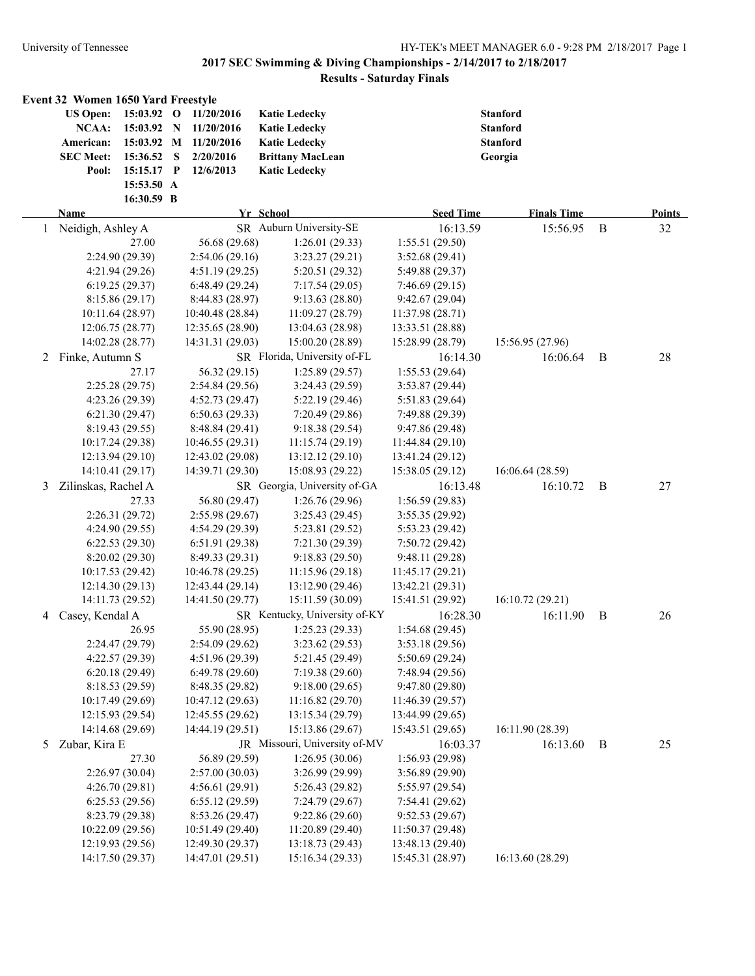|   | Event 32 Women 1650 Yard Freestyle<br><b>US Open:</b><br>NCAA:<br>American:<br><b>SEC Meet:</b><br>Pool: | 15:03.92 O<br>15:03.92 N<br>15:03.92 M<br>15:36.52 S<br>15:15.17 P<br>15:53.50 A<br>16:30.59 B | 11/20/2016<br>11/20/2016<br>11/20/2016<br>2/20/2016<br>12/6/2013 | <b>Katie Ledecky</b><br><b>Katie Ledecky</b><br><b>Katie Ledecky</b><br><b>Brittany MacLean</b><br><b>Katic Ledecky</b> |                  | <b>Stanford</b><br><b>Stanford</b><br><b>Stanford</b><br>Georgia |             |               |
|---|----------------------------------------------------------------------------------------------------------|------------------------------------------------------------------------------------------------|------------------------------------------------------------------|-------------------------------------------------------------------------------------------------------------------------|------------------|------------------------------------------------------------------|-------------|---------------|
|   | Name                                                                                                     |                                                                                                |                                                                  | Yr School                                                                                                               | <b>Seed Time</b> | <b>Finals Time</b>                                               |             | <b>Points</b> |
| 1 | Neidigh, Ashley A                                                                                        |                                                                                                |                                                                  | SR Auburn University-SE                                                                                                 | 16:13.59         | 15:56.95                                                         | $\mathbf B$ | 32            |
|   | 27.00                                                                                                    |                                                                                                | 56.68 (29.68)                                                    | 1:26.01(29.33)                                                                                                          | 1:55.51(29.50)   |                                                                  |             |               |
|   | 2:24.90 (29.39)                                                                                          |                                                                                                | 2:54.06(29.16)                                                   | 3:23.27(29.21)                                                                                                          | 3:52.68(29.41)   |                                                                  |             |               |
|   | 4:21.94 (29.26)                                                                                          |                                                                                                | 4:51.19(29.25)                                                   | 5:20.51(29.32)                                                                                                          | 5:49.88 (29.37)  |                                                                  |             |               |
|   | 6:19.25(29.37)                                                                                           |                                                                                                | 6:48.49(29.24)                                                   | 7:17.54(29.05)                                                                                                          | 7:46.69(29.15)   |                                                                  |             |               |
|   | 8:15.86(29.17)                                                                                           |                                                                                                | 8:44.83 (28.97)                                                  | 9:13.63(28.80)                                                                                                          | 9:42.67(29.04)   |                                                                  |             |               |
|   | 10:11.64 (28.97)                                                                                         |                                                                                                | 10:40.48 (28.84)                                                 | 11:09.27 (28.79)                                                                                                        | 11:37.98(28.71)  |                                                                  |             |               |
|   | 12:06.75 (28.77)                                                                                         |                                                                                                | 12:35.65 (28.90)                                                 | 13:04.63 (28.98)                                                                                                        | 13:33.51 (28.88) |                                                                  |             |               |
|   | 14:02.28 (28.77)                                                                                         |                                                                                                | 14:31.31 (29.03)                                                 | 15:00.20 (28.89)                                                                                                        | 15:28.99 (28.79) | 15:56.95 (27.96)                                                 |             |               |
|   | 2 Finke, Autumn S                                                                                        |                                                                                                |                                                                  | SR Florida, University of-FL                                                                                            | 16:14.30         | 16:06.64                                                         | B           | 28            |
|   | 27.17                                                                                                    |                                                                                                | 56.32 (29.15)                                                    | 1:25.89(29.57)                                                                                                          | 1:55.53(29.64)   |                                                                  |             |               |
|   | 2:25.28(29.75)                                                                                           |                                                                                                | 2:54.84(29.56)                                                   | 3:24.43 (29.59)                                                                                                         | 3:53.87(29.44)   |                                                                  |             |               |
|   | 4:23.26(29.39)                                                                                           |                                                                                                | 4:52.73(29.47)                                                   | 5:22.19(29.46)                                                                                                          | 5:51.83 (29.64)  |                                                                  |             |               |
|   | 6:21.30(29.47)                                                                                           |                                                                                                | 6:50.63(29.33)                                                   | 7:20.49 (29.86)                                                                                                         | 7:49.88 (29.39)  |                                                                  |             |               |
|   | 8:19.43(29.55)                                                                                           |                                                                                                | 8:48.84 (29.41)                                                  | 9:18.38 (29.54)                                                                                                         | 9:47.86 (29.48)  |                                                                  |             |               |
|   | 10:17.24 (29.38)                                                                                         |                                                                                                | 10:46.55 (29.31)                                                 | 11:15.74(29.19)                                                                                                         | 11:44.84(29.10)  |                                                                  |             |               |
|   | 12:13.94 (29.10)                                                                                         |                                                                                                | 12:43.02 (29.08)                                                 | 13:12.12 (29.10)                                                                                                        | 13:41.24 (29.12) |                                                                  |             |               |
|   | 14:10.41 (29.17)                                                                                         |                                                                                                | 14:39.71 (29.30)                                                 | 15:08.93 (29.22)                                                                                                        | 15:38.05 (29.12) | 16:06.64 (28.59)                                                 |             |               |
| 3 | Zilinskas, Rachel A                                                                                      |                                                                                                |                                                                  | SR Georgia, University of-GA                                                                                            | 16:13.48         | 16:10.72                                                         | B           | 27            |
|   | 27.33                                                                                                    |                                                                                                | 56.80 (29.47)                                                    | 1:26.76(29.96)                                                                                                          | 1:56.59(29.83)   |                                                                  |             |               |
|   | 2:26.31 (29.72)                                                                                          |                                                                                                | 2:55.98(29.67)                                                   | 3:25.43(29.45)                                                                                                          | 3:55.35 (29.92)  |                                                                  |             |               |
|   | 4:24.90 (29.55)                                                                                          |                                                                                                | 4:54.29 (29.39)                                                  | 5:23.81 (29.52)                                                                                                         | 5:53.23 (29.42)  |                                                                  |             |               |
|   | 6:22.53(29.30)                                                                                           |                                                                                                | 6:51.91(29.38)                                                   | 7:21.30(29.39)                                                                                                          | 7:50.72(29.42)   |                                                                  |             |               |
|   | 8:20.02(29.30)                                                                                           |                                                                                                | 8:49.33(29.31)                                                   | 9:18.83(29.50)                                                                                                          | 9:48.11 (29.28)  |                                                                  |             |               |
|   | 10:17.53 (29.42)                                                                                         |                                                                                                | 10:46.78 (29.25)                                                 | 11:15.96(29.18)                                                                                                         | 11:45.17(29.21)  |                                                                  |             |               |
|   | 12:14.30 (29.13)                                                                                         |                                                                                                | 12:43.44 (29.14)                                                 | 13:12.90 (29.46)                                                                                                        | 13:42.21 (29.31) |                                                                  |             |               |
|   | 14:11.73 (29.52)                                                                                         |                                                                                                | 14:41.50 (29.77)                                                 | 15:11.59 (30.09)                                                                                                        | 15:41.51 (29.92) | 16:10.72 (29.21)                                                 |             |               |
| 4 | Casey, Kendal A                                                                                          |                                                                                                |                                                                  | SR Kentucky, University of-KY                                                                                           | 16:28.30         | 16:11.90                                                         | B           | 26            |
|   | 26.95                                                                                                    |                                                                                                | 55.90 (28.95)                                                    | 1:25.23(29.33)                                                                                                          | 1:54.68(29.45)   |                                                                  |             |               |
|   | 2:24.47(29.79)                                                                                           |                                                                                                | 2:54.09(29.62)                                                   | 3:23.62(29.53)                                                                                                          | 3:53.18 (29.56)  |                                                                  |             |               |
|   | 4:22.57 (29.39)                                                                                          |                                                                                                | 4:51.96 (29.39)                                                  | 5:21.45 (29.49)                                                                                                         | 5:50.69 (29.24)  |                                                                  |             |               |
|   | 6:20.18(29.49)                                                                                           |                                                                                                | 6:49.78(29.60)                                                   | 7:19.38(29.60)                                                                                                          | 7:48.94 (29.56)  |                                                                  |             |               |
|   | 8:18.53 (29.59)                                                                                          |                                                                                                | 8:48.35 (29.82)                                                  | 9:18.00(29.65)                                                                                                          | 9:47.80 (29.80)  |                                                                  |             |               |
|   | 10:17.49 (29.69)                                                                                         |                                                                                                | 10:47.12 (29.63)                                                 | 11:16.82(29.70)                                                                                                         | 11:46.39(29.57)  |                                                                  |             |               |
|   | 12:15.93 (29.54)                                                                                         |                                                                                                | 12:45.55 (29.62)                                                 | 13:15.34 (29.79)                                                                                                        | 13:44.99 (29.65) |                                                                  |             |               |
|   | 14:14.68 (29.69)                                                                                         |                                                                                                | 14:44.19 (29.51)                                                 | 15:13.86 (29.67)                                                                                                        | 15:43.51 (29.65) | 16:11.90 (28.39)                                                 |             |               |
| 5 | Zubar, Kira E                                                                                            |                                                                                                |                                                                  | JR Missouri, University of-MV                                                                                           | 16:03.37         | 16:13.60                                                         | B           | 25            |
|   | 27.30                                                                                                    |                                                                                                | 56.89 (29.59)                                                    | 1:26.95(30.06)                                                                                                          | 1:56.93 (29.98)  |                                                                  |             |               |
|   | 2:26.97(30.04)                                                                                           |                                                                                                | 2:57.00(30.03)                                                   | 3:26.99(29.99)                                                                                                          | 3:56.89 (29.90)  |                                                                  |             |               |
|   | 4:26.70(29.81)                                                                                           |                                                                                                | 4:56.61(29.91)                                                   | 5:26.43(29.82)                                                                                                          | 5:55.97 (29.54)  |                                                                  |             |               |
|   | 6:25.53(29.56)                                                                                           |                                                                                                | 6:55.12(29.59)                                                   | 7:24.79 (29.67)                                                                                                         | 7:54.41(29.62)   |                                                                  |             |               |
|   | 8:23.79 (29.38)                                                                                          |                                                                                                | 8:53.26(29.47)                                                   | 9:22.86(29.60)                                                                                                          | 9:52.53(29.67)   |                                                                  |             |               |
|   | 10:22.09 (29.56)                                                                                         |                                                                                                | 10:51.49 (29.40)                                                 | 11:20.89(29.40)                                                                                                         | 11:50.37 (29.48) |                                                                  |             |               |
|   | 12:19.93 (29.56)                                                                                         |                                                                                                | 12:49.30 (29.37)                                                 | 13:18.73 (29.43)                                                                                                        | 13:48.13 (29.40) |                                                                  |             |               |
|   | 14:17.50 (29.37)                                                                                         |                                                                                                | 14:47.01 (29.51)                                                 | 15:16.34 (29.33)                                                                                                        | 15:45.31 (28.97) | 16:13.60 (28.29)                                                 |             |               |
|   |                                                                                                          |                                                                                                |                                                                  |                                                                                                                         |                  |                                                                  |             |               |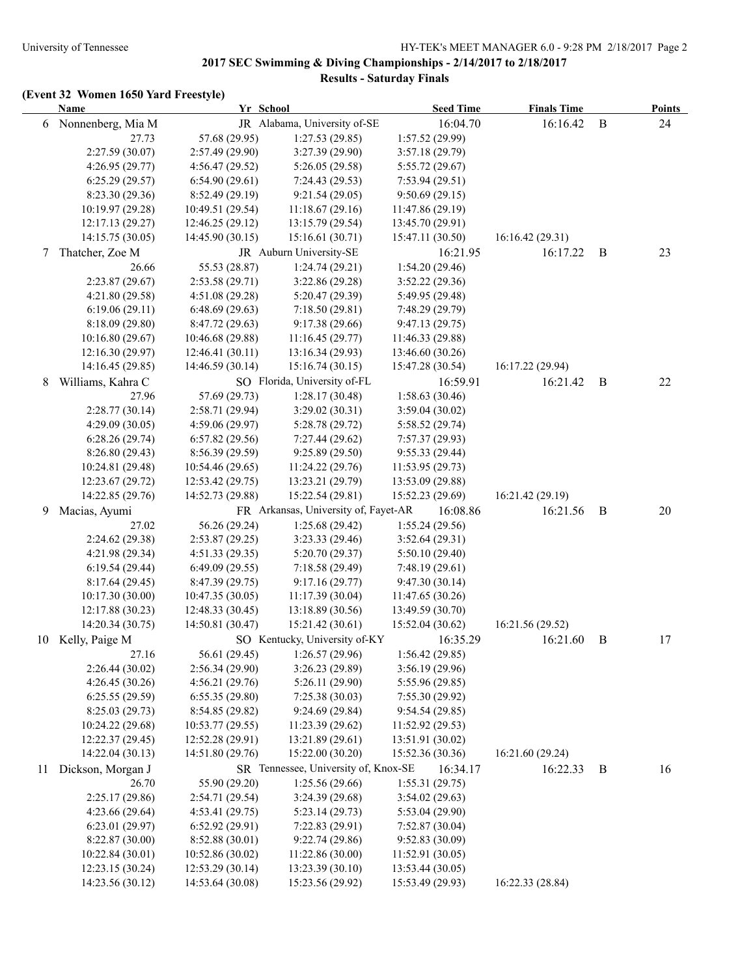|    | <b>Name</b>       | Yr School        |                                      | <b>Seed Time</b> | <b>Finals Time</b> |              | <b>Points</b> |
|----|-------------------|------------------|--------------------------------------|------------------|--------------------|--------------|---------------|
| 6  | Nonnenberg, Mia M |                  | JR Alabama, University of-SE         | 16:04.70         | 16:16.42           | $\mathbf{B}$ | 24            |
|    | 27.73             | 57.68 (29.95)    | 1:27.53(29.85)                       | 1:57.52 (29.99)  |                    |              |               |
|    | 2:27.59 (30.07)   | 2:57.49 (29.90)  | 3:27.39 (29.90)                      | 3:57.18 (29.79)  |                    |              |               |
|    | 4:26.95 (29.77)   | 4:56.47 (29.52)  | 5:26.05(29.58)                       | 5:55.72 (29.67)  |                    |              |               |
|    | 6:25.29(29.57)    | 6:54.90(29.61)   | 7:24.43(29.53)                       | 7:53.94(29.51)   |                    |              |               |
|    | 8:23.30(29.36)    | 8:52.49(29.19)   | 9:21.54(29.05)                       | 9:50.69(29.15)   |                    |              |               |
|    | 10:19.97 (29.28)  | 10:49.51 (29.54) | 11:18.67(29.16)                      | 11:47.86 (29.19) |                    |              |               |
|    | 12:17.13(29.27)   | 12:46.25 (29.12) | 13:15.79 (29.54)                     | 13:45.70 (29.91) |                    |              |               |
|    | 14:15.75 (30.05)  | 14:45.90 (30.15) | 15:16.61(30.71)                      | 15:47.11 (30.50) | 16:16.42 (29.31)   |              |               |
| 7  | Thatcher, Zoe M   |                  | JR Auburn University-SE              | 16:21.95         | 16:17.22           | B            | 23            |
|    | 26.66             | 55.53 (28.87)    | 1:24.74(29.21)                       | 1:54.20(29.46)   |                    |              |               |
|    | 2:23.87(29.67)    | 2:53.58(29.71)   | 3:22.86 (29.28)                      | 3:52.22 (29.36)  |                    |              |               |
|    | 4:21.80(29.58)    | 4:51.08 (29.28)  | 5:20.47 (29.39)                      | 5:49.95 (29.48)  |                    |              |               |
|    | 6:19.06(29.11)    | 6:48.69(29.63)   | 7:18.50(29.81)                       | 7:48.29 (29.79)  |                    |              |               |
|    | 8:18.09(29.80)    | 8:47.72(29.63)   | 9:17.38(29.66)                       | 9:47.13(29.75)   |                    |              |               |
|    | 10:16.80 (29.67)  | 10:46.68 (29.88) | 11:16.45(29.77)                      | 11:46.33 (29.88) |                    |              |               |
|    | 12:16.30 (29.97)  | 12:46.41(30.11)  | 13:16.34 (29.93)                     | 13:46.60 (30.26) |                    |              |               |
|    | 14:16.45 (29.85)  | 14:46.59 (30.14) | 15:16.74(30.15)                      | 15:47.28 (30.54) | 16:17.22 (29.94)   |              |               |
| 8  | Williams, Kahra C |                  | SO Florida, University of-FL         | 16:59.91         | 16:21.42           | B            | 22            |
|    | 27.96             | 57.69 (29.73)    | 1:28.17(30.48)                       | 1:58.63(30.46)   |                    |              |               |
|    | 2:28.77(30.14)    | 2:58.71 (29.94)  | 3:29.02(30.31)                       | 3:59.04(30.02)   |                    |              |               |
|    | 4:29.09 (30.05)   | 4:59.06 (29.97)  | 5:28.78 (29.72)                      | 5:58.52 (29.74)  |                    |              |               |
|    | 6:28.26(29.74)    | 6:57.82(29.56)   | 7:27.44(29.62)                       | 7:57.37 (29.93)  |                    |              |               |
|    | 8:26.80(29.43)    | 8:56.39 (29.59)  | 9:25.89(29.50)                       | 9:55.33(29.44)   |                    |              |               |
|    | 10:24.81 (29.48)  | 10:54.46 (29.65) | 11:24.22(29.76)                      | 11:53.95(29.73)  |                    |              |               |
|    | 12:23.67 (29.72)  | 12:53.42 (29.75) | 13:23.21 (29.79)                     | 13:53.09 (29.88) |                    |              |               |
|    | 14:22.85 (29.76)  | 14:52.73 (29.88) | 15:22.54 (29.81)                     | 15:52.23 (29.69) | 16:21.42 (29.19)   |              |               |
| 9  | Macias, Ayumi     |                  | FR Arkansas, University of, Fayet-AR | 16:08.86         | 16:21.56           | B            | 20            |
|    | 27.02             | 56.26 (29.24)    | 1:25.68(29.42)                       | 1:55.24(29.56)   |                    |              |               |
|    | 2:24.62 (29.38)   | 2:53.87(29.25)   | 3:23.33(29.46)                       | 3:52.64(29.31)   |                    |              |               |
|    | 4:21.98 (29.34)   | 4:51.33(29.35)   | 5:20.70 (29.37)                      | 5:50.10(29.40)   |                    |              |               |
|    | 6:19.54(29.44)    | 6:49.09(29.55)   | 7:18.58 (29.49)                      | 7:48.19(29.61)   |                    |              |               |
|    | 8:17.64(29.45)    | 8:47.39 (29.75)  | 9:17.16(29.77)                       | 9:47.30(30.14)   |                    |              |               |
|    | 10:17.30 (30.00)  | 10:47.35 (30.05) | 11:17.39(30.04)                      | 11:47.65(30.26)  |                    |              |               |
|    | 12:17.88 (30.23)  | 12:48.33 (30.45) | 13:18.89 (30.56)                     | 13:49.59 (30.70) |                    |              |               |
|    | 14:20.34 (30.75)  | 14:50.81 (30.47) | 15:21.42 (30.61)                     | 15:52.04 (30.62) | 16:21.56 (29.52)   |              |               |
| 10 | Kelly, Paige M    |                  | SO Kentucky, University of-KY        | 16:35.29         | 16:21.60           | B            | 17            |
|    | 27.16             | 56.61 (29.45)    | 1:26.57(29.96)                       | 1:56.42 (29.85)  |                    |              |               |
|    | 2:26.44(30.02)    | 2:56.34(29.90)   | 3:26.23(29.89)                       | 3:56.19(29.96)   |                    |              |               |
|    | 4:26.45(30.26)    | 4:56.21(29.76)   | 5:26.11(29.90)                       | 5:55.96 (29.85)  |                    |              |               |
|    | 6:25.55(29.59)    | 6:55.35(29.80)   | 7:25.38(30.03)                       | 7:55.30(29.92)   |                    |              |               |
|    | 8:25.03 (29.73)   | 8:54.85 (29.82)  | 9:24.69 (29.84)                      | 9:54.54(29.85)   |                    |              |               |
|    | 10:24.22 (29.68)  | 10:53.77(29.55)  | 11:23.39(29.62)                      | 11:52.92 (29.53) |                    |              |               |
|    | 12:22.37 (29.45)  | 12:52.28(29.91)  | 13:21.89 (29.61)                     | 13:51.91 (30.02) |                    |              |               |
|    | 14:22.04 (30.13)  | 14:51.80 (29.76) | 15:22.00 (30.20)                     | 15:52.36 (30.36) | 16:21.60 (29.24)   |              |               |
| 11 | Dickson, Morgan J |                  | SR Tennessee, University of, Knox-SE | 16:34.17         | 16:22.33           | B            | 16            |
|    | 26.70             | 55.90 (29.20)    | 1:25.56 (29.66)                      | 1:55.31(29.75)   |                    |              |               |
|    | 2:25.17 (29.86)   | 2:54.71 (29.54)  | 3:24.39 (29.68)                      | 3:54.02(29.63)   |                    |              |               |
|    | 4:23.66(29.64)    | 4:53.41 (29.75)  | 5:23.14(29.73)                       | 5:53.04 (29.90)  |                    |              |               |
|    | 6:23.01(29.97)    | 6:52.92(29.91)   | 7:22.83 (29.91)                      | 7:52.87 (30.04)  |                    |              |               |
|    | 8:22.87 (30.00)   | 8:52.88 (30.01)  | 9:22.74(29.86)                       | 9:52.83(30.09)   |                    |              |               |
|    | 10:22.84 (30.01)  | 10:52.86 (30.02) | 11:22.86 (30.00)                     | 11:52.91(30.05)  |                    |              |               |
|    | 12:23.15 (30.24)  | 12:53.29 (30.14) | 13:23.39 (30.10)                     | 13:53.44 (30.05) |                    |              |               |
|    | 14:23.56 (30.12)  | 14:53.64 (30.08) | 15:23.56 (29.92)                     | 15:53.49 (29.93) | 16:22.33 (28.84)   |              |               |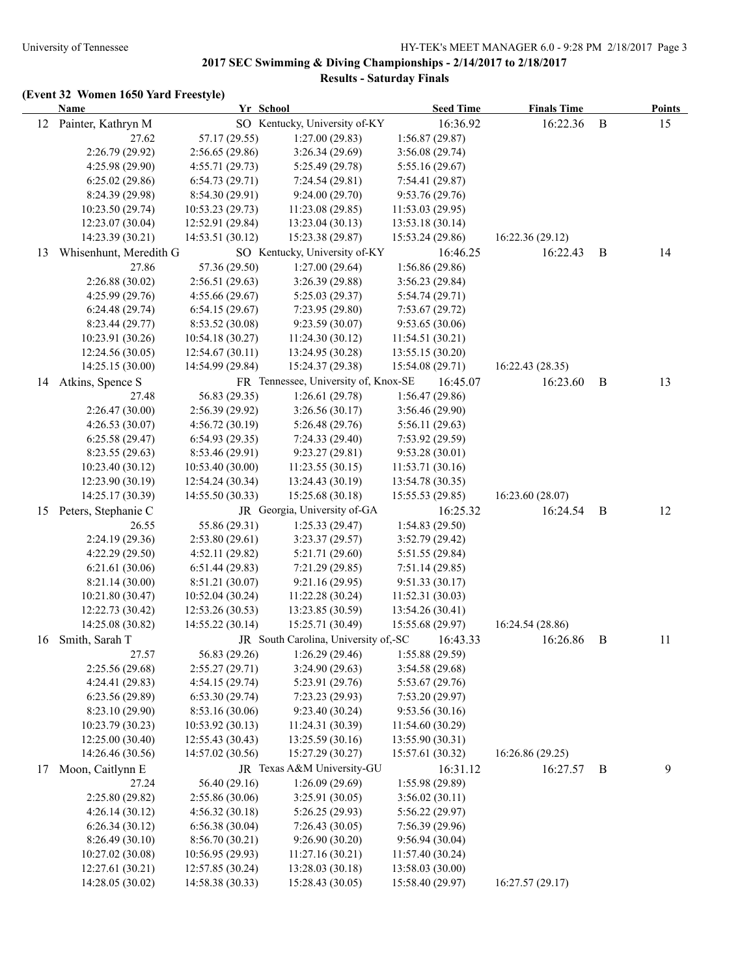|    | Yr School<br><b>Name</b> |                  | <b>Seed Time</b>                     | <b>Finals Time</b> |                  | <b>Points</b> |    |
|----|--------------------------|------------------|--------------------------------------|--------------------|------------------|---------------|----|
| 12 | Painter, Kathryn M       |                  | SO Kentucky, University of-KY        | 16:36.92           | 16:22.36         | $\bf{B}$      | 15 |
|    | 27.62                    | 57.17 (29.55)    | 1:27.00(29.83)                       | 1:56.87(29.87)     |                  |               |    |
|    | 2:26.79 (29.92)          | 2:56.65(29.86)   | 3:26.34(29.69)                       | 3:56.08(29.74)     |                  |               |    |
|    | 4:25.98 (29.90)          | 4:55.71(29.73)   | 5:25.49 (29.78)                      | 5:55.16(29.67)     |                  |               |    |
|    | 6:25.02(29.86)           | 6:54.73(29.71)   | 7:24.54 (29.81)                      | 7:54.41(29.87)     |                  |               |    |
|    | 8:24.39 (29.98)          | 8:54.30(29.91)   | 9:24.00(29.70)                       | 9:53.76(29.76)     |                  |               |    |
|    | 10:23.50 (29.74)         | 10:53.23(29.73)  | 11:23.08 (29.85)                     | 11:53.03(29.95)    |                  |               |    |
|    | 12:23.07 (30.04)         | 12:52.91 (29.84) | 13:23.04 (30.13)                     | 13:53.18 (30.14)   |                  |               |    |
|    | 14:23.39 (30.21)         | 14:53.51 (30.12) | 15:23.38 (29.87)                     | 15:53.24 (29.86)   | 16:22.36(29.12)  |               |    |
| 13 | Whisenhunt, Meredith G   |                  | SO Kentucky, University of-KY        | 16:46.25           | 16:22.43         | B             | 14 |
|    | 27.86                    | 57.36 (29.50)    | 1:27.00(29.64)                       | 1:56.86(29.86)     |                  |               |    |
|    | 2:26.88(30.02)           | 2:56.51(29.63)   | 3:26.39 (29.88)                      | 3:56.23(29.84)     |                  |               |    |
|    | 4:25.99(29.76)           | 4:55.66(29.67)   | 5:25.03 (29.37)                      | 5:54.74(29.71)     |                  |               |    |
|    | 6:24.48(29.74)           | 6:54.15(29.67)   | 7:23.95 (29.80)                      | 7:53.67(29.72)     |                  |               |    |
|    | 8:23.44(29.77)           | 8:53.52(30.08)   | 9:23.59(30.07)                       | 9:53.65(30.06)     |                  |               |    |
|    | 10:23.91 (30.26)         | 10:54.18 (30.27) | 11:24.30(30.12)                      | 11:54.51(30.21)    |                  |               |    |
|    | 12:24.56 (30.05)         | 12:54.67 (30.11) | 13:24.95 (30.28)                     | 13:55.15 (30.20)   |                  |               |    |
|    | 14:25.15 (30.00)         | 14:54.99 (29.84) | 15:24.37 (29.38)                     | 15:54.08 (29.71)   | 16:22.43 (28.35) |               |    |
|    | 14 Atkins, Spence S      |                  | FR Tennessee, University of, Knox-SE | 16:45.07           | 16:23.60         | $\bf{B}$      | 13 |
|    | 27.48                    | 56.83 (29.35)    | 1:26.61(29.78)                       | 1:56.47(29.86)     |                  |               |    |
|    | 2:26.47(30.00)           | 2:56.39(29.92)   | 3:26.56(30.17)                       | 3:56.46(29.90)     |                  |               |    |
|    | 4:26.53 (30.07)          | 4:56.72(30.19)   | 5:26.48(29.76)                       | 5:56.11(29.63)     |                  |               |    |
|    | 6:25.58(29.47)           | 6:54.93(29.35)   | 7:24.33(29.40)                       | 7:53.92(29.59)     |                  |               |    |
|    | 8:23.55(29.63)           | 8:53.46 (29.91)  | 9:23.27 (29.81)                      | 9:53.28(30.01)     |                  |               |    |
|    | 10:23.40(30.12)          | 10:53.40(30.00)  | 11:23.55 (30.15)                     | 11:53.71(30.16)    |                  |               |    |
|    | 12:23.90 (30.19)         | 12:54.24 (30.34) | 13:24.43 (30.19)                     | 13:54.78 (30.35)   |                  |               |    |
|    | 14:25.17 (30.39)         | 14:55.50 (30.33) | 15:25.68 (30.18)                     | 15:55.53 (29.85)   | 16:23.60 (28.07) |               |    |
| 15 | Peters, Stephanie C      |                  | JR Georgia, University of-GA         | 16:25.32           | 16:24.54         | B             | 12 |
|    | 26.55                    | 55.86 (29.31)    | 1:25.33(29.47)                       | 1:54.83(29.50)     |                  |               |    |
|    | 2:24.19 (29.36)          | 2:53.80(29.61)   | 3:23.37(29.57)                       | 3:52.79(29.42)     |                  |               |    |
|    | 4:22.29(29.50)           | 4:52.11(29.82)   | 5:21.71 (29.60)                      | 5:51.55(29.84)     |                  |               |    |
|    | 6:21.61(30.06)           | 6:51.44(29.83)   | 7:21.29(29.85)                       | 7:51.14(29.85)     |                  |               |    |
|    | 8:21.14(30.00)           | 8:51.21 (30.07)  | 9:21.16 (29.95)                      | 9:51.33(30.17)     |                  |               |    |
|    | 10:21.80 (30.47)         | 10:52.04 (30.24) | 11:22.28 (30.24)                     | 11:52.31(30.03)    |                  |               |    |
|    | 12:22.73 (30.42)         | 12:53.26 (30.53) | 13:23.85 (30.59)                     | 13:54.26 (30.41)   |                  |               |    |
|    | 14:25.08 (30.82)         | 14:55.22 (30.14) | 15:25.71 (30.49)                     | 15:55.68 (29.97)   | 16:24.54 (28.86) |               |    |
| 16 | Smith, Sarah T           |                  | JR South Carolina, University of,-SC | 16:43.33           | 16:26.86         | B             | 11 |
|    | 27.57                    | 56.83 (29.26)    | 1:26.29(29.46)                       | 1:55.88(29.59)     |                  |               |    |
|    | 2:25.56 (29.68)          | 2:55.27(29.71)   | 3:24.90 (29.63)                      | 3:54.58(29.68)     |                  |               |    |
|    | 4:24.41 (29.83)          | 4:54.15(29.74)   | 5:23.91 (29.76)                      | 5:53.67 (29.76)    |                  |               |    |
|    | 6:23.56 (29.89)          | 6:53.30(29.74)   | 7:23.23(29.93)                       | 7:53.20 (29.97)    |                  |               |    |
|    | 8:23.10 (29.90)          | 8:53.16 (30.06)  | 9:23.40 (30.24)                      | 9:53.56(30.16)     |                  |               |    |
|    | 10:23.79 (30.23)         | 10:53.92 (30.13) | 11:24.31 (30.39)                     | 11:54.60(30.29)    |                  |               |    |
|    | 12:25.00 (30.40)         | 12:55.43 (30.43) | 13:25.59 (30.16)                     | 13:55.90 (30.31)   |                  |               |    |
|    | 14:26.46 (30.56)         | 14:57.02 (30.56) | 15:27.29 (30.27)                     | 15:57.61 (30.32)   | 16:26.86 (29.25) |               |    |
| 17 | Moon, Caitlynn E         |                  | JR Texas A&M University-GU           | 16:31.12           | 16:27.57         | B             | 9  |
|    | 27.24                    | 56.40 (29.16)    | 1:26.09(29.69)                       | 1:55.98 (29.89)    |                  |               |    |
|    | 2:25.80 (29.82)          | 2:55.86(30.06)   | 3:25.91 (30.05)                      | 3:56.02(30.11)     |                  |               |    |
|    | 4:26.14(30.12)           | 4:56.32(30.18)   | 5:26.25 (29.93)                      | 5:56.22(29.97)     |                  |               |    |
|    | 6:26.34(30.12)           | 6:56.38(30.04)   | 7:26.43(30.05)                       | 7:56.39(29.96)     |                  |               |    |
|    | 8:26.49(30.10)           | 8:56.70 (30.21)  | 9:26.90(30.20)                       | 9:56.94(30.04)     |                  |               |    |
|    | 10:27.02 (30.08)         | 10:56.95 (29.93) | 11:27.16 (30.21)                     | 11:57.40(30.24)    |                  |               |    |
|    | 12:27.61 (30.21)         | 12:57.85 (30.24) | 13:28.03 (30.18)                     | 13:58.03 (30.00)   |                  |               |    |
|    | 14:28.05 (30.02)         | 14:58.38 (30.33) | 15:28.43 (30.05)                     | 15:58.40 (29.97)   | 16:27.57 (29.17) |               |    |
|    |                          |                  |                                      |                    |                  |               |    |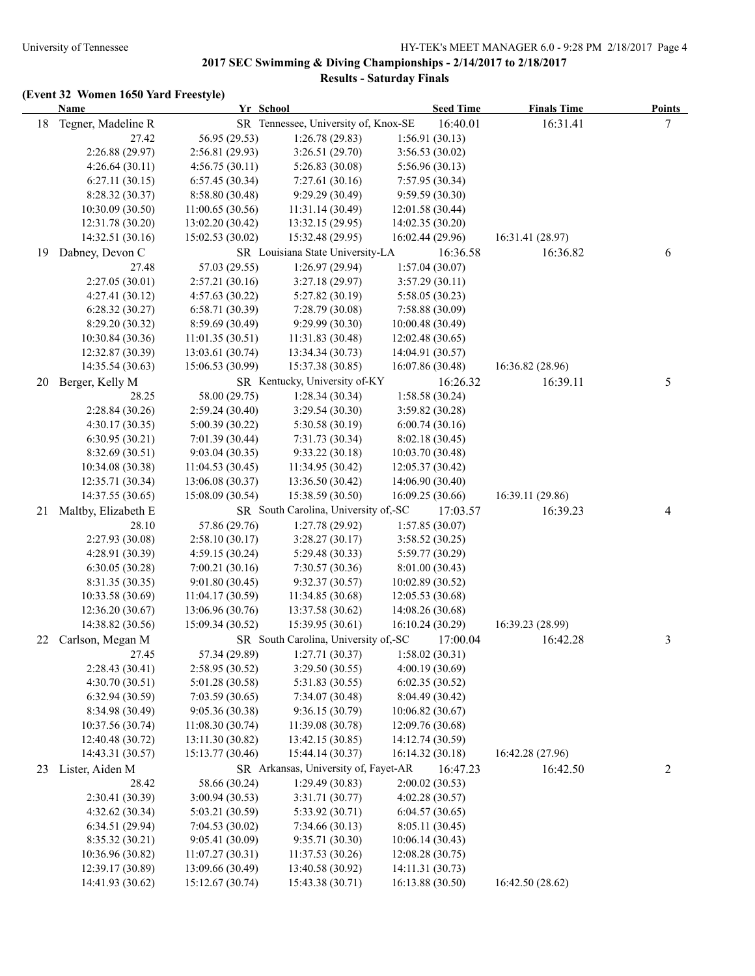|    | <b>Name</b>         | Yr School<br><b>Seed Time</b> |                                      |                  | <b>Finals Time</b> | <b>Points</b> |
|----|---------------------|-------------------------------|--------------------------------------|------------------|--------------------|---------------|
| 18 | Tegner, Madeline R  |                               | SR Tennessee, University of, Knox-SE | 16:40.01         | 16:31.41           | 7             |
|    | 27.42               | 56.95 (29.53)                 | 1:26.78(29.83)                       | 1:56.91(30.13)   |                    |               |
|    | 2:26.88 (29.97)     | 2:56.81 (29.93)               | 3:26.51(29.70)                       | 3:56.53(30.02)   |                    |               |
|    | 4:26.64(30.11)      | 4:56.75(30.11)                | 5:26.83(30.08)                       | 5:56.96(30.13)   |                    |               |
|    | 6:27.11(30.15)      | 6:57.45 (30.34)               | 7:27.61(30.16)                       | 7:57.95 (30.34)  |                    |               |
|    | 8:28.32(30.37)      | 8:58.80 (30.48)               | 9:29.29(30.49)                       | 9:59.59(30.30)   |                    |               |
|    | 10:30.09 (30.50)    | 11:00.65 (30.56)              | 11:31.14(30.49)                      | 12:01.58 (30.44) |                    |               |
|    | 12:31.78 (30.20)    | 13:02.20 (30.42)              | 13:32.15 (29.95)                     | 14:02.35 (30.20) |                    |               |
|    | 14:32.51 (30.16)    | 15:02.53(30.02)               | 15:32.48 (29.95)                     | 16:02.44 (29.96) | 16:31.41 (28.97)   |               |
| 19 | Dabney, Devon C     |                               | SR Louisiana State University-LA     | 16:36.58         | 16:36.82           | 6             |
|    | 27.48               | 57.03 (29.55)                 | 1:26.97(29.94)                       | 1:57.04(30.07)   |                    |               |
|    | 2:27.05(30.01)      | 2:57.21(30.16)                | 3:27.18(29.97)                       | 3:57.29(30.11)   |                    |               |
|    | 4:27.41(30.12)      | 4:57.63 (30.22)               | 5:27.82(30.19)                       | 5:58.05 (30.23)  |                    |               |
|    | 6:28.32(30.27)      | 6:58.71 (30.39)               | 7:28.79(30.08)                       | 7:58.88 (30.09)  |                    |               |
|    | 8:29.20 (30.32)     | 8:59.69(30.49)                | 9:29.99(30.30)                       | 10:00.48(30.49)  |                    |               |
|    | 10:30.84 (30.36)    | 11:01.35(30.51)               | 11:31.83(30.48)                      | 12:02.48(30.65)  |                    |               |
|    | 12:32.87 (30.39)    | 13:03.61 (30.74)              | 13:34.34 (30.73)                     | 14:04.91 (30.57) |                    |               |
|    | 14:35.54 (30.63)    | 15:06.53 (30.99)              | 15:37.38 (30.85)                     | 16:07.86 (30.48) | 16:36.82 (28.96)   |               |
| 20 | Berger, Kelly M     |                               | SR Kentucky, University of-KY        | 16:26.32         | 16:39.11           | 5             |
|    | 28.25               | 58.00 (29.75)                 | 1:28.34(30.34)                       | 1:58.58(30.24)   |                    |               |
|    | 2:28.84(30.26)      | 2:59.24(30.40)                | 3:29.54(30.30)                       | 3:59.82 (30.28)  |                    |               |
|    | 4:30.17(30.35)      | 5:00.39(30.22)                | 5:30.58(30.19)                       | 6:00.74(30.16)   |                    |               |
|    | 6:30.95(30.21)      | 7:01.39(30.44)                | 7:31.73 (30.34)                      | 8:02.18(30.45)   |                    |               |
|    | 8:32.69 (30.51)     | 9:03.04(30.35)                | 9:33.22(30.18)                       | 10:03.70 (30.48) |                    |               |
|    | 10:34.08 (30.38)    | 11:04.53(30.45)               | 11:34.95 (30.42)                     | 12:05.37(30.42)  |                    |               |
|    | 12:35.71 (30.34)    | 13:06.08 (30.37)              | 13:36.50 (30.42)                     | 14:06.90 (30.40) |                    |               |
|    | 14:37.55 (30.65)    | 15:08.09 (30.54)              | 15:38.59 (30.50)                     | 16:09.25(30.66)  | 16:39.11 (29.86)   |               |
| 21 | Maltby, Elizabeth E |                               | SR South Carolina, University of,-SC | 17:03.57         | 16:39.23           | 4             |
|    | 28.10               | 57.86 (29.76)                 | 1:27.78 (29.92)                      | 1:57.85(30.07)   |                    |               |
|    | 2:27.93 (30.08)     | 2:58.10(30.17)                | 3:28.27(30.17)                       | 3:58.52 (30.25)  |                    |               |
|    | 4:28.91 (30.39)     | 4:59.15 (30.24)               | 5:29.48 (30.33)                      | 5:59.77 (30.29)  |                    |               |
|    | 6:30.05(30.28)      | 7:00.21(30.16)                | 7:30.57(30.36)                       | 8:01.00 (30.43)  |                    |               |
|    | 8:31.35 (30.35)     | 9:01.80(30.45)                | 9:32.37(30.57)                       | 10:02.89(30.52)  |                    |               |
|    | 10:33.58 (30.69)    | 11:04.17(30.59)               | 11:34.85 (30.68)                     | 12:05.53 (30.68) |                    |               |
|    | 12:36.20 (30.67)    | 13:06.96 (30.76)              | 13:37.58 (30.62)                     | 14:08.26 (30.68) |                    |               |
|    | 14:38.82 (30.56)    | 15:09.34 (30.52)              | 15:39.95 (30.61)                     | 16:10.24 (30.29) | 16:39.23 (28.99)   |               |
| 22 | Carlson, Megan M    |                               | SR South Carolina, University of,-SC | 17:00.04         | 16:42.28           | 3             |
|    | 27.45               | 57.34 (29.89)                 | 1:27.71(30.37)                       | 1:58.02(30.31)   |                    |               |
|    | 2:28.43 (30.41)     | 2:58.95 (30.52)               | 3:29.50(30.55)                       | 4:00.19 (30.69)  |                    |               |
|    | 4:30.70 (30.51)     | 5:01.28 (30.58)               | 5:31.83 (30.55)                      | 6:02.35(30.52)   |                    |               |
|    | 6:32.94(30.59)      | 7:03.59(30.65)                | 7:34.07(30.48)                       | 8:04.49 (30.42)  |                    |               |
|    | 8:34.98 (30.49)     | 9:05.36 (30.38)               | 9:36.15 (30.79)                      | 10:06.82 (30.67) |                    |               |
|    | 10:37.56 (30.74)    | 11:08.30(30.74)               | 11:39.08 (30.78)                     | 12:09.76 (30.68) |                    |               |
|    | 12:40.48 (30.72)    | 13:11.30 (30.82)              | 13:42.15 (30.85)                     | 14:12.74 (30.59) |                    |               |
|    | 14:43.31 (30.57)    | 15:13.77 (30.46)              | 15:44.14 (30.37)                     | 16:14.32 (30.18) | 16:42.28 (27.96)   |               |
| 23 | Lister, Aiden M     |                               | SR Arkansas, University of, Fayet-AR | 16:47.23         | 16:42.50           | 2             |
|    | 28.42               | 58.66 (30.24)                 | 1:29.49(30.83)                       | 2:00.02(30.53)   |                    |               |
|    | 2:30.41 (30.39)     | 3:00.94 (30.53)               | 3:31.71 (30.77)                      | 4:02.28 (30.57)  |                    |               |
|    | 4:32.62 (30.34)     | 5:03.21 (30.59)               | 5:33.92 (30.71)                      | 6:04.57(30.65)   |                    |               |
|    | 6:34.51(29.94)      | 7:04.53(30.02)                | 7:34.66(30.13)                       | 8:05.11 (30.45)  |                    |               |
|    | 8:35.32 (30.21)     | 9:05.41 (30.09)               | 9:35.71 (30.30)                      | 10:06.14 (30.43) |                    |               |
|    | 10:36.96 (30.82)    | 11:07.27(30.31)               | 11:37.53 (30.26)                     | 12:08.28 (30.75) |                    |               |
|    | 12:39.17 (30.89)    | 13:09.66 (30.49)              | 13:40.58 (30.92)                     | 14:11.31 (30.73) |                    |               |
|    | 14:41.93 (30.62)    | 15:12.67 (30.74)              | 15:43.38 (30.71)                     | 16:13.88 (30.50) | 16:42.50 (28.62)   |               |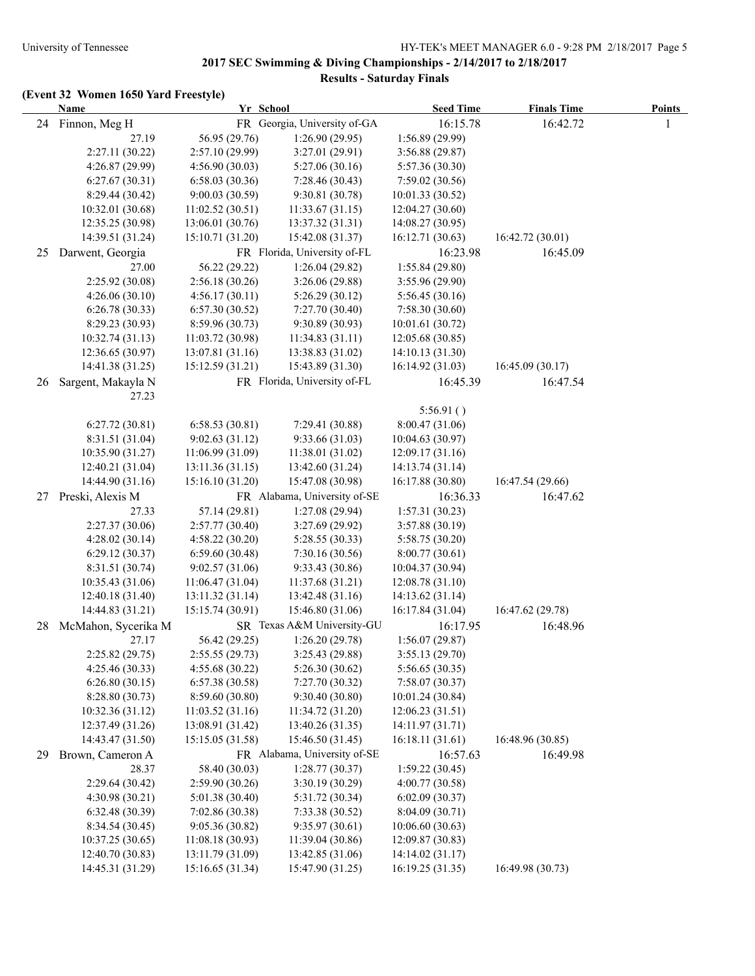|    | <b>Name</b>         |                  | Yr School                    | <b>Seed Time</b> | <b>Finals Time</b> | <b>Points</b> |
|----|---------------------|------------------|------------------------------|------------------|--------------------|---------------|
| 24 | Finnon, Meg H       |                  | FR Georgia, University of-GA | 16:15.78         | 16:42.72           |               |
|    | 27.19               | 56.95 (29.76)    | 1:26.90(29.95)               | 1:56.89 (29.99)  |                    |               |
|    | 2:27.11 (30.22)     | 2:57.10 (29.99)  | 3:27.01 (29.91)              | 3:56.88(29.87)   |                    |               |
|    | 4:26.87 (29.99)     | 4:56.90(30.03)   | 5:27.06(30.16)               | 5:57.36 (30.30)  |                    |               |
|    | 6:27.67(30.31)      | 6:58.03(30.36)   | 7:28.46 (30.43)              | 7:59.02(30.56)   |                    |               |
|    | 8:29.44 (30.42)     | 9:00.03(30.59)   | 9:30.81(30.78)               | 10:01.33(30.52)  |                    |               |
|    | 10:32.01 (30.68)    | 11:02.52(30.51)  | 11:33.67(31.15)              | 12:04.27(30.60)  |                    |               |
|    | 12:35.25 (30.98)    | 13:06.01 (30.76) | 13:37.32 (31.31)             | 14:08.27 (30.95) |                    |               |
|    | 14:39.51 (31.24)    | 15:10.71 (31.20) | 15:42.08 (31.37)             | 16:12.71(30.63)  | 16:42.72 (30.01)   |               |
| 25 | Darwent, Georgia    |                  | FR Florida, University of-FL | 16:23.98         | 16:45.09           |               |
|    | 27.00               | 56.22 (29.22)    | 1:26.04(29.82)               | 1:55.84(29.80)   |                    |               |
|    | 2:25.92 (30.08)     | 2:56.18(30.26)   | 3:26.06(29.88)               | 3:55.96(29.90)   |                    |               |
|    | 4:26.06(30.10)      | 4:56.17(30.11)   | 5:26.29(30.12)               | 5:56.45(30.16)   |                    |               |
|    | 6:26.78(30.33)      | 6:57.30(30.52)   | 7:27.70 (30.40)              | 7:58.30(30.60)   |                    |               |
|    | 8:29.23 (30.93)     | 8:59.96 (30.73)  | 9:30.89(30.93)               | 10:01.61(30.72)  |                    |               |
|    | 10:32.74(31.13)     | 11:03.72(30.98)  | 11:34.83 (31.11)             | 12:05.68 (30.85) |                    |               |
|    | 12:36.65 (30.97)    | 13:07.81 (31.16) | 13:38.83 (31.02)             | 14:10.13 (31.30) |                    |               |
|    | 14:41.38 (31.25)    | 15:12.59 (31.21) | 15:43.89 (31.30)             | 16:14.92(31.03)  | 16:45.09 (30.17)   |               |
|    | Sargent, Makayla N  |                  | FR Florida, University of-FL | 16:45.39         |                    |               |
| 26 |                     |                  |                              |                  | 16:47.54           |               |
|    | 27.23               |                  |                              | 5:56.91()        |                    |               |
|    |                     |                  | 7:29.41 (30.88)              |                  |                    |               |
|    | 6:27.72(30.81)      | 6:58.53(30.81)   |                              | 8:00.47(31.06)   |                    |               |
|    | 8:31.51 (31.04)     | 9:02.63(31.12)   | 9:33.66(31.03)               | 10:04.63(30.97)  |                    |               |
|    | 10:35.90 (31.27)    | 11:06.99 (31.09) | 11:38.01 (31.02)             | 12:09.17 (31.16) |                    |               |
|    | 12:40.21 (31.04)    | 13:11.36(31.15)  | 13:42.60 (31.24)             | 14:13.74 (31.14) |                    |               |
|    | 14:44.90 (31.16)    | 15:16.10 (31.20) | 15:47.08 (30.98)             | 16:17.88 (30.80) | 16:47.54 (29.66)   |               |
| 27 | Preski, Alexis M    |                  | FR Alabama, University of-SE | 16:36.33         | 16:47.62           |               |
|    | 27.33               | 57.14 (29.81)    | 1:27.08(29.94)               | 1:57.31(30.23)   |                    |               |
|    | 2:27.37(30.06)      | 2:57.77 (30.40)  | 3:27.69 (29.92)              | 3:57.88(30.19)   |                    |               |
|    | 4:28.02(30.14)      | 4:58.22 (30.20)  | 5:28.55 (30.33)              | 5:58.75(30.20)   |                    |               |
|    | 6:29.12(30.37)      | 6:59.60(30.48)   | 7:30.16(30.56)               | 8:00.77(30.61)   |                    |               |
|    | 8:31.51 (30.74)     | 9:02.57(31.06)   | 9:33.43(30.86)               | 10:04.37(30.94)  |                    |               |
|    | 10:35.43 (31.06)    | 11:06.47 (31.04) | 11:37.68 (31.21)             | 12:08.78(31.10)  |                    |               |
|    | 12:40.18 (31.40)    | 13:11.32(31.14)  | 13:42.48 (31.16)             | 14:13.62 (31.14) |                    |               |
|    | 14:44.83 (31.21)    | 15:15.74 (30.91) | 15:46.80 (31.06)             | 16:17.84 (31.04) | 16:47.62 (29.78)   |               |
| 28 | McMahon, Sycerika M |                  | SR Texas A&M University-GU   | 16:17.95         | 16:48.96           |               |
|    | 27.17               | 56.42 (29.25)    | 1:26.20(29.78)               | 1:56.07(29.87)   |                    |               |
|    | 2:25.82(29.75)      | 2:55.55(29.73)   | 3:25.43(29.88)               | 3:55.13 (29.70)  |                    |               |
|    | 4:25.46(30.33)      | 4:55.68(30.22)   | 5:26.30(30.62)               | 5:56.65(30.35)   |                    |               |
|    | 6:26.80(30.15)      | 6:57.38 (30.58)  | 7:27.70 (30.32)              | 7:58.07 (30.37)  |                    |               |
|    | 8:28.80 (30.73)     | 8:59.60 (30.80)  | 9:30.40 (30.80)              | 10:01.24(30.84)  |                    |               |
|    | 10:32.36 (31.12)    | 11:03.52(31.16)  | 11:34.72 (31.20)             | 12:06.23 (31.51) |                    |               |
|    | 12:37.49 (31.26)    | 13:08.91 (31.42) | 13:40.26 (31.35)             | 14:11.97 (31.71) |                    |               |
|    | 14:43.47 (31.50)    | 15:15.05 (31.58) | 15:46.50 (31.45)             | 16:18.11 (31.61) | 16:48.96 (30.85)   |               |
| 29 | Brown, Cameron A    |                  | FR Alabama, University of-SE | 16:57.63         | 16:49.98           |               |
|    | 28.37               | 58.40 (30.03)    | 1:28.77(30.37)               | 1:59.22(30.45)   |                    |               |
|    | 2:29.64 (30.42)     | 2:59.90 (30.26)  | 3:30.19 (30.29)              | 4:00.77(30.58)   |                    |               |
|    | 4:30.98 (30.21)     | 5:01.38 (30.40)  | 5:31.72 (30.34)              | 6:02.09(30.37)   |                    |               |
|    | 6:32.48 (30.39)     | 7:02.86 (30.38)  | 7:33.38(30.52)               | 8:04.09(30.71)   |                    |               |
|    | 8:34.54 (30.45)     | 9:05.36 (30.82)  | 9:35.97(30.61)               | 10:06.60(30.63)  |                    |               |
|    | 10:37.25 (30.65)    | 11:08.18 (30.93) | 11:39.04 (30.86)             | 12:09.87 (30.83) |                    |               |
|    | 12:40.70 (30.83)    | 13:11.79 (31.09) | 13:42.85 (31.06)             | 14:14.02 (31.17) |                    |               |
|    | 14:45.31 (31.29)    | 15:16.65 (31.34) | 15:47.90 (31.25)             | 16:19.25 (31.35) | 16:49.98 (30.73)   |               |
|    |                     |                  |                              |                  |                    |               |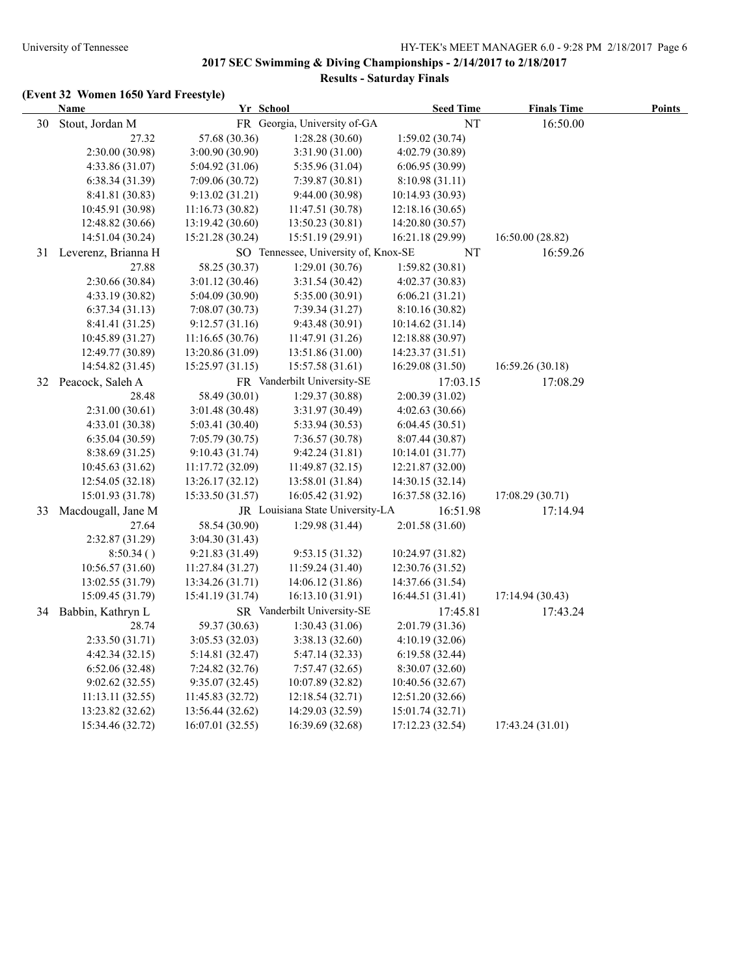| FR Georgia, University of-GA<br>30<br>Stout, Jordan M<br><b>NT</b><br>16:50.00<br>57.68 (30.36)<br>27.32<br>1:28.28(30.60)<br>1:59.02(30.74)<br>2:30.00 (30.98)<br>3:00.90 (30.90)<br>3:31.90 (31.00)<br>4:02.79 (30.89)<br>5:35.96 (31.04)<br>4:33.86 (31.07)<br>5:04.92 (31.06)<br>6:06.95(30.99)<br>6:38.34(31.39)<br>7:09.06(30.72)<br>7:39.87 (30.81)<br>8:10.98(31.11)<br>8:41.81 (30.83)<br>9:13.02(31.21)<br>9:44.00(30.98)<br>10:14.93 (30.93)<br>10:45.91 (30.98)<br>11:16.73(30.82)<br>11:47.51 (30.78)<br>12:18.16(30.65)<br>12:48.82 (30.66)<br>13:19.42 (30.60)<br>13:50.23 (30.81)<br>14:20.80 (30.57)<br>14:51.04 (30.24)<br>15:21.28 (30.24)<br>16:21.18 (29.99)<br>16:50.00 (28.82)<br>15:51.19 (29.91)<br>SO Tennessee, University of, Knox-SE<br><b>NT</b><br>16:59.26<br>31 Leverenz, Brianna H<br>27.88<br>58.25 (30.37)<br>1:29.01(30.76)<br>1:59.82(30.81)<br>2:30.66 (30.84)<br>3:01.12(30.46)<br>3:31.54(30.42)<br>4:02.37(30.83)<br>4:33.19 (30.82)<br>5:04.09 (30.90)<br>5:35.00 (30.91)<br>6:06.21(31.21)<br>6:37.34(31.13)<br>7:08.07(30.73)<br>7:39.34(31.27)<br>8:10.16(30.82)<br>8:41.41 (31.25)<br>9:12.57(31.16)<br>9:43.48(30.91)<br>10:14.62(31.14)<br>10:45.89 (31.27)<br>11:16.65(30.76)<br>11:47.91 (31.26)<br>12:18.88 (30.97)<br>12:49.77 (30.89)<br>13:20.86 (31.09)<br>13:51.86 (31.00)<br>14:23.37 (31.51)<br>14:54.82 (31.45)<br>16:29.08 (31.50)<br>16:59.26 (30.18)<br>15:25.97 (31.15)<br>15:57.58 (31.61)<br>32 Peacock, Saleh A<br>FR Vanderbilt University-SE<br>17:03.15<br>17:08.29<br>58.49 (30.01)<br>1:29.37(30.88)<br>2:00.39(31.02)<br>28.48<br>2:31.00(30.61)<br>3:01.48(30.48)<br>3:31.97(30.49)<br>4:02.63(30.66)<br>4:33.01 (30.38)<br>5:33.94(30.53)<br>5:03.41 (30.40)<br>6:04.45(30.51)<br>6:35.04(30.59)<br>7:05.79(30.75)<br>7:36.57(30.78)<br>8:07.44(30.87)<br>8:38.69 (31.25)<br>9:10.43(31.74)<br>9:42.24(31.81)<br>10:14.01 (31.77)<br>10:45.63 (31.62)<br>11:17.72 (32.09)<br>11:49.87(32.15)<br>12:21.87 (32.00)<br>12:54.05(32.18)<br>13:26.17 (32.12)<br>13:58.01 (31.84)<br>14:30.15 (32.14)<br>15:01.93 (31.78)<br>17:08.29 (30.71)<br>15:33.50 (31.57)<br>16:05.42 (31.92)<br>16:37.58 (32.16)<br>JR Louisiana State University-LA<br>Macdougall, Jane M<br>16:51.98<br>17:14.94<br>33<br>27.64<br>58.54 (30.90)<br>1:29.98 (31.44)<br>2:01.58 (31.60)<br>2:32.87 (31.29)<br>3:04.30 (31.43)<br>8:50.34()<br>9:53.15 (31.32)<br>10:24.97 (31.82)<br>9:21.83(31.49)<br>10:56.57 (31.60)<br>11:59.24 (31.40)<br>12:30.76 (31.52)<br>11:27.84 (31.27)<br>13:02.55 (31.79)<br>13:34.26 (31.71)<br>14:06.12 (31.86)<br>14:37.66 (31.54)<br>15:09.45 (31.79)<br>15:41.19 (31.74)<br>16:13.10 (31.91)<br>16:44.51 (31.41)<br>17:14.94(30.43)<br>Babbin, Kathryn L<br>SR Vanderbilt University-SE<br>17:45.81<br>17:43.24<br>34<br>59.37 (30.63)<br>28.74<br>1:30.43(31.06)<br>2:01.79 (31.36)<br>2:33.50 (31.71)<br>3:05.53(32.03)<br>3:38.13(32.60)<br>4:10.19(32.06) | <b>Name</b> | Yr School |  | <b>Seed Time</b> | <b>Finals Time</b> | <b>Points</b> |
|-------------------------------------------------------------------------------------------------------------------------------------------------------------------------------------------------------------------------------------------------------------------------------------------------------------------------------------------------------------------------------------------------------------------------------------------------------------------------------------------------------------------------------------------------------------------------------------------------------------------------------------------------------------------------------------------------------------------------------------------------------------------------------------------------------------------------------------------------------------------------------------------------------------------------------------------------------------------------------------------------------------------------------------------------------------------------------------------------------------------------------------------------------------------------------------------------------------------------------------------------------------------------------------------------------------------------------------------------------------------------------------------------------------------------------------------------------------------------------------------------------------------------------------------------------------------------------------------------------------------------------------------------------------------------------------------------------------------------------------------------------------------------------------------------------------------------------------------------------------------------------------------------------------------------------------------------------------------------------------------------------------------------------------------------------------------------------------------------------------------------------------------------------------------------------------------------------------------------------------------------------------------------------------------------------------------------------------------------------------------------------------------------------------------------------------------------------------------------------------------------------------------------------------------------------------------------------------------------------------------------------------------------------------------------------------------------------------------------------------------------------------------------------------------------------------------------------------------------------------------------------------------------------------------------------------------------|-------------|-----------|--|------------------|--------------------|---------------|
|                                                                                                                                                                                                                                                                                                                                                                                                                                                                                                                                                                                                                                                                                                                                                                                                                                                                                                                                                                                                                                                                                                                                                                                                                                                                                                                                                                                                                                                                                                                                                                                                                                                                                                                                                                                                                                                                                                                                                                                                                                                                                                                                                                                                                                                                                                                                                                                                                                                                                                                                                                                                                                                                                                                                                                                                                                                                                                                                                 |             |           |  |                  |                    |               |
|                                                                                                                                                                                                                                                                                                                                                                                                                                                                                                                                                                                                                                                                                                                                                                                                                                                                                                                                                                                                                                                                                                                                                                                                                                                                                                                                                                                                                                                                                                                                                                                                                                                                                                                                                                                                                                                                                                                                                                                                                                                                                                                                                                                                                                                                                                                                                                                                                                                                                                                                                                                                                                                                                                                                                                                                                                                                                                                                                 |             |           |  |                  |                    |               |
|                                                                                                                                                                                                                                                                                                                                                                                                                                                                                                                                                                                                                                                                                                                                                                                                                                                                                                                                                                                                                                                                                                                                                                                                                                                                                                                                                                                                                                                                                                                                                                                                                                                                                                                                                                                                                                                                                                                                                                                                                                                                                                                                                                                                                                                                                                                                                                                                                                                                                                                                                                                                                                                                                                                                                                                                                                                                                                                                                 |             |           |  |                  |                    |               |
|                                                                                                                                                                                                                                                                                                                                                                                                                                                                                                                                                                                                                                                                                                                                                                                                                                                                                                                                                                                                                                                                                                                                                                                                                                                                                                                                                                                                                                                                                                                                                                                                                                                                                                                                                                                                                                                                                                                                                                                                                                                                                                                                                                                                                                                                                                                                                                                                                                                                                                                                                                                                                                                                                                                                                                                                                                                                                                                                                 |             |           |  |                  |                    |               |
|                                                                                                                                                                                                                                                                                                                                                                                                                                                                                                                                                                                                                                                                                                                                                                                                                                                                                                                                                                                                                                                                                                                                                                                                                                                                                                                                                                                                                                                                                                                                                                                                                                                                                                                                                                                                                                                                                                                                                                                                                                                                                                                                                                                                                                                                                                                                                                                                                                                                                                                                                                                                                                                                                                                                                                                                                                                                                                                                                 |             |           |  |                  |                    |               |
|                                                                                                                                                                                                                                                                                                                                                                                                                                                                                                                                                                                                                                                                                                                                                                                                                                                                                                                                                                                                                                                                                                                                                                                                                                                                                                                                                                                                                                                                                                                                                                                                                                                                                                                                                                                                                                                                                                                                                                                                                                                                                                                                                                                                                                                                                                                                                                                                                                                                                                                                                                                                                                                                                                                                                                                                                                                                                                                                                 |             |           |  |                  |                    |               |
|                                                                                                                                                                                                                                                                                                                                                                                                                                                                                                                                                                                                                                                                                                                                                                                                                                                                                                                                                                                                                                                                                                                                                                                                                                                                                                                                                                                                                                                                                                                                                                                                                                                                                                                                                                                                                                                                                                                                                                                                                                                                                                                                                                                                                                                                                                                                                                                                                                                                                                                                                                                                                                                                                                                                                                                                                                                                                                                                                 |             |           |  |                  |                    |               |
|                                                                                                                                                                                                                                                                                                                                                                                                                                                                                                                                                                                                                                                                                                                                                                                                                                                                                                                                                                                                                                                                                                                                                                                                                                                                                                                                                                                                                                                                                                                                                                                                                                                                                                                                                                                                                                                                                                                                                                                                                                                                                                                                                                                                                                                                                                                                                                                                                                                                                                                                                                                                                                                                                                                                                                                                                                                                                                                                                 |             |           |  |                  |                    |               |
|                                                                                                                                                                                                                                                                                                                                                                                                                                                                                                                                                                                                                                                                                                                                                                                                                                                                                                                                                                                                                                                                                                                                                                                                                                                                                                                                                                                                                                                                                                                                                                                                                                                                                                                                                                                                                                                                                                                                                                                                                                                                                                                                                                                                                                                                                                                                                                                                                                                                                                                                                                                                                                                                                                                                                                                                                                                                                                                                                 |             |           |  |                  |                    |               |
|                                                                                                                                                                                                                                                                                                                                                                                                                                                                                                                                                                                                                                                                                                                                                                                                                                                                                                                                                                                                                                                                                                                                                                                                                                                                                                                                                                                                                                                                                                                                                                                                                                                                                                                                                                                                                                                                                                                                                                                                                                                                                                                                                                                                                                                                                                                                                                                                                                                                                                                                                                                                                                                                                                                                                                                                                                                                                                                                                 |             |           |  |                  |                    |               |
|                                                                                                                                                                                                                                                                                                                                                                                                                                                                                                                                                                                                                                                                                                                                                                                                                                                                                                                                                                                                                                                                                                                                                                                                                                                                                                                                                                                                                                                                                                                                                                                                                                                                                                                                                                                                                                                                                                                                                                                                                                                                                                                                                                                                                                                                                                                                                                                                                                                                                                                                                                                                                                                                                                                                                                                                                                                                                                                                                 |             |           |  |                  |                    |               |
|                                                                                                                                                                                                                                                                                                                                                                                                                                                                                                                                                                                                                                                                                                                                                                                                                                                                                                                                                                                                                                                                                                                                                                                                                                                                                                                                                                                                                                                                                                                                                                                                                                                                                                                                                                                                                                                                                                                                                                                                                                                                                                                                                                                                                                                                                                                                                                                                                                                                                                                                                                                                                                                                                                                                                                                                                                                                                                                                                 |             |           |  |                  |                    |               |
|                                                                                                                                                                                                                                                                                                                                                                                                                                                                                                                                                                                                                                                                                                                                                                                                                                                                                                                                                                                                                                                                                                                                                                                                                                                                                                                                                                                                                                                                                                                                                                                                                                                                                                                                                                                                                                                                                                                                                                                                                                                                                                                                                                                                                                                                                                                                                                                                                                                                                                                                                                                                                                                                                                                                                                                                                                                                                                                                                 |             |           |  |                  |                    |               |
|                                                                                                                                                                                                                                                                                                                                                                                                                                                                                                                                                                                                                                                                                                                                                                                                                                                                                                                                                                                                                                                                                                                                                                                                                                                                                                                                                                                                                                                                                                                                                                                                                                                                                                                                                                                                                                                                                                                                                                                                                                                                                                                                                                                                                                                                                                                                                                                                                                                                                                                                                                                                                                                                                                                                                                                                                                                                                                                                                 |             |           |  |                  |                    |               |
|                                                                                                                                                                                                                                                                                                                                                                                                                                                                                                                                                                                                                                                                                                                                                                                                                                                                                                                                                                                                                                                                                                                                                                                                                                                                                                                                                                                                                                                                                                                                                                                                                                                                                                                                                                                                                                                                                                                                                                                                                                                                                                                                                                                                                                                                                                                                                                                                                                                                                                                                                                                                                                                                                                                                                                                                                                                                                                                                                 |             |           |  |                  |                    |               |
|                                                                                                                                                                                                                                                                                                                                                                                                                                                                                                                                                                                                                                                                                                                                                                                                                                                                                                                                                                                                                                                                                                                                                                                                                                                                                                                                                                                                                                                                                                                                                                                                                                                                                                                                                                                                                                                                                                                                                                                                                                                                                                                                                                                                                                                                                                                                                                                                                                                                                                                                                                                                                                                                                                                                                                                                                                                                                                                                                 |             |           |  |                  |                    |               |
|                                                                                                                                                                                                                                                                                                                                                                                                                                                                                                                                                                                                                                                                                                                                                                                                                                                                                                                                                                                                                                                                                                                                                                                                                                                                                                                                                                                                                                                                                                                                                                                                                                                                                                                                                                                                                                                                                                                                                                                                                                                                                                                                                                                                                                                                                                                                                                                                                                                                                                                                                                                                                                                                                                                                                                                                                                                                                                                                                 |             |           |  |                  |                    |               |
|                                                                                                                                                                                                                                                                                                                                                                                                                                                                                                                                                                                                                                                                                                                                                                                                                                                                                                                                                                                                                                                                                                                                                                                                                                                                                                                                                                                                                                                                                                                                                                                                                                                                                                                                                                                                                                                                                                                                                                                                                                                                                                                                                                                                                                                                                                                                                                                                                                                                                                                                                                                                                                                                                                                                                                                                                                                                                                                                                 |             |           |  |                  |                    |               |
|                                                                                                                                                                                                                                                                                                                                                                                                                                                                                                                                                                                                                                                                                                                                                                                                                                                                                                                                                                                                                                                                                                                                                                                                                                                                                                                                                                                                                                                                                                                                                                                                                                                                                                                                                                                                                                                                                                                                                                                                                                                                                                                                                                                                                                                                                                                                                                                                                                                                                                                                                                                                                                                                                                                                                                                                                                                                                                                                                 |             |           |  |                  |                    |               |
|                                                                                                                                                                                                                                                                                                                                                                                                                                                                                                                                                                                                                                                                                                                                                                                                                                                                                                                                                                                                                                                                                                                                                                                                                                                                                                                                                                                                                                                                                                                                                                                                                                                                                                                                                                                                                                                                                                                                                                                                                                                                                                                                                                                                                                                                                                                                                                                                                                                                                                                                                                                                                                                                                                                                                                                                                                                                                                                                                 |             |           |  |                  |                    |               |
|                                                                                                                                                                                                                                                                                                                                                                                                                                                                                                                                                                                                                                                                                                                                                                                                                                                                                                                                                                                                                                                                                                                                                                                                                                                                                                                                                                                                                                                                                                                                                                                                                                                                                                                                                                                                                                                                                                                                                                                                                                                                                                                                                                                                                                                                                                                                                                                                                                                                                                                                                                                                                                                                                                                                                                                                                                                                                                                                                 |             |           |  |                  |                    |               |
|                                                                                                                                                                                                                                                                                                                                                                                                                                                                                                                                                                                                                                                                                                                                                                                                                                                                                                                                                                                                                                                                                                                                                                                                                                                                                                                                                                                                                                                                                                                                                                                                                                                                                                                                                                                                                                                                                                                                                                                                                                                                                                                                                                                                                                                                                                                                                                                                                                                                                                                                                                                                                                                                                                                                                                                                                                                                                                                                                 |             |           |  |                  |                    |               |
|                                                                                                                                                                                                                                                                                                                                                                                                                                                                                                                                                                                                                                                                                                                                                                                                                                                                                                                                                                                                                                                                                                                                                                                                                                                                                                                                                                                                                                                                                                                                                                                                                                                                                                                                                                                                                                                                                                                                                                                                                                                                                                                                                                                                                                                                                                                                                                                                                                                                                                                                                                                                                                                                                                                                                                                                                                                                                                                                                 |             |           |  |                  |                    |               |
|                                                                                                                                                                                                                                                                                                                                                                                                                                                                                                                                                                                                                                                                                                                                                                                                                                                                                                                                                                                                                                                                                                                                                                                                                                                                                                                                                                                                                                                                                                                                                                                                                                                                                                                                                                                                                                                                                                                                                                                                                                                                                                                                                                                                                                                                                                                                                                                                                                                                                                                                                                                                                                                                                                                                                                                                                                                                                                                                                 |             |           |  |                  |                    |               |
|                                                                                                                                                                                                                                                                                                                                                                                                                                                                                                                                                                                                                                                                                                                                                                                                                                                                                                                                                                                                                                                                                                                                                                                                                                                                                                                                                                                                                                                                                                                                                                                                                                                                                                                                                                                                                                                                                                                                                                                                                                                                                                                                                                                                                                                                                                                                                                                                                                                                                                                                                                                                                                                                                                                                                                                                                                                                                                                                                 |             |           |  |                  |                    |               |
|                                                                                                                                                                                                                                                                                                                                                                                                                                                                                                                                                                                                                                                                                                                                                                                                                                                                                                                                                                                                                                                                                                                                                                                                                                                                                                                                                                                                                                                                                                                                                                                                                                                                                                                                                                                                                                                                                                                                                                                                                                                                                                                                                                                                                                                                                                                                                                                                                                                                                                                                                                                                                                                                                                                                                                                                                                                                                                                                                 |             |           |  |                  |                    |               |
|                                                                                                                                                                                                                                                                                                                                                                                                                                                                                                                                                                                                                                                                                                                                                                                                                                                                                                                                                                                                                                                                                                                                                                                                                                                                                                                                                                                                                                                                                                                                                                                                                                                                                                                                                                                                                                                                                                                                                                                                                                                                                                                                                                                                                                                                                                                                                                                                                                                                                                                                                                                                                                                                                                                                                                                                                                                                                                                                                 |             |           |  |                  |                    |               |
|                                                                                                                                                                                                                                                                                                                                                                                                                                                                                                                                                                                                                                                                                                                                                                                                                                                                                                                                                                                                                                                                                                                                                                                                                                                                                                                                                                                                                                                                                                                                                                                                                                                                                                                                                                                                                                                                                                                                                                                                                                                                                                                                                                                                                                                                                                                                                                                                                                                                                                                                                                                                                                                                                                                                                                                                                                                                                                                                                 |             |           |  |                  |                    |               |
|                                                                                                                                                                                                                                                                                                                                                                                                                                                                                                                                                                                                                                                                                                                                                                                                                                                                                                                                                                                                                                                                                                                                                                                                                                                                                                                                                                                                                                                                                                                                                                                                                                                                                                                                                                                                                                                                                                                                                                                                                                                                                                                                                                                                                                                                                                                                                                                                                                                                                                                                                                                                                                                                                                                                                                                                                                                                                                                                                 |             |           |  |                  |                    |               |
|                                                                                                                                                                                                                                                                                                                                                                                                                                                                                                                                                                                                                                                                                                                                                                                                                                                                                                                                                                                                                                                                                                                                                                                                                                                                                                                                                                                                                                                                                                                                                                                                                                                                                                                                                                                                                                                                                                                                                                                                                                                                                                                                                                                                                                                                                                                                                                                                                                                                                                                                                                                                                                                                                                                                                                                                                                                                                                                                                 |             |           |  |                  |                    |               |
|                                                                                                                                                                                                                                                                                                                                                                                                                                                                                                                                                                                                                                                                                                                                                                                                                                                                                                                                                                                                                                                                                                                                                                                                                                                                                                                                                                                                                                                                                                                                                                                                                                                                                                                                                                                                                                                                                                                                                                                                                                                                                                                                                                                                                                                                                                                                                                                                                                                                                                                                                                                                                                                                                                                                                                                                                                                                                                                                                 |             |           |  |                  |                    |               |
|                                                                                                                                                                                                                                                                                                                                                                                                                                                                                                                                                                                                                                                                                                                                                                                                                                                                                                                                                                                                                                                                                                                                                                                                                                                                                                                                                                                                                                                                                                                                                                                                                                                                                                                                                                                                                                                                                                                                                                                                                                                                                                                                                                                                                                                                                                                                                                                                                                                                                                                                                                                                                                                                                                                                                                                                                                                                                                                                                 |             |           |  |                  |                    |               |
|                                                                                                                                                                                                                                                                                                                                                                                                                                                                                                                                                                                                                                                                                                                                                                                                                                                                                                                                                                                                                                                                                                                                                                                                                                                                                                                                                                                                                                                                                                                                                                                                                                                                                                                                                                                                                                                                                                                                                                                                                                                                                                                                                                                                                                                                                                                                                                                                                                                                                                                                                                                                                                                                                                                                                                                                                                                                                                                                                 |             |           |  |                  |                    |               |
|                                                                                                                                                                                                                                                                                                                                                                                                                                                                                                                                                                                                                                                                                                                                                                                                                                                                                                                                                                                                                                                                                                                                                                                                                                                                                                                                                                                                                                                                                                                                                                                                                                                                                                                                                                                                                                                                                                                                                                                                                                                                                                                                                                                                                                                                                                                                                                                                                                                                                                                                                                                                                                                                                                                                                                                                                                                                                                                                                 |             |           |  |                  |                    |               |
|                                                                                                                                                                                                                                                                                                                                                                                                                                                                                                                                                                                                                                                                                                                                                                                                                                                                                                                                                                                                                                                                                                                                                                                                                                                                                                                                                                                                                                                                                                                                                                                                                                                                                                                                                                                                                                                                                                                                                                                                                                                                                                                                                                                                                                                                                                                                                                                                                                                                                                                                                                                                                                                                                                                                                                                                                                                                                                                                                 |             |           |  |                  |                    |               |
|                                                                                                                                                                                                                                                                                                                                                                                                                                                                                                                                                                                                                                                                                                                                                                                                                                                                                                                                                                                                                                                                                                                                                                                                                                                                                                                                                                                                                                                                                                                                                                                                                                                                                                                                                                                                                                                                                                                                                                                                                                                                                                                                                                                                                                                                                                                                                                                                                                                                                                                                                                                                                                                                                                                                                                                                                                                                                                                                                 |             |           |  |                  |                    |               |
|                                                                                                                                                                                                                                                                                                                                                                                                                                                                                                                                                                                                                                                                                                                                                                                                                                                                                                                                                                                                                                                                                                                                                                                                                                                                                                                                                                                                                                                                                                                                                                                                                                                                                                                                                                                                                                                                                                                                                                                                                                                                                                                                                                                                                                                                                                                                                                                                                                                                                                                                                                                                                                                                                                                                                                                                                                                                                                                                                 |             |           |  |                  |                    |               |
| 4:42.34 (32.15)<br>5:14.81(32.47)<br>5:47.14 (32.33)<br>6:19.58(32.44)                                                                                                                                                                                                                                                                                                                                                                                                                                                                                                                                                                                                                                                                                                                                                                                                                                                                                                                                                                                                                                                                                                                                                                                                                                                                                                                                                                                                                                                                                                                                                                                                                                                                                                                                                                                                                                                                                                                                                                                                                                                                                                                                                                                                                                                                                                                                                                                                                                                                                                                                                                                                                                                                                                                                                                                                                                                                          |             |           |  |                  |                    |               |
| 6:52.06 (32.48)<br>7:57.47(32.65)<br>8:30.07 (32.60)<br>7:24.82 (32.76)                                                                                                                                                                                                                                                                                                                                                                                                                                                                                                                                                                                                                                                                                                                                                                                                                                                                                                                                                                                                                                                                                                                                                                                                                                                                                                                                                                                                                                                                                                                                                                                                                                                                                                                                                                                                                                                                                                                                                                                                                                                                                                                                                                                                                                                                                                                                                                                                                                                                                                                                                                                                                                                                                                                                                                                                                                                                         |             |           |  |                  |                    |               |
| 10:40.56 (32.67)<br>9:02.62(32.55)<br>9:35.07(32.45)<br>10:07.89 (32.82)                                                                                                                                                                                                                                                                                                                                                                                                                                                                                                                                                                                                                                                                                                                                                                                                                                                                                                                                                                                                                                                                                                                                                                                                                                                                                                                                                                                                                                                                                                                                                                                                                                                                                                                                                                                                                                                                                                                                                                                                                                                                                                                                                                                                                                                                                                                                                                                                                                                                                                                                                                                                                                                                                                                                                                                                                                                                        |             |           |  |                  |                    |               |
| 11:13.11(32.55)<br>11:45.83 (32.72)<br>12:18.54(32.71)<br>12:51.20 (32.66)                                                                                                                                                                                                                                                                                                                                                                                                                                                                                                                                                                                                                                                                                                                                                                                                                                                                                                                                                                                                                                                                                                                                                                                                                                                                                                                                                                                                                                                                                                                                                                                                                                                                                                                                                                                                                                                                                                                                                                                                                                                                                                                                                                                                                                                                                                                                                                                                                                                                                                                                                                                                                                                                                                                                                                                                                                                                      |             |           |  |                  |                    |               |
| 13:23.82 (32.62)<br>13:56.44 (32.62)<br>14:29.03 (32.59)<br>15:01.74 (32.71)                                                                                                                                                                                                                                                                                                                                                                                                                                                                                                                                                                                                                                                                                                                                                                                                                                                                                                                                                                                                                                                                                                                                                                                                                                                                                                                                                                                                                                                                                                                                                                                                                                                                                                                                                                                                                                                                                                                                                                                                                                                                                                                                                                                                                                                                                                                                                                                                                                                                                                                                                                                                                                                                                                                                                                                                                                                                    |             |           |  |                  |                    |               |
| 17:12.23 (32.54)<br>17:43.24 (31.01)<br>15:34.46 (32.72)<br>16:07.01(32.55)<br>16:39.69 (32.68)                                                                                                                                                                                                                                                                                                                                                                                                                                                                                                                                                                                                                                                                                                                                                                                                                                                                                                                                                                                                                                                                                                                                                                                                                                                                                                                                                                                                                                                                                                                                                                                                                                                                                                                                                                                                                                                                                                                                                                                                                                                                                                                                                                                                                                                                                                                                                                                                                                                                                                                                                                                                                                                                                                                                                                                                                                                 |             |           |  |                  |                    |               |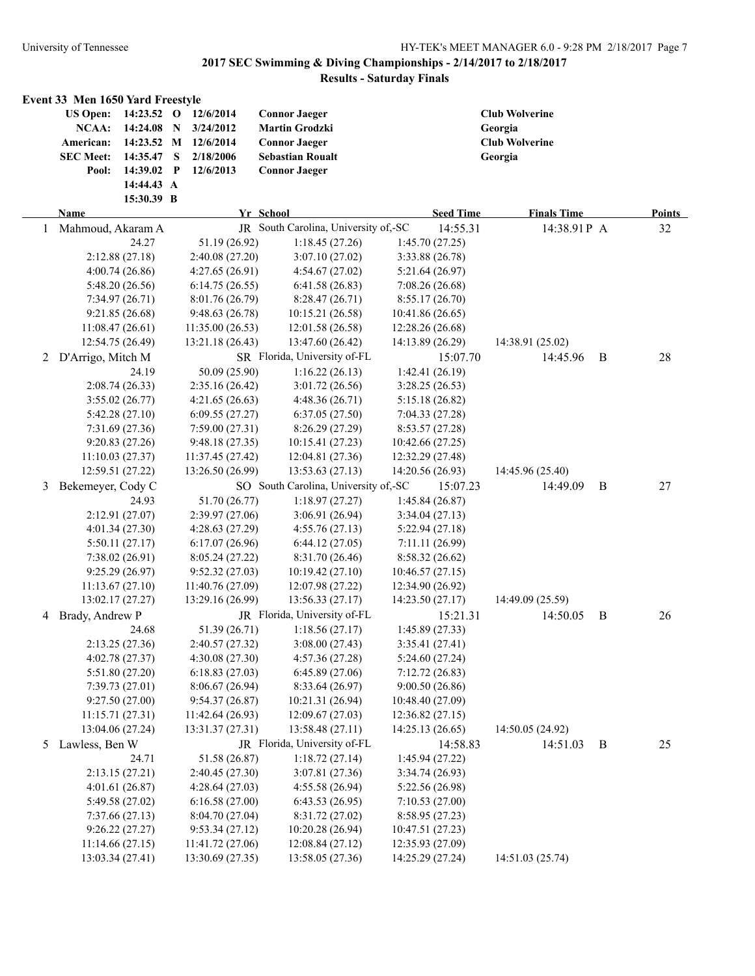|   | Event 33 Men 1650 Yard Freestyle                                                                                                                                        |                                                                         |                                                                                                                          |                  |                                                                      |   |               |
|---|-------------------------------------------------------------------------------------------------------------------------------------------------------------------------|-------------------------------------------------------------------------|--------------------------------------------------------------------------------------------------------------------------|------------------|----------------------------------------------------------------------|---|---------------|
|   | <b>US Open:</b><br>14:23.52 O<br><b>NCAA:</b><br>14:24.08 N<br>American:<br>14:23.52 M<br><b>SEC Meet:</b><br>14:35.47<br>14:39.02<br>Pool:<br>14:44.43 A<br>15:30.39 B | 12/6/2014<br>3/24/2012<br>12/6/2014<br>2/18/2006<br>S<br>12/6/2013<br>P | <b>Connor Jaeger</b><br><b>Martin Grodzki</b><br><b>Connor Jaeger</b><br><b>Sebastian Roualt</b><br><b>Connor Jaeger</b> |                  | <b>Club Wolverine</b><br>Georgia<br><b>Club Wolverine</b><br>Georgia |   |               |
|   | <b>Name</b>                                                                                                                                                             |                                                                         | Yr School                                                                                                                | <b>Seed Time</b> | <b>Finals Time</b>                                                   |   | <b>Points</b> |
| 1 | Mahmoud, Akaram A                                                                                                                                                       |                                                                         | JR South Carolina, University of,-SC                                                                                     | 14:55.31         | 14:38.91 P A                                                         |   | 32            |
|   | 24.27                                                                                                                                                                   | 51.19 (26.92)                                                           | 1:18.45(27.26)                                                                                                           | 1:45.70(27.25)   |                                                                      |   |               |
|   | 2:12.88(27.18)                                                                                                                                                          | 2:40.08 (27.20)                                                         | 3:07.10(27.02)                                                                                                           | 3:33.88 (26.78)  |                                                                      |   |               |
|   | 4:00.74(26.86)                                                                                                                                                          | 4:27.65 (26.91)                                                         | 4:54.67(27.02)                                                                                                           | 5:21.64(26.97)   |                                                                      |   |               |
|   | 5:48.20(26.56)                                                                                                                                                          | 6:14.75(26.55)                                                          | 6:41.58(26.83)                                                                                                           | 7:08.26 (26.68)  |                                                                      |   |               |
|   | 7:34.97(26.71)                                                                                                                                                          | 8:01.76(26.79)                                                          | 8:28.47(26.71)                                                                                                           | 8:55.17(26.70)   |                                                                      |   |               |
|   | 9:21.85(26.68)                                                                                                                                                          | 9:48.63(26.78)                                                          | 10:15.21(26.58)                                                                                                          | 10:41.86 (26.65) |                                                                      |   |               |
|   | 11:08.47(26.61)                                                                                                                                                         | 11:35.00(26.53)                                                         | 12:01.58(26.58)                                                                                                          | 12:28.26 (26.68) |                                                                      |   |               |
|   | 12:54.75 (26.49)                                                                                                                                                        | 13:21.18 (26.43)                                                        | 13:47.60 (26.42)                                                                                                         | 14:13.89 (26.29) | 14:38.91 (25.02)                                                     |   |               |
| 2 | D'Arrigo, Mitch M                                                                                                                                                       |                                                                         | SR Florida, University of-FL                                                                                             | 15:07.70         | 14:45.96                                                             | B | 28            |
|   | 24.19                                                                                                                                                                   | 50.09 (25.90)                                                           | 1:16.22(26.13)                                                                                                           | 1:42.41(26.19)   |                                                                      |   |               |
|   | 2:08.74(26.33)                                                                                                                                                          | 2:35.16(26.42)                                                          | 3:01.72(26.56)                                                                                                           | 3:28.25 (26.53)  |                                                                      |   |               |
|   | 3:55.02(26.77)                                                                                                                                                          | 4:21.65(26.63)                                                          | 4:48.36 (26.71)                                                                                                          | 5:15.18 (26.82)  |                                                                      |   |               |
|   | 5:42.28(27.10)                                                                                                                                                          | 6:09.55(27.27)                                                          | 6:37.05(27.50)                                                                                                           | 7:04.33(27.28)   |                                                                      |   |               |
|   | 7:31.69(27.36)                                                                                                                                                          | 7:59.00(27.31)                                                          | 8:26.29(27.29)                                                                                                           | 8:53.57(27.28)   |                                                                      |   |               |
|   | 9:20.83 (27.26)                                                                                                                                                         | 9:48.18(27.35)                                                          | 10:15.41 (27.23)                                                                                                         | 10:42.66 (27.25) |                                                                      |   |               |
|   | 11:10.03(27.37)                                                                                                                                                         | 11:37.45 (27.42)                                                        | 12:04.81 (27.36)                                                                                                         | 12:32.29 (27.48) |                                                                      |   |               |
|   | 12:59.51 (27.22)                                                                                                                                                        | 13:26.50 (26.99)                                                        | 13:53.63 (27.13)                                                                                                         | 14:20.56 (26.93) | 14:45.96 (25.40)                                                     |   |               |
| 3 | Bekemeyer, Cody C                                                                                                                                                       |                                                                         | SO South Carolina, University of,-SC                                                                                     | 15:07.23         | 14:49.09                                                             | B | 27            |
|   | 24.93                                                                                                                                                                   | 51.70 (26.77)                                                           | 1:18.97(27.27)                                                                                                           | 1:45.84(26.87)   |                                                                      |   |               |
|   | 2:12.91(27.07)                                                                                                                                                          | 2:39.97(27.06)                                                          | 3:06.91(26.94)                                                                                                           | 3:34.04(27.13)   |                                                                      |   |               |
|   | 4:01.34(27.30)                                                                                                                                                          | 4:28.63(27.29)                                                          | 4:55.76(27.13)                                                                                                           | 5:22.94(27.18)   |                                                                      |   |               |
|   | 5:50.11(27.17)                                                                                                                                                          | 6:17.07(26.96)                                                          | 6:44.12(27.05)                                                                                                           | 7:11.11(26.99)   |                                                                      |   |               |
|   | 7:38.02 (26.91)                                                                                                                                                         | 8:05.24(27.22)                                                          | 8:31.70(26.46)                                                                                                           | 8:58.32 (26.62)  |                                                                      |   |               |
|   | 9:25.29(26.97)                                                                                                                                                          | 9:52.32(27.03)                                                          | 10:19.42(27.10)                                                                                                          | 10:46.57(27.15)  |                                                                      |   |               |
|   | 11:13.67(27.10)                                                                                                                                                         | 11:40.76 (27.09)                                                        | 12:07.98 (27.22)                                                                                                         | 12:34.90 (26.92) |                                                                      |   |               |
|   | 13:02.17 (27.27)                                                                                                                                                        | 13:29.16 (26.99)                                                        | 13:56.33 (27.17)                                                                                                         | 14:23.50 (27.17) | 14:49.09 (25.59)                                                     |   |               |
| 4 | Brady, Andrew P                                                                                                                                                         |                                                                         | JR Florida, University of-FL                                                                                             | 15:21.31         | 14:50.05                                                             | B | 26            |
|   | 24.68                                                                                                                                                                   | 51.39 (26.71)                                                           | 1:18.56(27.17)                                                                                                           | 1:45.89(27.33)   |                                                                      |   |               |
|   | 2:13.25 (27.36)                                                                                                                                                         | 2:40.57 (27.32)                                                         | 3:08.00(27.43)                                                                                                           | 3:35.41 (27.41)  |                                                                      |   |               |
|   | 4:02.78 (27.37)                                                                                                                                                         | 4:30.08 (27.30)                                                         | 4:57.36(27.28)                                                                                                           | 5:24.60(27.24)   |                                                                      |   |               |
|   | 5:51.80(27.20)                                                                                                                                                          | 6:18.83(27.03)                                                          | 6:45.89(27.06)                                                                                                           | 7:12.72(26.83)   |                                                                      |   |               |
|   | 7:39.73(27.01)                                                                                                                                                          | 8:06.67(26.94)                                                          | 8:33.64 (26.97)                                                                                                          | 9:00.50(26.86)   |                                                                      |   |               |
|   | 9:27.50(27.00)                                                                                                                                                          | 9:54.37(26.87)                                                          | 10:21.31 (26.94)                                                                                                         | 10:48.40 (27.09) |                                                                      |   |               |
|   | 11:15.71(27.31)                                                                                                                                                         | 11:42.64 (26.93)                                                        | 12:09.67 (27.03)                                                                                                         | 12:36.82(27.15)  |                                                                      |   |               |
|   | 13:04.06 (27.24)                                                                                                                                                        | 13:31.37 (27.31)                                                        | 13:58.48 (27.11)                                                                                                         | 14:25.13 (26.65) | 14:50.05 (24.92)                                                     |   |               |
| 5 | Lawless, Ben W                                                                                                                                                          |                                                                         | JR Florida, University of-FL                                                                                             | 14:58.83         | 14:51.03                                                             | B | 25            |
|   | 24.71                                                                                                                                                                   | 51.58 (26.87)                                                           | 1:18.72(27.14)                                                                                                           | 1:45.94 (27.22)  |                                                                      |   |               |
|   | 2:13.15(27.21)                                                                                                                                                          | 2:40.45 (27.30)                                                         | 3:07.81 (27.36)                                                                                                          | 3:34.74 (26.93)  |                                                                      |   |               |
|   | 4:01.61(26.87)                                                                                                                                                          | 4:28.64(27.03)                                                          | 4:55.58 (26.94)                                                                                                          | 5:22.56 (26.98)  |                                                                      |   |               |
|   | 5:49.58 (27.02)                                                                                                                                                         | 6:16.58(27.00)                                                          | 6:43.53(26.95)                                                                                                           | 7:10.53(27.00)   |                                                                      |   |               |
|   | 7:37.66(27.13)                                                                                                                                                          | 8:04.70 (27.04)                                                         | 8:31.72 (27.02)                                                                                                          | 8:58.95 (27.23)  |                                                                      |   |               |
|   | 9:26.22(27.27)                                                                                                                                                          | 9:53.34(27.12)                                                          | 10:20.28 (26.94)                                                                                                         | 10:47.51 (27.23) |                                                                      |   |               |
|   | 11:14.66(27.15)                                                                                                                                                         | 11:41.72 (27.06)                                                        | 12:08.84 (27.12)                                                                                                         | 12:35.93 (27.09) |                                                                      |   |               |
|   | 13:03.34 (27.41)                                                                                                                                                        | 13:30.69 (27.35)                                                        | 13:58.05 (27.36)                                                                                                         | 14:25.29 (27.24) | 14:51.03 (25.74)                                                     |   |               |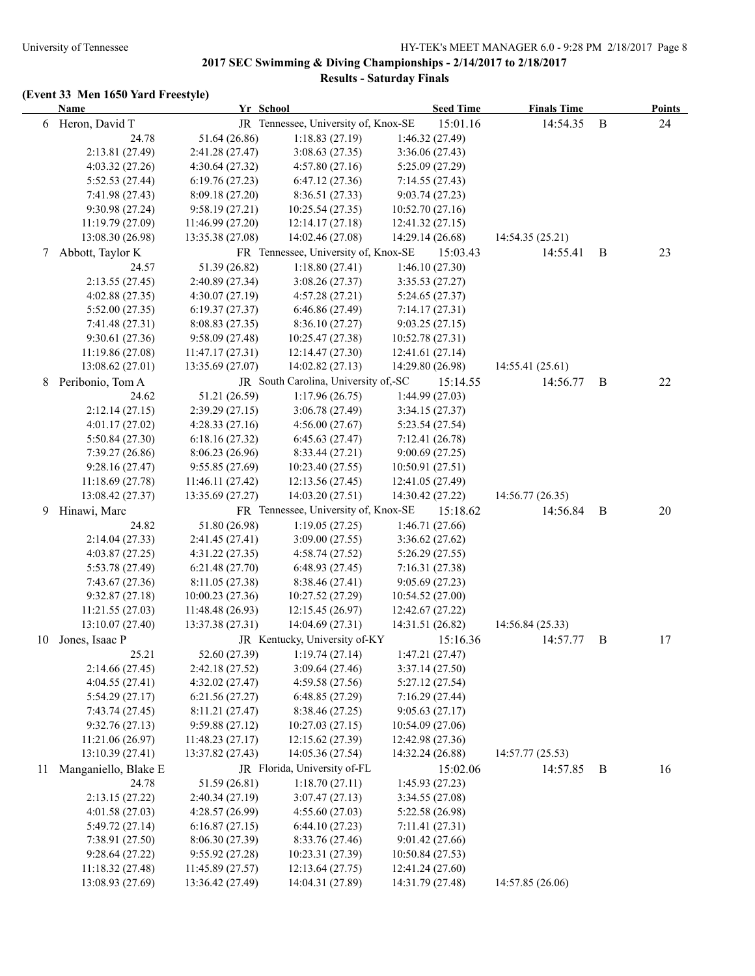|    | <b>Name</b>          | Yr School        |                                      | <b>Seed Time</b> | <b>Finals Time</b> |   | <b>Points</b> |
|----|----------------------|------------------|--------------------------------------|------------------|--------------------|---|---------------|
|    | 6 Heron, David T     |                  | JR Tennessee, University of, Knox-SE | 15:01.16         | 14:54.35           | B | 24            |
|    | 24.78                | 51.64 (26.86)    | 1:18.83(27.19)                       | 1:46.32 (27.49)  |                    |   |               |
|    | 2:13.81 (27.49)      | 2:41.28 (27.47)  | 3:08.63(27.35)                       | 3:36.06(27.43)   |                    |   |               |
|    | 4:03.32(27.26)       | 4:30.64(27.32)   | 4:57.80(27.16)                       | 5:25.09(27.29)   |                    |   |               |
|    | 5:52.53 (27.44)      | 6:19.76(27.23)   | 6:47.12(27.36)                       | 7:14.55(27.43)   |                    |   |               |
|    | 7:41.98 (27.43)      | 8:09.18(27.20)   | 8:36.51(27.33)                       | 9:03.74(27.23)   |                    |   |               |
|    | 9:30.98 (27.24)      | 9:58.19(27.21)   | 10:25.54(27.35)                      | 10:52.70 (27.16) |                    |   |               |
|    | 11:19.79(27.09)      | 11:46.99 (27.20) | 12:14.17(27.18)                      | 12:41.32(27.15)  |                    |   |               |
|    | 13:08.30 (26.98)     | 13:35.38 (27.08) | 14:02.46 (27.08)                     | 14:29.14 (26.68) | 14:54.35 (25.21)   |   |               |
| 7  | Abbott, Taylor K     |                  | FR Tennessee, University of, Knox-SE | 15:03.43         | 14:55.41           | B | 23            |
|    | 24.57                | 51.39 (26.82)    | 1:18.80(27.41)                       | 1:46.10(27.30)   |                    |   |               |
|    | 2:13.55(27.45)       | 2:40.89 (27.34)  | 3:08.26(27.37)                       | 3:35.53(27.27)   |                    |   |               |
|    | 4:02.88(27.35)       | 4:30.07(27.19)   | 4:57.28(27.21)                       | 5:24.65(27.37)   |                    |   |               |
|    | 5:52.00(27.35)       | 6:19.37(27.37)   | 6:46.86(27.49)                       | 7:14.17(27.31)   |                    |   |               |
|    | 7:41.48 (27.31)      | 8:08.83(27.35)   | 8:36.10(27.27)                       | 9:03.25(27.15)   |                    |   |               |
|    | 9:30.61 (27.36)      | 9:58.09(27.48)   | 10:25.47 (27.38)                     | 10:52.78 (27.31) |                    |   |               |
|    | 11:19.86 (27.08)     | 11:47.17 (27.31) | 12:14.47 (27.30)                     | 12:41.61 (27.14) |                    |   |               |
|    | 13:08.62 (27.01)     | 13:35.69 (27.07) | 14:02.82 (27.13)                     | 14:29.80 (26.98) | 14:55.41 (25.61)   |   |               |
| 8  | Peribonio, Tom A     |                  | JR South Carolina, University of,-SC | 15:14.55         | 14:56.77           | B | 22            |
|    | 24.62                | 51.21 (26.59)    | 1:17.96(26.75)                       | 1:44.99 (27.03)  |                    |   |               |
|    | 2:12.14(27.15)       | 2:39.29(27.15)   | 3:06.78(27.49)                       | 3:34.15(27.37)   |                    |   |               |
|    | 4:01.17(27.02)       | 4:28.33(27.16)   | 4:56.00(27.67)                       | 5:23.54(27.54)   |                    |   |               |
|    | 5:50.84 (27.30)      | 6:18.16(27.32)   | 6:45.63(27.47)                       | 7:12.41(26.78)   |                    |   |               |
|    | 7:39.27(26.86)       | 8:06.23 (26.96)  | 8:33.44 (27.21)                      | 9:00.69(27.25)   |                    |   |               |
|    | 9:28.16(27.47)       | 9:55.85(27.69)   | 10:23.40 (27.55)                     | 10:50.91(27.51)  |                    |   |               |
|    | 11:18.69 (27.78)     | 11:46.11 (27.42) | 12:13.56(27.45)                      | 12:41.05 (27.49) |                    |   |               |
|    | 13:08.42 (27.37)     | 13:35.69 (27.27) | 14:03.20 (27.51)                     | 14:30.42 (27.22) | 14:56.77(26.35)    |   |               |
| 9  | Hinawi, Marc         |                  | FR Tennessee, University of, Knox-SE | 15:18.62         | 14:56.84           | B | 20            |
|    | 24.82                | 51.80 (26.98)    | 1:19.05(27.25)                       | 1:46.71 (27.66)  |                    |   |               |
|    | 2:14.04 (27.33)      | 2:41.45 (27.41)  | 3:09.00(27.55)                       | 3:36.62(27.62)   |                    |   |               |
|    | 4:03.87(27.25)       | 4:31.22(27.35)   | 4:58.74(27.52)                       | 5:26.29(27.55)   |                    |   |               |
|    | 5:53.78 (27.49)      | 6:21.48(27.70)   | 6:48.93(27.45)                       | 7:16.31(27.38)   |                    |   |               |
|    | 7:43.67 (27.36)      | 8:11.05 (27.38)  | 8:38.46 (27.41)                      | 9:05.69(27.23)   |                    |   |               |
|    | 9:32.87(27.18)       | 10:00.23(27.36)  | 10:27.52(27.29)                      | 10:54.52 (27.00) |                    |   |               |
|    | 11:21.55 (27.03)     | 11:48.48 (26.93) | 12:15.45 (26.97)                     | 12:42.67 (27.22) |                    |   |               |
|    | 13:10.07 (27.40)     | 13:37.38 (27.31) | 14:04.69 (27.31)                     | 14:31.51 (26.82) | 14:56.84 (25.33)   |   |               |
| 10 | Jones, Isaac P       |                  | JR Kentucky, University of-KY        | 15:16.36         | 14:57.77           | B | 17            |
|    | 25.21                | 52.60 (27.39)    | 1:19.74(27.14)                       | 1:47.21 (27.47)  |                    |   |               |
|    | 2:14.66(27.45)       | 2:42.18 (27.52)  | 3:09.64(27.46)                       | 3:37.14(27.50)   |                    |   |               |
|    | 4:04.55(27.41)       | 4:32.02(27.47)   | 4:59.58(27.56)                       | 5:27.12(27.54)   |                    |   |               |
|    | 5:54.29(27.17)       | 6:21.56(27.27)   | 6:48.85(27.29)                       | 7:16.29(27.44)   |                    |   |               |
|    | 7:43.74 (27.45)      | 8:11.21(27.47)   | 8:38.46 (27.25)                      | 9:05.63(27.17)   |                    |   |               |
|    | 9:32.76(27.13)       | 9:59.88(27.12)   | 10:27.03(27.15)                      | 10:54.09 (27.06) |                    |   |               |
|    | 11:21.06 (26.97)     | 11:48.23 (27.17) | 12:15.62 (27.39)                     | 12:42.98 (27.36) |                    |   |               |
|    | 13:10.39 (27.41)     | 13:37.82 (27.43) | 14:05.36 (27.54)                     | 14:32.24 (26.88) | 14:57.77 (25.53)   |   |               |
| 11 | Manganiello, Blake E |                  | JR Florida, University of-FL         | 15:02.06         | 14:57.85           | B | 16            |
|    | 24.78                | 51.59 (26.81)    | 1:18.70(27.11)                       | 1:45.93(27.23)   |                    |   |               |
|    | 2:13.15 (27.22)      | 2:40.34 (27.19)  | 3:07.47(27.13)                       | 3:34.55 (27.08)  |                    |   |               |
|    | 4:01.58(27.03)       | 4:28.57 (26.99)  | 4:55.60(27.03)                       | 5:22.58 (26.98)  |                    |   |               |
|    | 5:49.72 (27.14)      | 6:16.87(27.15)   | 6:44.10(27.23)                       | 7:11.41 (27.31)  |                    |   |               |
|    | 7:38.91 (27.50)      | 8:06.30(27.39)   | 8:33.76 (27.46)                      | 9:01.42(27.66)   |                    |   |               |
|    | 9:28.64(27.22)       | 9:55.92(27.28)   | 10:23.31 (27.39)                     | 10:50.84 (27.53) |                    |   |               |
|    | 11:18.32 (27.48)     | 11:45.89 (27.57) | 12:13.64 (27.75)                     | 12:41.24 (27.60) |                    |   |               |
|    | 13:08.93 (27.69)     | 13:36.42 (27.49) | 14:04.31 (27.89)                     | 14:31.79 (27.48) | 14:57.85 (26.06)   |   |               |
|    |                      |                  |                                      |                  |                    |   |               |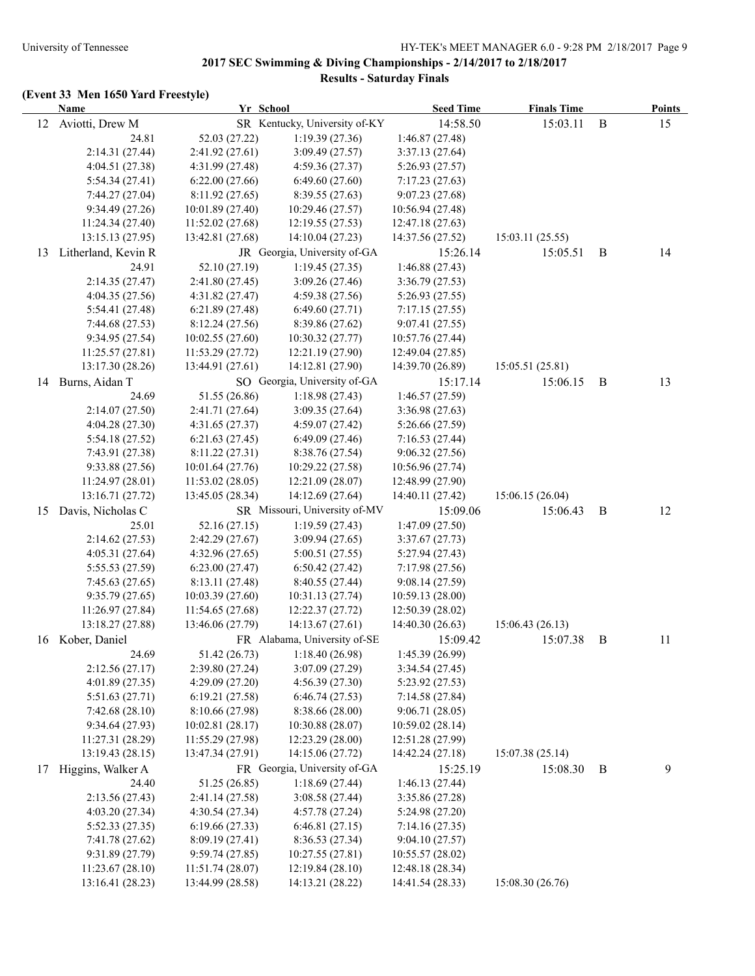|    | <b>Name</b>         | Yr School        |                               | <b>Seed Time</b> | <b>Finals Time</b> |              | <b>Points</b> |
|----|---------------------|------------------|-------------------------------|------------------|--------------------|--------------|---------------|
|    | 12 Aviotti, Drew M  |                  | SR Kentucky, University of-KY | 14:58.50         | 15:03.11           | $\, {\bf B}$ | 15            |
|    | 24.81               | 52.03 (27.22)    | 1:19.39(27.36)                | 1:46.87(27.48)   |                    |              |               |
|    | 2:14.31 (27.44)     | 2:41.92(27.61)   | 3:09.49 (27.57)               | 3:37.13(27.64)   |                    |              |               |
|    | 4:04.51 (27.38)     | 4:31.99 (27.48)  | 4:59.36(27.37)                | 5:26.93(27.57)   |                    |              |               |
|    | 5:54.34(27.41)      | 6:22.00(27.66)   | 6:49.60(27.60)                | 7:17.23(27.63)   |                    |              |               |
|    | 7:44.27(27.04)      | 8:11.92(27.65)   | 8:39.55(27.63)                | 9:07.23(27.68)   |                    |              |               |
|    | 9:34.49 (27.26)     | 10:01.89(27.40)  | 10:29.46 (27.57)              | 10:56.94 (27.48) |                    |              |               |
|    | 11:24.34 (27.40)    | 11:52.02 (27.68) | 12:19.55 (27.53)              | 12:47.18 (27.63) |                    |              |               |
|    | 13:15.13 (27.95)    | 13:42.81 (27.68) | 14:10.04 (27.23)              | 14:37.56 (27.52) | 15:03.11 (25.55)   |              |               |
| 13 | Litherland, Kevin R |                  | JR Georgia, University of-GA  | 15:26.14         | 15:05.51           | B            | 14            |
|    | 24.91               | 52.10 (27.19)    | 1:19.45(27.35)                | 1:46.88 (27.43)  |                    |              |               |
|    | 2:14.35(27.47)      | 2:41.80(27.45)   | 3:09.26(27.46)                | 3:36.79(27.53)   |                    |              |               |
|    | 4:04.35(27.56)      | 4:31.82(27.47)   | 4:59.38(27.56)                | 5:26.93(27.55)   |                    |              |               |
|    | 5:54.41 (27.48)     | 6:21.89(27.48)   | 6:49.60(27.71)                | 7:17.15(27.55)   |                    |              |               |
|    | 7:44.68(27.53)      | 8:12.24(27.56)   | 8:39.86 (27.62)               | 9:07.41(27.55)   |                    |              |               |
|    | 9:34.95 (27.54)     | 10:02.55(27.60)  | 10:30.32(27.77)               | 10:57.76 (27.44) |                    |              |               |
|    | 11:25.57(27.81)     | 11:53.29(27.72)  | 12:21.19 (27.90)              | 12:49.04 (27.85) |                    |              |               |
|    | 13:17.30 (28.26)    | 13:44.91 (27.61) | 14:12.81 (27.90)              | 14:39.70 (26.89) | 15:05.51 (25.81)   |              |               |
|    | 14 Burns, Aidan T   |                  | SO Georgia, University of-GA  | 15:17.14         | 15:06.15           | B            | 13            |
|    | 24.69               | 51.55 (26.86)    | 1:18.98(27.43)                | 1:46.57(27.59)   |                    |              |               |
|    | 2:14.07(27.50)      | 2:41.71 (27.64)  | 3:09.35(27.64)                | 3:36.98(27.63)   |                    |              |               |
|    | 4:04.28(27.30)      | 4:31.65(27.37)   | 4:59.07(27.42)                | 5:26.66(27.59)   |                    |              |               |
|    | 5:54.18 (27.52)     | 6:21.63(27.45)   | 6:49.09(27.46)                | 7:16.53(27.44)   |                    |              |               |
|    | 7:43.91 (27.38)     | 8:11.22(27.31)   | 8:38.76 (27.54)               | 9:06.32(27.56)   |                    |              |               |
|    | 9:33.88(27.56)      | 10:01.64 (27.76) | 10:29.22 (27.58)              | 10:56.96 (27.74) |                    |              |               |
|    | 11:24.97 (28.01)    | 11:53.02(28.05)  | 12:21.09 (28.07)              | 12:48.99 (27.90) |                    |              |               |
|    | 13:16.71 (27.72)    | 13:45.05 (28.34) | 14:12.69 (27.64)              | 14:40.11 (27.42) | 15:06.15(26.04)    |              |               |
| 15 | Davis, Nicholas C   |                  | SR Missouri, University of-MV | 15:09.06         | 15:06.43           | B            | 12            |
|    | 25.01               | 52.16 (27.15)    | 1:19.59(27.43)                | 1:47.09(27.50)   |                    |              |               |
|    | 2:14.62(27.53)      | 2:42.29(27.67)   | 3:09.94(27.65)                | 3:37.67(27.73)   |                    |              |               |
|    | 4:05.31(27.64)      | 4:32.96(27.65)   | 5:00.51 (27.55)               | 5:27.94(27.43)   |                    |              |               |
|    | 5:55.53 (27.59)     | 6:23.00(27.47)   | 6:50.42(27.42)                | 7:17.98(27.56)   |                    |              |               |
|    | 7:45.63(27.65)      | 8:13.11(27.48)   | 8:40.55(27.44)                | 9:08.14(27.59)   |                    |              |               |
|    | 9:35.79(27.65)      | 10:03.39(27.60)  | 10:31.13 (27.74)              | 10:59.13 (28.00) |                    |              |               |
|    | 11:26.97 (27.84)    | 11:54.65 (27.68) | 12:22.37 (27.72)              | 12:50.39(28.02)  |                    |              |               |
|    | 13:18.27 (27.88)    | 13:46.06 (27.79) | 14:13.67 (27.61)              | 14:40.30 (26.63) | 15:06.43(26.13)    |              |               |
| 16 | Kober, Daniel       |                  | FR Alabama, University of-SE  | 15:09.42         | 15:07.38           | B            | 11            |
|    | 24.69               | 51.42 (26.73)    | 1:18.40(26.98)                | 1:45.39 (26.99)  |                    |              |               |
|    | 2:12.56(27.17)      | 2:39.80 (27.24)  | 3:07.09 (27.29)               | 3:34.54(27.45)   |                    |              |               |
|    | 4:01.89 (27.35)     | 4:29.09(27.20)   | 4:56.39 (27.30)               | 5:23.92(27.53)   |                    |              |               |
|    | 5:51.63(27.71)      | 6:19.21(27.58)   | 6:46.74(27.53)                | 7:14.58 (27.84)  |                    |              |               |
|    | 7:42.68(28.10)      | 8:10.66 (27.98)  | 8:38.66 (28.00)               | 9:06.71 (28.05)  |                    |              |               |
|    | 9:34.64 (27.93)     | 10:02.81(28.17)  | 10:30.88 (28.07)              | 10:59.02 (28.14) |                    |              |               |
|    | 11:27.31 (28.29)    | 11:55.29 (27.98) | 12:23.29 (28.00)              | 12:51.28 (27.99) |                    |              |               |
|    | 13:19.43 (28.15)    | 13:47.34 (27.91) | 14:15.06 (27.72)              | 14:42.24 (27.18) | 15:07.38 (25.14)   |              |               |
| 17 | Higgins, Walker A   |                  | FR Georgia, University of-GA  | 15:25.19         | 15:08.30           | B            | 9             |
|    | 24.40               | 51.25 (26.85)    | 1:18.69(27.44)                | 1:46.13(27.44)   |                    |              |               |
|    | 2:13.56 (27.43)     | 2:41.14 (27.58)  | 3:08.58 (27.44)               | 3:35.86(27.28)   |                    |              |               |
|    | 4:03.20 (27.34)     | 4:30.54(27.34)   | 4:57.78 (27.24)               | 5:24.98 (27.20)  |                    |              |               |
|    | 5:52.33 (27.35)     | 6:19.66(27.33)   | 6:46.81(27.15)                | 7:14.16(27.35)   |                    |              |               |
|    | 7:41.78 (27.62)     | 8:09.19 (27.41)  | 8:36.53(27.34)                | 9:04.10(27.57)   |                    |              |               |
|    | 9:31.89 (27.79)     | 9:59.74(27.85)   | 10:27.55 (27.81)              | 10:55.57 (28.02) |                    |              |               |
|    | 11:23.67(28.10)     | 11:51.74 (28.07) | 12:19.84 (28.10)              | 12:48.18 (28.34) |                    |              |               |
|    | 13:16.41 (28.23)    | 13:44.99 (28.58) | 14:13.21 (28.22)              | 14:41.54 (28.33) | 15:08.30 (26.76)   |              |               |
|    |                     |                  |                               |                  |                    |              |               |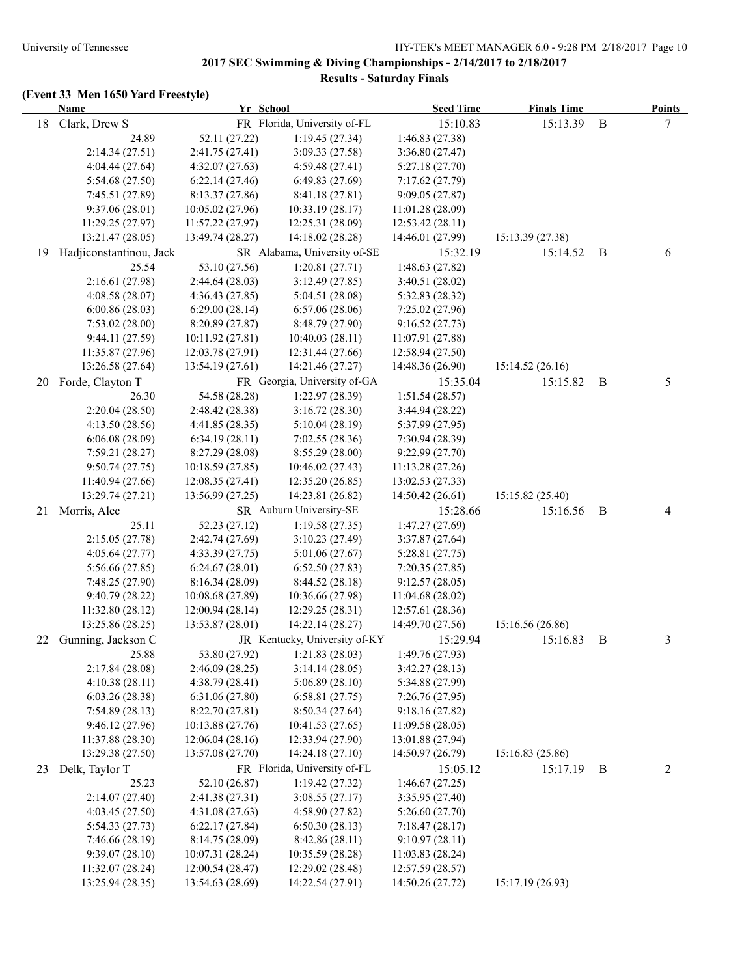|    | <b>Name</b>             | Yr School        |                               | <b>Seed Time</b> | <b>Finals Time</b> |                  | <b>Points</b> |
|----|-------------------------|------------------|-------------------------------|------------------|--------------------|------------------|---------------|
| 18 | Clark, Drew S           |                  | FR Florida, University of-FL  | 15:10.83         | 15:13.39           | B                | 7             |
|    | 24.89                   | 52.11 (27.22)    | 1:19.45(27.34)                | 1:46.83(27.38)   |                    |                  |               |
|    | 2:14.34(27.51)          | 2:41.75 (27.41)  | 3:09.33 (27.58)               | 3:36.80(27.47)   |                    |                  |               |
|    | 4:04.44(27.64)          | 4:32.07(27.63)   | 4:59.48 (27.41)               | 5:27.18(27.70)   |                    |                  |               |
|    | 5:54.68(27.50)          | 6:22.14(27.46)   | 6:49.83(27.69)                | 7:17.62(27.79)   |                    |                  |               |
|    | 7:45.51 (27.89)         | 8:13.37(27.86)   | 8:41.18(27.81)                | 9:09.05(27.87)   |                    |                  |               |
|    | 9:37.06(28.01)          | 10:05.02(27.96)  | 10:33.19(28.17)               | 11:01.28(28.09)  |                    |                  |               |
|    | 11:29.25 (27.97)        | 11:57.22 (27.97) | 12:25.31 (28.09)              | 12:53.42 (28.11) |                    |                  |               |
|    | 13:21.47 (28.05)        | 13:49.74 (28.27) | 14:18.02 (28.28)              | 14:46.01 (27.99) | 15:13.39 (27.38)   |                  |               |
| 19 | Hadjiconstantinou, Jack |                  | SR Alabama, University of-SE  | 15:32.19         | 15:14.52           | B                | 6             |
|    | 25.54                   | 53.10 (27.56)    | 1:20.81(27.71)                | 1:48.63(27.82)   |                    |                  |               |
|    | 2:16.61(27.98)          | 2:44.64(28.03)   | 3:12.49(27.85)                | 3:40.51(28.02)   |                    |                  |               |
|    | 4:08.58(28.07)          | 4:36.43(27.85)   | 5:04.51 (28.08)               | 5:32.83(28.32)   |                    |                  |               |
|    | 6:00.86(28.03)          | 6:29.00(28.14)   | 6:57.06(28.06)                | 7:25.02(27.96)   |                    |                  |               |
|    | 7:53.02(28.00)          | 8:20.89(27.87)   | 8:48.79(27.90)                | 9:16.52(27.73)   |                    |                  |               |
|    | 9:44.11(27.59)          | 10:11.92(27.81)  | 10:40.03(28.11)               | 11:07.91(27.88)  |                    |                  |               |
|    | 11:35.87 (27.96)        | 12:03.78 (27.91) | 12:31.44 (27.66)              | 12:58.94(27.50)  |                    |                  |               |
|    | 13:26.58 (27.64)        | 13:54.19(27.61)  | 14:21.46 (27.27)              | 14:48.36 (26.90) | 15:14.52(26.16)    |                  |               |
| 20 | Forde, Clayton T        |                  | FR Georgia, University of-GA  | 15:35.04         | 15:15.82           | B                | 5             |
|    | 26.30                   | 54.58 (28.28)    | 1:22.97 (28.39)               | 1:51.54(28.57)   |                    |                  |               |
|    | 2:20.04(28.50)          | 2:48.42 (28.38)  | 3:16.72(28.30)                | 3:44.94(28.22)   |                    |                  |               |
|    | 4:13.50 (28.56)         | 4:41.85(28.35)   | 5:10.04(28.19)                | 5:37.99(27.95)   |                    |                  |               |
|    | 6:06.08(28.09)          | 6:34.19(28.11)   | 7:02.55(28.36)                | 7:30.94 (28.39)  |                    |                  |               |
|    | 7:59.21 (28.27)         | 8:27.29 (28.08)  | 8:55.29 (28.00)               | 9:22.99 (27.70)  |                    |                  |               |
|    | 9:50.74(27.75)          | 10:18.59(27.85)  | 10:46.02 (27.43)              | 11:13.28(27.26)  |                    |                  |               |
|    | 11:40.94 (27.66)        | 12:08.35(27.41)  | 12:35.20 (26.85)              | 13:02.53 (27.33) |                    |                  |               |
|    | 13:29.74 (27.21)        | 13:56.99 (27.25) | 14:23.81 (26.82)              | 14:50.42(26.61)  | 15:15.82 (25.40)   |                  |               |
| 21 | Morris, Alec            |                  | SR Auburn University-SE       | 15:28.66         | 15:16.56           | B                | 4             |
|    | 25.11                   | 52.23 (27.12)    | 1:19.58(27.35)                | 1:47.27(27.69)   |                    |                  |               |
|    | 2:15.05(27.78)          | 2:42.74 (27.69)  | 3:10.23(27.49)                | 3:37.87 (27.64)  |                    |                  |               |
|    | 4:05.64(27.77)          | 4:33.39(27.75)   | 5:01.06(27.67)                | 5:28.81(27.75)   |                    |                  |               |
|    | 5:56.66 (27.85)         | 6:24.67(28.01)   | 6:52.50(27.83)                | 7:20.35(27.85)   |                    |                  |               |
|    | 7:48.25 (27.90)         | 8:16.34(28.09)   | 8:44.52(28.18)                | 9:12.57(28.05)   |                    |                  |               |
|    | 9:40.79(28.22)          | 10:08.68 (27.89) | 10:36.66 (27.98)              | 11:04.68(28.02)  |                    |                  |               |
|    | 11:32.80 (28.12)        | 12:00.94(28.14)  | 12:29.25(28.31)               | 12:57.61 (28.36) |                    |                  |               |
|    | 13:25.86 (28.25)        | 13:53.87 (28.01) | 14:22.14 (28.27)              | 14:49.70 (27.56) | 15:16.56 (26.86)   |                  |               |
| 22 | Gunning, Jackson C      |                  | JR Kentucky, University of-KY | 15:29.94         | 15:16.83           | $\boldsymbol{B}$ | 3             |
|    | 25.88                   | 53.80 (27.92)    | 1:21.83(28.03)                | 1:49.76 (27.93)  |                    |                  |               |
|    | 2:17.84(28.08)          | 2:46.09(28.25)   | 3:14.14(28.05)                | 3:42.27(28.13)   |                    |                  |               |
|    | 4:10.38(28.11)          | 4:38.79(28.41)   | 5:06.89(28.10)                | 5:34.88 (27.99)  |                    |                  |               |
|    | 6:03.26(28.38)          | 6:31.06(27.80)   | 6:58.81(27.75)                | 7:26.76 (27.95)  |                    |                  |               |
|    | 7:54.89(28.13)          | 8:22.70 (27.81)  | 8:50.34(27.64)                | 9:18.16(27.82)   |                    |                  |               |
|    | 9:46.12(27.96)          | 10:13.88 (27.76) | 10:41.53 (27.65)              | 11:09.58(28.05)  |                    |                  |               |
|    | 11:37.88 (28.30)        | 12:06.04(28.16)  | 12:33.94 (27.90)              | 13:01.88 (27.94) |                    |                  |               |
|    | 13:29.38 (27.50)        | 13:57.08 (27.70) | 14:24.18 (27.10)              | 14:50.97 (26.79) | 15:16.83 (25.86)   |                  |               |
| 23 | Delk, Taylor T          |                  | FR Florida, University of-FL  | 15:05.12         | 15:17.19           | B                | 2             |
|    | 25.23                   | 52.10 (26.87)    | 1:19.42(27.32)                | 1:46.67(27.25)   |                    |                  |               |
|    | 2:14.07(27.40)          | 2:41.38 (27.31)  | 3:08.55(27.17)                | 3:35.95(27.40)   |                    |                  |               |
|    | 4:03.45(27.50)          | 4:31.08(27.63)   | 4:58.90 (27.82)               | 5:26.60(27.70)   |                    |                  |               |
|    | 5:54.33 (27.73)         | 6:22.17(27.84)   | 6:50.30(28.13)                | 7:18.47(28.17)   |                    |                  |               |
|    | 7:46.66(28.19)          | 8:14.75 (28.09)  | 8:42.86 (28.11)               | 9:10.97(28.11)   |                    |                  |               |
|    | 9:39.07(28.10)          | 10:07.31 (28.24) | 10:35.59 (28.28)              | 11:03.83 (28.24) |                    |                  |               |
|    | 11:32.07 (28.24)        | 12:00.54 (28.47) | 12:29.02 (28.48)              | 12:57.59 (28.57) |                    |                  |               |
|    | 13:25.94 (28.35)        | 13:54.63 (28.69) | 14:22.54 (27.91)              | 14:50.26 (27.72) | 15:17.19 (26.93)   |                  |               |
|    |                         |                  |                               |                  |                    |                  |               |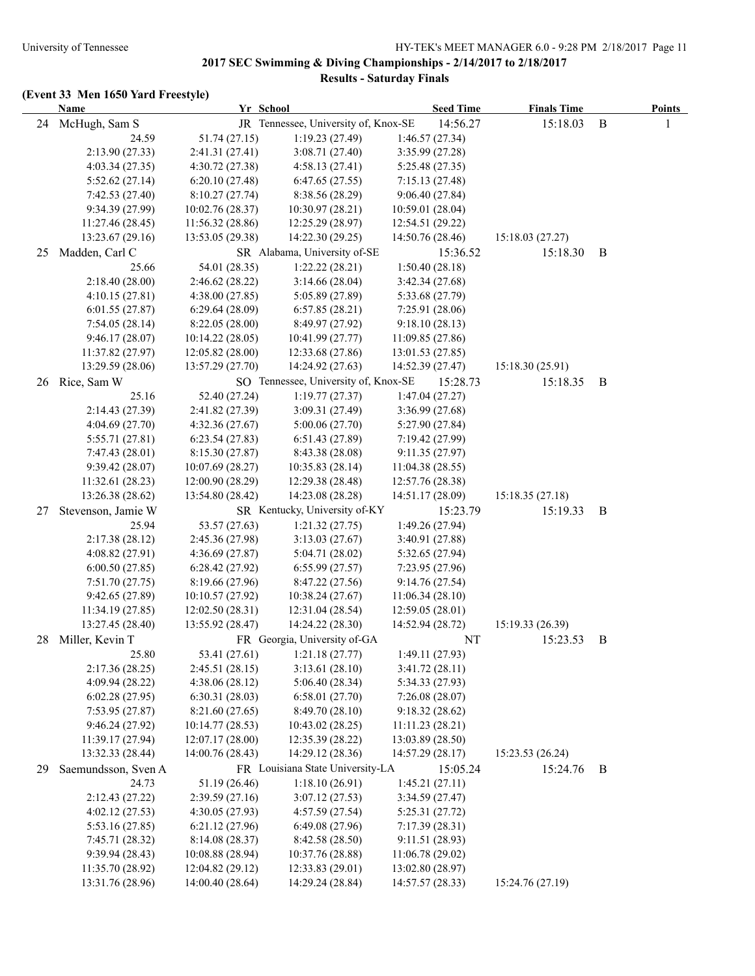|    | Name                |                  | Yr School                            | <b>Seed Time</b> | <b>Finals Time</b> |          | <b>Points</b> |
|----|---------------------|------------------|--------------------------------------|------------------|--------------------|----------|---------------|
| 24 | McHugh, Sam S       |                  | JR Tennessee, University of, Knox-SE | 14:56.27         | 15:18.03           | $\bf{B}$ | 1             |
|    | 24.59               | 51.74 (27.15)    | 1:19.23(27.49)                       | 1:46.57(27.34)   |                    |          |               |
|    | 2:13.90(27.33)      | 2:41.31 (27.41)  | 3:08.71(27.40)                       | 3:35.99 (27.28)  |                    |          |               |
|    | 4:03.34(27.35)      | 4:30.72(27.38)   | 4:58.13(27.41)                       | 5:25.48(27.35)   |                    |          |               |
|    | 5:52.62(27.14)      | 6:20.10(27.48)   | 6:47.65(27.55)                       | 7:15.13(27.48)   |                    |          |               |
|    | 7:42.53(27.40)      | 8:10.27(27.74)   | 8:38.56 (28.29)                      | 9:06.40(27.84)   |                    |          |               |
|    | 9:34.39(27.99)      | 10:02.76 (28.37) | 10:30.97(28.21)                      | 10:59.01 (28.04) |                    |          |               |
|    | 11:27.46 (28.45)    | 11:56.32 (28.86) | 12:25.29 (28.97)                     | 12:54.51 (29.22) |                    |          |               |
|    | 13:23.67 (29.16)    | 13:53.05 (29.38) | 14:22.30 (29.25)                     | 14:50.76 (28.46) | 15:18.03(27.27)    |          |               |
| 25 | Madden, Carl C      |                  | SR Alabama, University of-SE         | 15:36.52         | 15:18.30           | B        |               |
|    | 25.66               | 54.01 (28.35)    | 1:22.22(28.21)                       | 1:50.40(28.18)   |                    |          |               |
|    | 2:18.40(28.00)      | 2:46.62 (28.22)  | 3:14.66(28.04)                       | 3:42.34(27.68)   |                    |          |               |
|    | 4:10.15(27.81)      | 4:38.00(27.85)   | 5:05.89 (27.89)                      | 5:33.68 (27.79)  |                    |          |               |
|    | 6:01.55(27.87)      | 6:29.64(28.09)   | 6:57.85(28.21)                       | 7:25.91 (28.06)  |                    |          |               |
|    | 7:54.05(28.14)      | 8:22.05(28.00)   | 8:49.97 (27.92)                      | 9:18.10(28.13)   |                    |          |               |
|    | 9:46.17(28.07)      | 10:14.22(28.05)  | 10:41.99 (27.77)                     | 11:09.85(27.86)  |                    |          |               |
|    | 11:37.82 (27.97)    | 12:05.82 (28.00) | 12:33.68 (27.86)                     | 13:01.53 (27.85) |                    |          |               |
|    | 13:29.59 (28.06)    | 13:57.29 (27.70) | 14:24.92 (27.63)                     | 14:52.39 (27.47) | 15:18.30(25.91)    |          |               |
| 26 | Rice, Sam W         |                  | SO Tennessee, University of, Knox-SE | 15:28.73         | 15:18.35           | B        |               |
|    | 25.16               | 52.40 (27.24)    | 1:19.77(27.37)                       | 1:47.04(27.27)   |                    |          |               |
|    | 2:14.43 (27.39)     | 2:41.82 (27.39)  | 3:09.31(27.49)                       | 3:36.99(27.68)   |                    |          |               |
|    | 4:04.69(27.70)      | 4:32.36(27.67)   | 5:00.06(27.70)                       | 5:27.90 (27.84)  |                    |          |               |
|    | 5:55.71(27.81)      | 6:23.54(27.83)   | 6:51.43(27.89)                       | 7:19.42(27.99)   |                    |          |               |
|    | 7:47.43 (28.01)     | 8:15.30 (27.87)  | 8:43.38 (28.08)                      | 9:11.35(27.97)   |                    |          |               |
|    | 9:39.42(28.07)      | 10:07.69 (28.27) | 10:35.83(28.14)                      | 11:04.38(28.55)  |                    |          |               |
|    | 11:32.61 (28.23)    | 12:00.90 (28.29) | 12:29.38 (28.48)                     | 12:57.76 (28.38) |                    |          |               |
|    | 13:26.38 (28.62)    | 13:54.80 (28.42) | 14:23.08 (28.28)                     | 14:51.17 (28.09) | 15:18.35(27.18)    |          |               |
| 27 | Stevenson, Jamie W  |                  | SR Kentucky, University of-KY        | 15:23.79         | 15:19.33           | B        |               |
|    | 25.94               | 53.57 (27.63)    | 1:21.32(27.75)                       | 1:49.26 (27.94)  |                    |          |               |
|    | 2:17.38(28.12)      | 2:45.36 (27.98)  | 3:13.03(27.67)                       | 3:40.91 (27.88)  |                    |          |               |
|    | 4:08.82 (27.91)     | 4:36.69(27.87)   | 5:04.71 (28.02)                      | 5:32.65 (27.94)  |                    |          |               |
|    | 6:00.50(27.85)      | 6:28.42 (27.92)  | 6:55.99(27.57)                       | 7:23.95(27.96)   |                    |          |               |
|    | 7:51.70(27.75)      | 8:19.66 (27.96)  | 8:47.22(27.56)                       | 9:14.76(27.54)   |                    |          |               |
|    | 9:42.65(27.89)      | 10:10.57(27.92)  | 10:38.24(27.67)                      | 11:06.34(28.10)  |                    |          |               |
|    | 11:34.19 (27.85)    | 12:02.50(28.31)  | 12:31.04 (28.54)                     | 12:59.05 (28.01) |                    |          |               |
|    | 13:27.45 (28.40)    | 13:55.92 (28.47) | 14:24.22 (28.30)                     | 14:52.94 (28.72) | 15:19.33(26.39)    |          |               |
| 28 | Miller, Kevin T     |                  | FR Georgia, University of-GA         | NT               | 15:23.53           | B        |               |
|    | 25.80               | 53.41 (27.61)    | 1:21.18(27.77)                       | 1:49.11 (27.93)  |                    |          |               |
|    | 2:17.36(28.25)      | 2:45.51(28.15)   | 3:13.61(28.10)                       | 3:41.72(28.11)   |                    |          |               |
|    | 4:09.94 (28.22)     | 4:38.06(28.12)   | 5:06.40(28.34)                       | 5:34.33 (27.93)  |                    |          |               |
|    | 6:02.28(27.95)      | 6:30.31(28.03)   | 6:58.01(27.70)                       | 7:26.08(28.07)   |                    |          |               |
|    | 7:53.95(27.87)      | 8:21.60 (27.65)  | 8:49.70 (28.10)                      | 9:18.32(28.62)   |                    |          |               |
|    | 9:46.24 (27.92)     | 10:14.77 (28.53) | 10:43.02 (28.25)                     | 11:11.23(28.21)  |                    |          |               |
|    | 11:39.17 (27.94)    | 12:07.17 (28.00) | 12:35.39 (28.22)                     | 13:03.89 (28.50) |                    |          |               |
|    | 13:32.33 (28.44)    | 14:00.76 (28.43) | 14:29.12 (28.36)                     | 14:57.29 (28.17) | 15:23.53 (26.24)   |          |               |
|    |                     |                  |                                      |                  |                    |          |               |
| 29 | Saemundsson, Sven A |                  | FR Louisiana State University-LA     | 15:05.24         | 15:24.76           | B        |               |
|    | 24.73               | 51.19 (26.46)    | 1:18.10(26.91)                       | 1:45.21(27.11)   |                    |          |               |
|    | 2:12.43 (27.22)     | 2:39.59(27.16)   | 3:07.12(27.53)                       | 3:34.59(27.47)   |                    |          |               |
|    | 4:02.12(27.53)      | 4:30.05 (27.93)  | 4:57.59 (27.54)                      | 5:25.31(27.72)   |                    |          |               |
|    | 5:53.16(27.85)      | 6:21.12 (27.96)  | 6:49.08 (27.96)                      | 7:17.39(28.31)   |                    |          |               |
|    | 7:45.71 (28.32)     | 8:14.08 (28.37)  | 8:42.58 (28.50)                      | 9:11.51(28.93)   |                    |          |               |
|    | 9:39.94(28.43)      | 10:08.88 (28.94) | 10:37.76 (28.88)                     | 11:06.78 (29.02) |                    |          |               |
|    | 11:35.70 (28.92)    | 12:04.82 (29.12) | 12:33.83(29.01)                      | 13:02.80 (28.97) |                    |          |               |
|    | 13:31.76 (28.96)    | 14:00.40 (28.64) | 14:29.24 (28.84)                     | 14:57.57 (28.33) | 15:24.76 (27.19)   |          |               |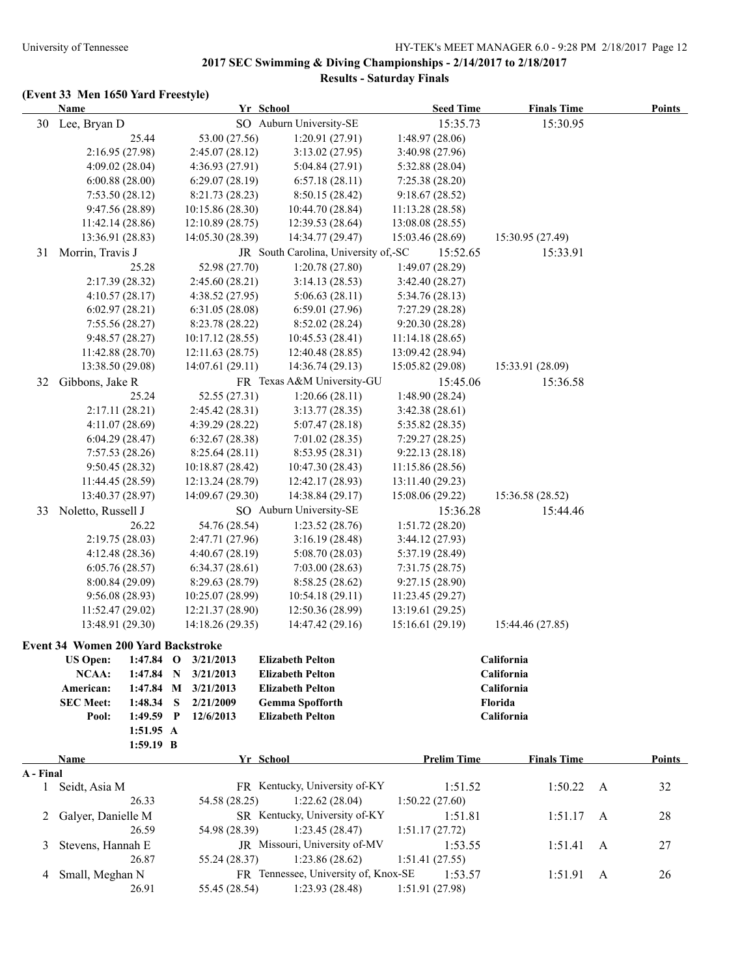|              | <b>Name</b>                               |             |   |                                      | Yr School                            | <b>Seed Time</b>                    | <b>Finals Time</b> |   | <b>Points</b> |
|--------------|-------------------------------------------|-------------|---|--------------------------------------|--------------------------------------|-------------------------------------|--------------------|---|---------------|
|              | 30 Lee, Bryan D                           |             |   |                                      | SO Auburn University-SE              | 15:35.73                            | 15:30.95           |   |               |
|              |                                           | 25.44       |   | 53.00 (27.56)                        | 1:20.91(27.91)                       | 1:48.97 (28.06)                     |                    |   |               |
|              | 2:16.95 (27.98)                           |             |   | 2:45.07(28.12)                       | 3:13.02(27.95)                       | 3:40.98 (27.96)                     |                    |   |               |
|              | 4:09.02(28.04)                            |             |   | 4:36.93(27.91)                       | 5:04.84(27.91)                       | 5:32.88(28.04)                      |                    |   |               |
|              | 6:00.88(28.00)                            |             |   | 6:29.07(28.19)                       | 6:57.18(28.11)                       | 7:25.38(28.20)                      |                    |   |               |
|              | 7:53.50(28.12)                            |             |   | 8:21.73 (28.23)                      | 8:50.15(28.42)                       | 9:18.67(28.52)                      |                    |   |               |
|              | 9:47.56 (28.89)                           |             |   | 10:15.86 (28.30)                     | 10:44.70 (28.84)                     | 11:13.28 (28.58)                    |                    |   |               |
|              | 11:42.14 (28.86)                          |             |   | 12:10.89 (28.75)                     | 12:39.53 (28.64)                     | 13:08.08 (28.55)                    |                    |   |               |
|              | 13:36.91 (28.83)                          |             |   | 14:05.30 (28.39)                     | 14:34.77 (29.47)                     | 15:03.46 (28.69)                    | 15:30.95 (27.49)   |   |               |
| 31           | Morrin, Travis J                          |             |   |                                      | JR South Carolina, University of,-SC | 15:52.65                            | 15:33.91           |   |               |
|              |                                           | 25.28       |   | 52.98 (27.70)                        | 1:20.78(27.80)                       | 1:49.07 (28.29)                     |                    |   |               |
|              | 2:17.39 (28.32)                           |             |   | 2:45.60(28.21)                       | 3:14.13(28.53)                       | 3:42.40(28.27)                      |                    |   |               |
|              | 4:10.57(28.17)                            |             |   | 4:38.52 (27.95)                      | 5:06.63(28.11)                       | 5:34.76(28.13)                      |                    |   |               |
|              | 6:02.97(28.21)                            |             |   | 6:31.05(28.08)                       | 6:59.01(27.96)                       | 7:27.29 (28.28)                     |                    |   |               |
|              | 7:55.56(28.27)                            |             |   | 8:23.78 (28.22)                      | 8:52.02(28.24)                       | 9:20.30(28.28)                      |                    |   |               |
|              | 9:48.57(28.27)                            |             |   | 10:17.12(28.55)                      | 10:45.53(28.41)                      | 11:14.18(28.65)                     |                    |   |               |
|              | 11:42.88 (28.70)                          |             |   | 12:11.63 (28.75)                     | 12:40.48 (28.85)                     | 13:09.42 (28.94)                    |                    |   |               |
|              | 13:38.50 (29.08)                          |             |   | 14:07.61(29.11)                      | 14:36.74(29.13)                      | 15:05.82 (29.08)                    | 15:33.91 (28.09)   |   |               |
| 32           | Gibbons, Jake R                           |             |   |                                      | FR Texas A&M University-GU           | 15:45.06                            | 15:36.58           |   |               |
|              |                                           | 25.24       |   | 52.55 (27.31)                        | 1:20.66(28.11)                       | 1:48.90 (28.24)                     |                    |   |               |
|              | 2:17.11(28.21)                            |             |   | 2:45.42(28.31)                       | 3:13.77(28.35)                       | 3:42.38(28.61)                      |                    |   |               |
|              | 4:11.07(28.69)                            |             |   | 4:39.29 (28.22)                      | 5:07.47(28.18)                       | 5:35.82(28.35)                      |                    |   |               |
|              | 6:04.29(28.47)                            |             |   | 6:32.67(28.38)                       | 7:01.02(28.35)                       | 7:29.27(28.25)                      |                    |   |               |
|              | 7:57.53 (28.26)                           |             |   | 8:25.64(28.11)                       | 8:53.95 (28.31)                      | 9:22.13(28.18)                      |                    |   |               |
|              | 9:50.45(28.32)                            |             |   | 10:18.87(28.42)                      | 10:47.30(28.43)                      | 11:15.86 (28.56)                    |                    |   |               |
|              | 11:44.45 (28.59)                          |             |   | 12:13.24 (28.79)                     | 12:42.17 (28.93)                     | 13:11.40 (29.23)                    |                    |   |               |
|              | 13:40.37 (28.97)                          |             |   | 14:09.67 (29.30)                     | 14:38.84 (29.17)                     | 15:08.06 (29.22)                    | 15:36.58 (28.52)   |   |               |
| 33           | Noletto, Russell J                        |             |   |                                      | SO Auburn University-SE              | 15:36.28                            | 15:44.46           |   |               |
|              |                                           | 26.22       |   | 54.76 (28.54)                        | 1:23.52(28.76)                       | 1:51.72(28.20)                      |                    |   |               |
|              | 2:19.75(28.03)                            |             |   | 2:47.71 (27.96)                      | 3:16.19(28.48)                       | 3:44.12 (27.93)                     |                    |   |               |
|              | 4:12.48 (28.36)                           |             |   | 4:40.67(28.19)                       | 5:08.70(28.03)                       | 5:37.19 (28.49)                     |                    |   |               |
|              |                                           |             |   |                                      |                                      |                                     |                    |   |               |
|              | 6:05.76(28.57)                            |             |   | 6:34.37(28.61)                       | 7:03.00(28.63)<br>8:58.25 (28.62)    | 7:31.75(28.75)<br>9:27.15 (28.90)   |                    |   |               |
|              | 8:00.84(29.09)                            |             |   | 8:29.63(28.79)                       |                                      |                                     |                    |   |               |
|              | 9:56.08(28.93)                            |             |   | 10:25.07 (28.99)                     | 10:54.18(29.11)                      | 11:23.45(29.27)<br>13:19.61 (29.25) |                    |   |               |
|              | 11:52.47(29.02)                           |             |   | 12:21.37 (28.90)<br>14:18.26 (29.35) | 12:50.36 (28.99)                     |                                     | 15:44.46 (27.85)   |   |               |
|              | 13:48.91 (29.30)                          |             |   |                                      | 14:47.42 (29.16)                     | 15:16.61(29.19)                     |                    |   |               |
|              | <b>Event 34 Women 200 Yard Backstroke</b> |             |   |                                      |                                      |                                     |                    |   |               |
|              | <b>US Open:</b>                           | $1:47.84$ O |   | 3/21/2013                            | <b>Elizabeth Pelton</b>              |                                     | California         |   |               |
|              | NCAA:                                     | $1:47.84$ N |   | 3/21/2013                            | <b>Elizabeth Pelton</b>              |                                     | California         |   |               |
|              | American:                                 | 1:47.84 M   |   | 3/21/2013                            | <b>Elizabeth Pelton</b>              |                                     | California         |   |               |
|              | <b>SEC Meet:</b>                          | 1:48.34     | S | 2/21/2009                            | <b>Gemma Spofforth</b>               |                                     | Florida            |   |               |
|              | Pool:                                     | 1:49.59 P   |   | 12/6/2013                            | <b>Elizabeth Pelton</b>              |                                     | California         |   |               |
|              |                                           | 1:51.95 A   |   |                                      |                                      |                                     |                    |   |               |
|              |                                           | 1:59.19 B   |   |                                      |                                      |                                     |                    |   |               |
|              | <b>Name</b>                               |             |   |                                      | Yr School                            | <b>Prelim Time</b>                  | <b>Finals Time</b> |   | <b>Points</b> |
| A - Final    |                                           |             |   |                                      |                                      |                                     |                    |   |               |
| $\mathbf{1}$ | Seidt, Asia M                             |             |   |                                      | FR Kentucky, University of-KY        | 1:51.52                             | 1:50.22            | A | 32            |
|              |                                           | 26.33       |   | 54.58 (28.25)                        | 1:22.62(28.04)                       | 1:50.22(27.60)                      |                    |   |               |
| 2            | Galyer, Danielle M                        |             |   |                                      | SR Kentucky, University of-KY        | 1:51.81                             | 1:51.17            | A | 28            |
|              |                                           | 26.59       |   | 54.98 (28.39)                        | 1:23.45(28.47)                       | 1:51.17(27.72)                      |                    |   |               |
| 3            | Stevens, Hannah E                         |             |   |                                      | JR Missouri, University of-MV        | 1:53.55                             | 1:51.41            | A | 27            |
|              |                                           | 26.87       |   | 55.24 (28.37)                        | 1:23.86(28.62)                       | 1:51.41(27.55)                      |                    |   |               |
| 4            | Small, Meghan N                           |             |   |                                      | FR Tennessee, University of, Knox-SE | 1:53.57                             | 1:51.91            | A | 26            |
|              |                                           | 26.91       |   | 55.45 (28.54)                        | 1:23.93(28.48)                       | 1:51.91 (27.98)                     |                    |   |               |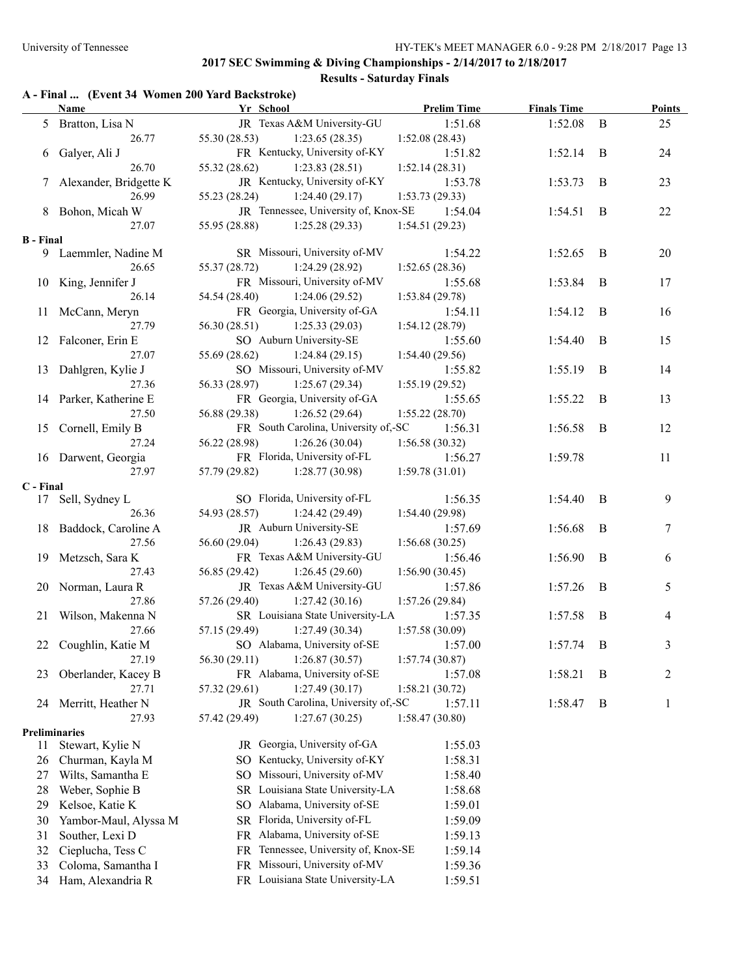# **Results - Saturday Finals**

### **A - Final ... (Event 34 Women 200 Yard Backstroke)**

|                  | <b>Name</b>              | $\mu$ and $\sigma$ are $\mu$ and $\mu$ and $\mu$ and $\sigma$<br>Yr School | <b>Prelim Time</b> | <b>Finals Time</b> |              | <b>Points</b> |
|------------------|--------------------------|----------------------------------------------------------------------------|--------------------|--------------------|--------------|---------------|
|                  | 5 Bratton, Lisa N        | JR Texas A&M University-GU                                                 | 1:51.68            | 1:52.08            | $\mathbf{B}$ | 25            |
|                  | 26.77                    | 55.30 (28.53)<br>1:23.65(28.35)                                            | 1:52.08(28.43)     |                    |              |               |
|                  | 6 Galyer, Ali J          | FR Kentucky, University of-KY                                              | 1:51.82            | 1:52.14            | B            | 24            |
|                  | 26.70                    | 55.32 (28.62)<br>1:23.83(28.51)                                            | 1:52.14(28.31)     |                    |              |               |
|                  | 7 Alexander, Bridgette K | JR Kentucky, University of-KY                                              | 1:53.78            | 1:53.73            | B            | 23            |
|                  | 26.99                    | 55.23 (28.24)<br>1:24.40(29.17)                                            | 1:53.73(29.33)     |                    |              |               |
|                  | 8 Bohon, Micah W         | JR Tennessee, University of, Knox-SE                                       | 1:54.04            | 1:54.51            | B            | 22            |
|                  | 27.07                    | 55.95 (28.88)<br>1:25.28(29.33)                                            | 1:54.51(29.23)     |                    |              |               |
| <b>B</b> - Final |                          |                                                                            |                    |                    |              |               |
|                  | 9 Laemmler, Nadine M     | SR Missouri, University of-MV                                              | 1:54.22            | 1:52.65            | B            | 20            |
|                  | 26.65                    | 55.37 (28.72)<br>1:24.29(28.92)                                            | 1:52.65(28.36)     |                    |              |               |
|                  | 10 King, Jennifer J      | FR Missouri, University of-MV                                              | 1:55.68            | 1:53.84            | B            | 17            |
|                  | 26.14                    | 1:24.06(29.52)<br>54.54 (28.40)                                            | 1:53.84(29.78)     |                    |              |               |
|                  | 11 McCann, Meryn         | FR Georgia, University of-GA                                               | 1:54.11            | 1:54.12            | - B          | 16            |
|                  | 27.79                    | 56.30 (28.51)<br>1:25.33(29.03)                                            | 1:54.12(28.79)     |                    |              |               |
|                  | 12 Falconer, Erin E      | SO Auburn University-SE                                                    | 1:55.60            | 1:54.40            | B            | 15            |
|                  | 27.07                    | 55.69 (28.62)<br>1:24.84(29.15)                                            | 1:54.40(29.56)     |                    |              |               |
|                  | 13 Dahlgren, Kylie J     | SO Missouri, University of-MV                                              | 1:55.82            | 1:55.19            | B            | 14            |
|                  | 27.36                    | 56.33 (28.97)<br>1:25.67(29.34)                                            | 1:55.19(29.52)     |                    |              |               |
|                  | 14 Parker, Katherine E   | FR Georgia, University of-GA                                               | 1:55.65            | 1:55.22            | B            | 13            |
|                  | 27.50                    | 56.88 (29.38)<br>1:26.52(29.64)                                            | 1:55.22(28.70)     |                    |              |               |
|                  | 15 Cornell, Emily B      | FR South Carolina, University of,-SC                                       | 1:56.31            | 1:56.58            | B            | 12            |
|                  | 27.24                    | 56.22 (28.98)<br>1:26.26(30.04)                                            | 1:56.58(30.32)     |                    |              |               |
|                  | 16 Darwent, Georgia      | FR Florida, University of-FL                                               | 1:56.27            | 1:59.78            |              | 11            |
|                  | 27.97                    | 57.79 (29.82)<br>1:28.77(30.98)                                            | 1:59.78(31.01)     |                    |              |               |
| C - Final        |                          |                                                                            |                    |                    |              |               |
|                  | 17 Sell, Sydney L        | SO Florida, University of-FL                                               | 1:56.35            | 1:54.40            | - B          | 9             |
|                  | 26.36                    | 54.93 (28.57)<br>1:24.42(29.49)                                            | 1:54.40(29.98)     |                    |              |               |
|                  | 18 Baddock, Caroline A   | JR Auburn University-SE                                                    | 1:57.69            | 1:56.68            | B            | 7             |
|                  | 27.56                    | 56.60 (29.04)<br>1:26.43(29.83)                                            | 1:56.68(30.25)     |                    |              |               |
|                  | 19 Metzsch, Sara K       | FR Texas A&M University-GU                                                 | 1:56.46            | 1:56.90            | B            | 6             |
|                  | 27.43                    | 56.85 (29.42)<br>1:26.45(29.60)                                            | 1:56.90(30.45)     |                    |              |               |
|                  | 20 Norman, Laura R       | JR Texas A&M University-GU                                                 | 1:57.86            | 1:57.26            | B            | 5             |
|                  | 27.86                    | 57.26 (29.40)<br>1:27.42(30.16)                                            | 1:57.26(29.84)     |                    |              |               |
|                  | 21 Wilson, Makenna N     | SR Louisiana State University-LA                                           | 1:57.35            | 1:57.58            | B            | 4             |
|                  | 27.66                    | 57.15 (29.49)<br>1:27.49(30.34)                                            | 1:57.58(30.09)     |                    |              |               |
| 22               | Coughlin, Katie M        | SO Alabama, University of-SE                                               | 1:57.00            | 1:57.74            | $\,$ B       | 3             |
|                  | 27.19                    | 56.30 (29.11)<br>1:26.87(30.57)                                            | 1:57.74(30.87)     |                    |              |               |
| 23               | Oberlander, Kacey B      | FR Alabama, University of-SE                                               | 1:57.08            | 1:58.21            | B            | 2             |
|                  | 27.71                    | 57.32 (29.61)<br>1:27.49(30.17)                                            | 1:58.21(30.72)     |                    |              |               |
| 24               | Merritt, Heather N       | JR South Carolina, University of,-SC                                       | 1:57.11            | 1:58.47            | B            | 1             |
|                  | 27.93                    | 57.42 (29.49)<br>1:27.67(30.25)                                            | 1:58.47(30.80)     |                    |              |               |
| Preliminaries    |                          |                                                                            |                    |                    |              |               |
| 11               | Stewart, Kylie N         | JR Georgia, University of-GA                                               | 1:55.03            |                    |              |               |
| 26               | Churman, Kayla M         | SO Kentucky, University of-KY                                              | 1:58.31            |                    |              |               |
| 27               | Wilts, Samantha E        | Missouri, University of-MV<br>SO.                                          | 1:58.40            |                    |              |               |
| 28               | Weber, Sophie B          | SR Louisiana State University-LA                                           | 1:58.68            |                    |              |               |
| 29               | Kelsoe, Katie K          | Alabama, University of-SE<br>SO                                            | 1:59.01            |                    |              |               |
| 30               | Yambor-Maul, Alyssa M    | SR Florida, University of-FL                                               | 1:59.09            |                    |              |               |
| 31               | Souther, Lexi D          | FR Alabama, University of-SE                                               | 1:59.13            |                    |              |               |
| 32               | Cieplucha, Tess C        | FR Tennessee, University of, Knox-SE                                       | 1:59.14            |                    |              |               |
| 33               | Coloma, Samantha I       | FR Missouri, University of-MV                                              | 1:59.36            |                    |              |               |
| 34               | Ham, Alexandria R        | FR Louisiana State University-LA                                           | 1:59.51            |                    |              |               |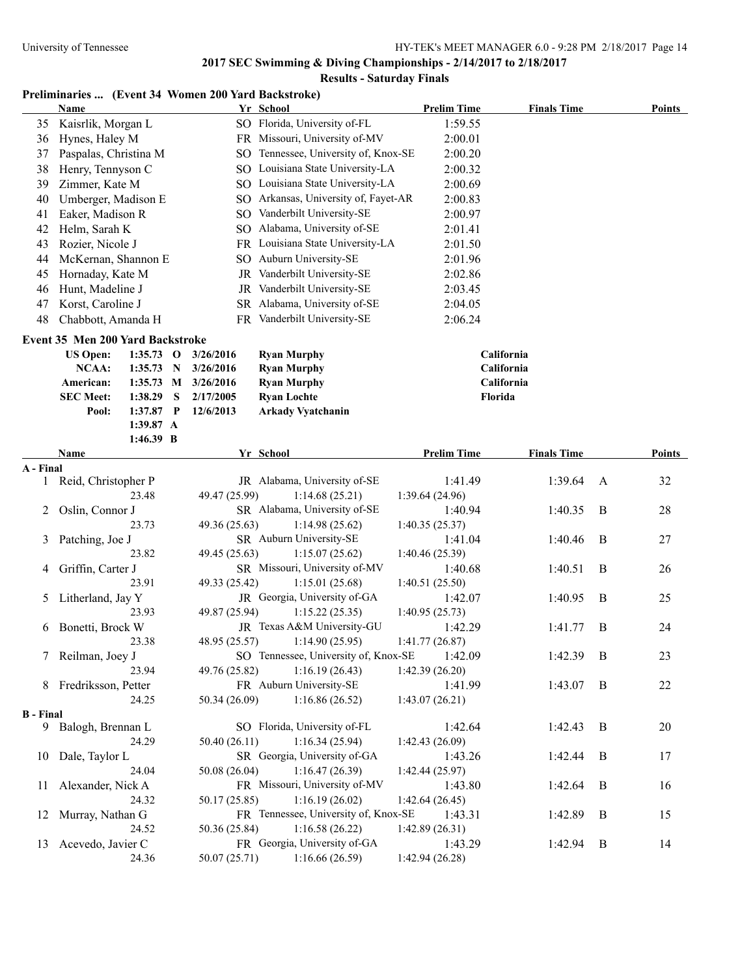#### **Results - Saturday Finals**

### **Preliminaries ... (Event 34 Women 200 Yard Backstroke)**

|    | Name                                          |     | Yr School                         | <b>Prelim Time</b> | <b>Finals Time</b> | Points |
|----|-----------------------------------------------|-----|-----------------------------------|--------------------|--------------------|--------|
| 35 | Kaisrlik, Morgan L                            |     | SO Florida, University of-FL      | 1:59.55            |                    |        |
| 36 | Hynes, Haley M                                |     | FR Missouri, University of-MV     | 2:00.01            |                    |        |
| 37 | Paspalas, Christina M                         | SO. | Tennessee, University of, Knox-SE | 2:00.20            |                    |        |
| 38 | Henry, Tennyson C                             | SO. | Louisiana State University-LA     | 2:00.32            |                    |        |
| 39 | Zimmer, Kate M                                |     | SO Louisiana State University-LA  | 2:00.69            |                    |        |
| 40 | Umberger, Madison E                           | SO. | Arkansas, University of, Fayet-AR | 2:00.83            |                    |        |
| 41 | Eaker, Madison R                              | SO. | Vanderbilt University-SE          | 2:00.97            |                    |        |
| 42 | Helm, Sarah K                                 | SO. | Alabama, University of-SE         | 2:01.41            |                    |        |
| 43 | Rozier, Nicole J                              |     | FR Louisiana State University-LA  | 2:01.50            |                    |        |
| 44 | McKernan, Shannon E                           | SO. | <b>Auburn University-SE</b>       | 2:01.96            |                    |        |
| 45 | Hornaday, Kate M                              | JR  | Vanderbilt University-SE          | 2:02.86            |                    |        |
| 46 | Hunt, Madeline J                              | JR  | Vanderbilt University-SE          | 2:03.45            |                    |        |
| 47 | Korst, Caroline J                             |     | SR Alabama, University of-SE      | 2:04.05            |                    |        |
| 48 | Chabbott, Amanda H                            |     | FR Vanderbilt University-SE       | 2:06.24            |                    |        |
|    | <b>Event 35 Men 200 Yard Backstroke</b>       |     |                                   |                    |                    |        |
|    | <b>US Open:</b><br>1:35.73<br>3/26/2016<br>-0 |     | <b>Ryan Murphy</b>                |                    | California         |        |

| NCAA:            | 1:35.73 N 3/26/2016     | <b>Ryan Murphy</b>       | <b>California</b> |
|------------------|-------------------------|--------------------------|-------------------|
| <b>American:</b> | 1:35.73 M $3/26/2016$   | <b>Ryan Murphy</b>       | <b>California</b> |
| <b>SEC</b> Meet: | $1:38.29$ S $2/17/2005$ | <b>Ryan Lochte</b>       | <b>Florida</b>    |
| Pool:            | 1:37.87 P $12/6/2013$   | <b>Arkady Vyatchanin</b> |                   |
|                  | 1:39.87 A               |                          |                   |
|                  | $1:46.39$ B             |                          |                   |
|                  |                         |                          |                   |

|                  | Yr School<br>Name     |  | <b>Prelim Time</b>                            | <b>Finals Time</b> |             | <b>Points</b>  |    |
|------------------|-----------------------|--|-----------------------------------------------|--------------------|-------------|----------------|----|
| A - Final        |                       |  |                                               |                    |             |                |    |
|                  | 1 Reid, Christopher P |  | JR Alabama, University of-SE                  | 1:41.49            | 1:39.64 A   |                | 32 |
|                  | 23.48                 |  | $49.47(25.99)$ 1:14.68 (25.21)                | 1:39.64(24.96)     |             |                |    |
|                  | 2 Oslin, Connor J     |  | SR Alabama, University of-SE                  | 1:40.94            | 1:40.35     | B              | 28 |
|                  | 23.73                 |  | $49.36(25.63)$ 1:14.98 (25.62)                | 1:40.35(25.37)     |             |                |    |
|                  | Patching, Joe J       |  | SR Auburn University-SE                       | 1:41.04            | 1:40.46     | $\overline{B}$ | 27 |
|                  | 23.82                 |  | $49.45(25.63)$ 1:15.07 (25.62)                | 1:40.46(25.39)     |             |                |    |
|                  | 4 Griffin, Carter J   |  | SR Missouri, University of-MV                 | 1:40.68            | 1:40.51     | B              | 26 |
|                  | 23.91                 |  | 49.33 (25.42) 1:15.01 (25.68)                 | 1:40.51(25.50)     |             |                |    |
|                  | 5 Litherland, Jay Y   |  | JR Georgia, University of-GA                  | 1:42.07            | 1:40.95     | B              | 25 |
|                  | 23.93                 |  | $49.87(25.94)$ 1:15.22 (25.35)                | 1:40.95(25.73)     |             |                |    |
|                  | 6 Bonetti, Brock W    |  | JR Texas A&M University-GU                    | 1:42.29            | 1:41.77     | B              | 24 |
|                  | 23.38                 |  | 48.95 (25.57) 1:14.90 (25.95)                 | 1:41.77(26.87)     |             |                |    |
|                  | Reilman, Joey J       |  | SO Tennessee, University of, Knox-SE          | 1:42.09            | 1:42.39     | <sup>B</sup>   | 23 |
|                  | 23.94                 |  | 49.76 (25.82) 1:16.19 (26.43) 1:42.39 (26.20) |                    |             |                |    |
|                  | 8 Fredriksson, Petter |  | FR Auburn University-SE 1:41.99               |                    | 1:43.07     | B              | 22 |
|                  | 24.25                 |  | $50.34(26.09)$ 1:16.86 (26.52)                | 1:43.07(26.21)     |             |                |    |
| <b>B</b> - Final |                       |  |                                               |                    |             |                |    |
|                  | 9 Balogh, Brennan L   |  | SO Florida, University of-FL                  | 1:42.64            | $1:42.43$ B |                | 20 |
|                  | 24.29                 |  | $50.40(26.11)$ 1:16.34 (25.94)                | 1:42.43(26.09)     |             |                |    |
|                  | 10 Dale, Taylor L     |  | SR Georgia, University of-GA                  | 1:43.26            | $1:42.44$ B |                | 17 |
|                  | 24.04                 |  | $50.08(26.04)$ 1:16.47 (26.39)                | 1:42.44(25.97)     |             |                |    |
|                  | 11 Alexander, Nick A  |  | FR Missouri, University of-MV                 | 1:43.80            | 1:42.64     | B              | 16 |
|                  | 24.32                 |  | $50.17(25.85)$ $1:16.19(26.02)$               | 1:42.64(26.45)     |             |                |    |
|                  | 12 Murray, Nathan G   |  | FR Tennessee, University of, Knox-SE          | 1:43.31            | 1:42.89     | <sup>B</sup>   | 15 |
|                  | 24.52                 |  | 50.36 (25.84) 1:16.58 (26.22) 1:42.89 (26.31) |                    |             |                |    |
|                  | 13 Acevedo, Javier C  |  | FR Georgia, University of-GA                  | 1:43.29            | 1:42.94     | $\overline{B}$ | 14 |
|                  | 24.36                 |  | $50.07(25.71)$ 1:16.66 (26.59)                | 1:42.94 (26.28)    |             |                |    |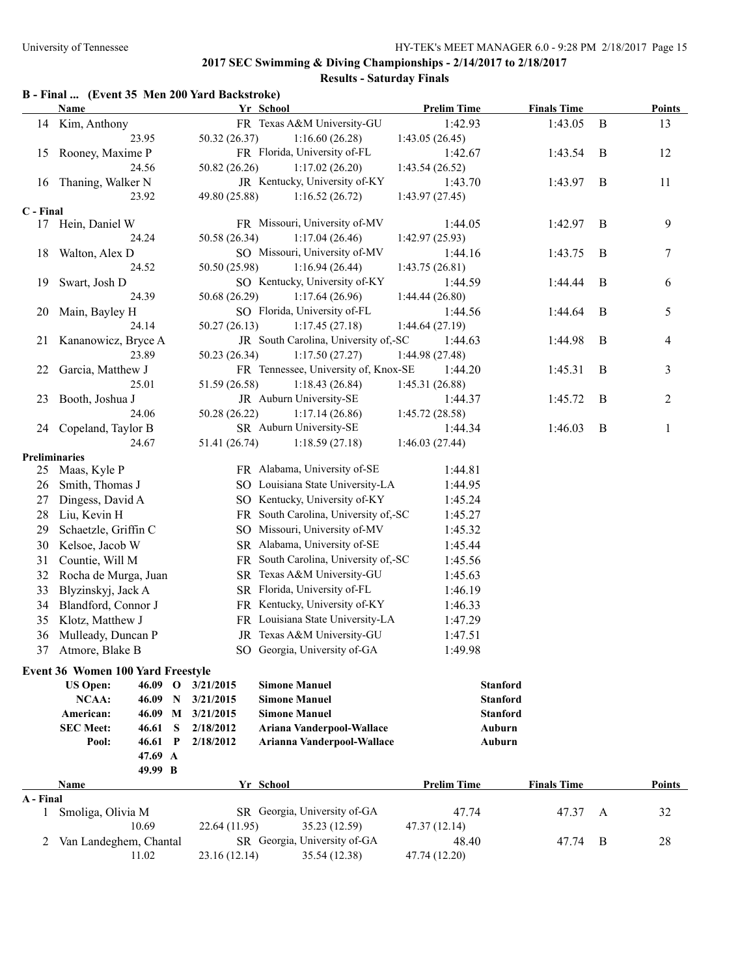# **Results - Saturday Finals**

|              | <b>Name</b>                              |                           | Yr School                            | <b>Prelim Time</b> | <b>Finals Time</b> |              | <b>Points</b>  |
|--------------|------------------------------------------|---------------------------|--------------------------------------|--------------------|--------------------|--------------|----------------|
|              | 14 Kim, Anthony                          |                           | FR Texas A&M University-GU           | 1:42.93            | 1:43.05            | $\mathbf{B}$ | 13             |
|              | 23.95                                    | 50.32 (26.37)             | 1:16.60(26.28)                       | 1:43.05(26.45)     |                    |              |                |
| 15           | Rooney, Maxime P                         |                           | FR Florida, University of-FL         | 1:42.67            | 1:43.54            | B            | 12             |
|              | 24.56                                    | 50.82 (26.26)             | 1:17.02(26.20)                       | 1:43.54(26.52)     |                    |              |                |
| 16           | Thaning, Walker N                        |                           | JR Kentucky, University of-KY        | 1:43.70            | 1:43.97            | B            | 11             |
|              | 23.92                                    | 49.80 (25.88)             | 1:16.52(26.72)                       | 1:43.97(27.45)     |                    |              |                |
| C - Final    |                                          |                           |                                      |                    |                    |              |                |
| 17           | Hein, Daniel W                           |                           | FR Missouri, University of-MV        | 1:44.05            | 1:42.97            | B            | 9              |
|              | 24.24                                    | 50.58 (26.34)             | 1:17.04(26.46)                       | 1:42.97 (25.93)    |                    |              |                |
| 18           | Walton, Alex D                           |                           | SO Missouri, University of-MV        | 1:44.16            | 1:43.75            | B            | $\tau$         |
|              | 24.52                                    | 50.50 (25.98)             | 1:16.94(26.44)                       | 1:43.75(26.81)     |                    |              |                |
| 19           | Swart, Josh D                            |                           | SO Kentucky, University of-KY        | 1:44.59            | 1:44.44            | B            | 6              |
|              | 24.39                                    | 50.68 (26.29)             | 1:17.64(26.96)                       | 1:44.44(26.80)     |                    |              |                |
| 20           | Main, Bayley H                           |                           | SO Florida, University of-FL         | 1:44.56            | 1:44.64            | B            | 5              |
|              | 24.14                                    | 50.27(26.13)              | 1:17.45(27.18)                       | 1:44.64(27.19)     |                    |              |                |
|              | 21 Kananowicz, Bryce A                   |                           | JR South Carolina, University of,-SC | 1:44.63            | 1:44.98            | B            | 4              |
|              | 23.89                                    | 50.23 (26.34)             | 1:17.50(27.27)                       | 1:44.98 (27.48)    |                    |              |                |
| 22           | Garcia, Matthew J                        |                           | FR Tennessee, University of, Knox-SE | 1:44.20            | 1:45.31            | B            | 3              |
|              | 25.01                                    | 51.59 (26.58)             | 1:18.43(26.84)                       | 1:45.31(26.88)     |                    |              |                |
| 23           | Booth, Joshua J                          |                           | JR Auburn University-SE              | 1:44.37            | 1:45.72            | B            | $\overline{c}$ |
|              | 24.06                                    | 50.28 (26.22)             | 1:17.14(26.86)                       | 1:45.72(28.58)     |                    |              |                |
| 24           | Copeland, Taylor B                       |                           | SR Auburn University-SE              | 1:44.34            | 1:46.03            | B            | 1              |
|              | 24.67                                    | 51.41 (26.74)             | 1:18.59(27.18)                       | 1:46.03(27.44)     |                    |              |                |
|              | <b>Preliminaries</b>                     |                           |                                      |                    |                    |              |                |
|              | 25 Maas, Kyle P                          |                           | FR Alabama, University of-SE         | 1:44.81            |                    |              |                |
| 26           | Smith, Thomas J                          |                           | SO Louisiana State University-LA     | 1:44.95            |                    |              |                |
| 27           | Dingess, David A                         |                           | SO Kentucky, University of-KY        | 1:45.24            |                    |              |                |
| 28           | Liu, Kevin H                             |                           | FR South Carolina, University of,-SC | 1:45.27            |                    |              |                |
| 29           | Schaetzle, Griffin C                     |                           | SO Missouri, University of-MV        | 1:45.32            |                    |              |                |
| 30           | Kelsoe, Jacob W                          |                           | SR Alabama, University of-SE         | 1:45.44            |                    |              |                |
| 31           | Countie, Will M                          |                           | FR South Carolina, University of,-SC | 1:45.56            |                    |              |                |
| 32           | Rocha de Murga, Juan                     |                           | SR Texas A&M University-GU           | 1:45.63            |                    |              |                |
| 33           | Blyzinskyj, Jack A                       |                           | SR Florida, University of-FL         | 1:46.19            |                    |              |                |
| 34           | Blandford, Connor J                      |                           | FR Kentucky, University of-KY        | 1:46.33            |                    |              |                |
| 35           | Klotz, Matthew J                         |                           | FR Louisiana State University-LA     | 1:47.29            |                    |              |                |
| 36           | Mulleady, Duncan P                       |                           | JR Texas A&M University-GU           | 1:47.51            |                    |              |                |
| 37           | Atmore, Blake B                          |                           | SO Georgia, University of-GA         | 1:49.98            |                    |              |                |
|              | <b>Event 36 Women 100 Yard Freestyle</b> |                           |                                      |                    |                    |              |                |
|              | <b>US Open:</b><br>46.09                 | $\mathbf{o}$<br>3/21/2015 | <b>Simone Manuel</b>                 |                    | <b>Stanford</b>    |              |                |
|              | NCAA:<br>46.09                           | 3/21/2015<br>$\mathbf N$  | <b>Simone Manuel</b>                 |                    | <b>Stanford</b>    |              |                |
|              |                                          | 3/21/2015                 | <b>Simone Manuel</b>                 |                    | <b>Stanford</b>    |              |                |
|              |                                          |                           |                                      |                    | Auburn             |              |                |
|              | American:<br>46.09 M                     |                           |                                      |                    |                    |              |                |
|              | <b>SEC Meet:</b><br>46.61                | 2/18/2012<br>S            | Ariana Vanderpool-Wallace            |                    |                    |              |                |
|              | 46.61<br>Pool:                           | 2/18/2012<br>$\mathbf P$  | Arianna Vanderpool-Wallace           |                    | Auburn             |              |                |
|              | 47.69 A<br>49.99 B                       |                           |                                      |                    |                    |              |                |
|              | Name                                     |                           | Yr School                            | <b>Prelim Time</b> | <b>Finals Time</b> |              | <b>Points</b>  |
| A - Final    |                                          |                           |                                      |                    |                    |              |                |
| $\mathbf{1}$ | Smoliga, Olivia M                        |                           | SR Georgia, University of-GA         | 47.74              | 47.37              | $\mathbf{A}$ | 32             |
|              | 10.69                                    | 22.64 (11.95)             | 35.23 (12.59)                        | 47.37 (12.14)      |                    |              |                |
| 2            | Van Landeghem, Chantal                   |                           | SR Georgia, University of-GA         | 48.40              | 47.74              | B            | 28             |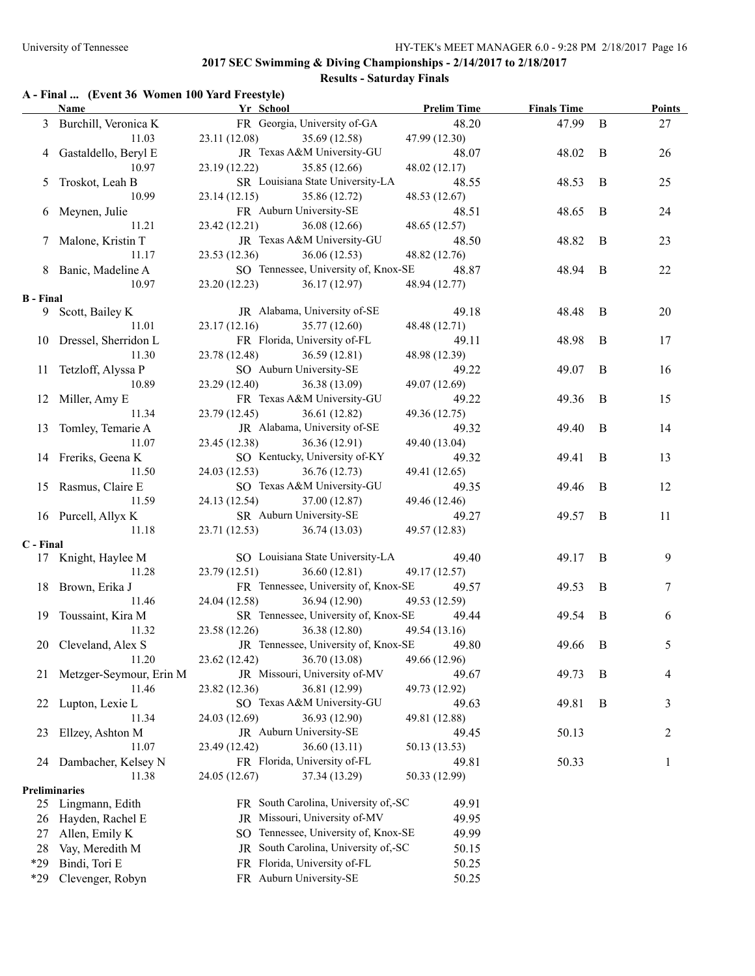# **Results - Saturday Finals**

|  |  |  |  | A - Final  (Event 36 Women 100 Yard Freestyle) |  |
|--|--|--|--|------------------------------------------------|--|
|--|--|--|--|------------------------------------------------|--|

|                  | <b>Name</b>             | Yr School                   |                                            | <b>Prelim Time</b> | <b>Finals Time</b> |              | <b>Points</b> |
|------------------|-------------------------|-----------------------------|--------------------------------------------|--------------------|--------------------|--------------|---------------|
|                  | 3 Burchill, Veronica K  |                             | FR Georgia, University of-GA               | 48.20              | 47.99              | $\mathbf{B}$ | 27            |
|                  | 11.03                   | 23.11 (12.08)               | 35.69 (12.58)                              | 47.99 (12.30)      |                    |              |               |
|                  | 4 Gastaldello, Beryl E  |                             | JR Texas A&M University-GU                 | 48.07              | 48.02              | B            | 26            |
|                  | 10.97                   | 23.19 (12.22)               | 35.85 (12.66)                              | 48.02 (12.17)      |                    |              |               |
|                  | 5 Troskot, Leah B       |                             | SR Louisiana State University-LA           | 48.55              | 48.53              | B            | 25            |
|                  | 10.99                   | 23.14(12.15)                | 35.86 (12.72)                              | 48.53 (12.67)      |                    |              |               |
|                  | 6 Meynen, Julie         |                             | FR Auburn University-SE                    | 48.51              | 48.65              | B            | 24            |
|                  | 11.21                   | 23.42 (12.21)               | 36.08 (12.66)                              | 48.65 (12.57)      |                    |              |               |
|                  | 7 Malone, Kristin T     |                             | JR Texas A&M University-GU                 | 48.50              | 48.82              | B            | 23            |
|                  | 11.17                   | 23.53(12.36)                | 36.06 (12.53)                              | 48.82 (12.76)      |                    |              |               |
|                  | 8 Banic, Madeline A     |                             | SO Tennessee, University of, Knox-SE       | 48.87              | 48.94              | B            | 22            |
|                  | 10.97                   |                             | 23.20 (12.23) 36.17 (12.97)                | 48.94 (12.77)      |                    |              |               |
| <b>B</b> - Final |                         |                             |                                            |                    |                    |              |               |
| 9.               | Scott, Bailey K         |                             | JR Alabama, University of-SE               | 49.18              | 48.48              | B            | 20            |
|                  | 11.01                   | 23.17 (12.16) 35.77 (12.60) |                                            | 48.48 (12.71)      |                    |              |               |
|                  | 10 Dressel, Sherridon L |                             | FR Florida, University of-FL               | 49.11              | 48.98              | B            | 17            |
|                  | 11.30                   | 23.78 (12.48) 36.59 (12.81) |                                            | 48.98 (12.39)      |                    |              |               |
|                  | 11 Tetzloff, Alyssa P   |                             | SO Auburn University-SE                    | 49.22              | 49.07              | B            | 16            |
|                  | 10.89                   | 23.29 (12.40) 36.38 (13.09) |                                            | 49.07 (12.69)      |                    |              |               |
|                  | 12 Miller, Amy E        |                             | FR Texas A&M University-GU                 | 49.22              | 49.36              | B            | 15            |
|                  | 11.34                   | 23.79(12.45)                | 36.61 (12.82)                              | 49.36 (12.75)      |                    |              |               |
|                  | 13 Tomley, Temarie A    |                             | JR Alabama, University of-SE               | 49.32              | 49.40              | B            | 14            |
|                  | 11.07                   | 23.45 (12.38)               | 36.36 (12.91)                              | 49.40 (13.04)      |                    |              |               |
|                  | 14 Freriks, Geena K     |                             | SO Kentucky, University of-KY              | 49.32              | 49.41              | B            | 13            |
|                  | 11.50                   | 24.03 (12.53)               | 36.76 (12.73)                              | 49.41 (12.65)      |                    |              |               |
|                  | 15 Rasmus, Claire E     |                             | SO Texas A&M University-GU                 | 49.35              | 49.46              | B            | 12            |
|                  | 11.59                   | 24.13 (12.54)               | 37.00 (12.87)                              | 49.46 (12.46)      |                    |              |               |
|                  | 16 Purcell, Allyx K     |                             | SR Auburn University-SE                    | 49.27              | 49.57              | B            | 11            |
|                  | 11.18                   |                             | 23.71 (12.53) 36.74 (13.03)                | 49.57 (12.83)      |                    |              |               |
| C - Final        |                         |                             |                                            |                    |                    |              |               |
|                  | 17 Knight, Haylee M     |                             | SO Louisiana State University-LA           | 49.40              | 49.17              | B            | 9             |
|                  | 11.28                   | 23.79(12.51)                | 36.60(12.81)                               | 49.17 (12.57)      |                    |              |               |
|                  |                         |                             | FR Tennessee, University of, Knox-SE       |                    |                    |              |               |
|                  | 18 Brown, Erika J       | 24.04 (12.58)               |                                            | 49.57              | 49.53              | B            | $\tau$        |
|                  | 11.46                   |                             | 36.94 (12.90)                              | 49.53 (12.59)      |                    |              |               |
|                  | 19 Toussaint, Kira M    |                             | SR Tennessee, University of, Knox-SE       | 49.44              | 49.54              | B            | 6             |
|                  | 11.32                   | 23.58 (12.26)               | 36.38 (12.80)                              | 49.54 (13.16)      |                    |              |               |
|                  | 20 Cleveland, Alex S    |                             | JR Tennessee, University of, Knox-SE 49.80 |                    | 49.66              | B            | 5             |
|                  | 11.20                   | 23.62 (12.42)               | 36.70 (13.08)                              | 49.66 (12.96)      |                    |              |               |
| 21               | Metzger-Seymour, Erin M |                             | JR Missouri, University of-MV              | 49.67              | 49.73              | B            | 4             |
|                  | 11.46                   | 23.82 (12.36)               | 36.81 (12.99)                              | 49.73 (12.92)      |                    |              |               |
| 22               | Lupton, Lexie L         |                             | SO Texas A&M University-GU                 | 49.63              | 49.81              | B            | 3             |
|                  | 11.34                   | 24.03 (12.69)               | 36.93 (12.90)                              | 49.81 (12.88)      |                    |              |               |
| 23               | Ellzey, Ashton M        |                             | JR Auburn University-SE                    | 49.45              | 50.13              |              | 2             |
|                  | 11.07                   | 23.49 (12.42)               | 36.60(13.11)                               | 50.13 (13.53)      |                    |              |               |
|                  | 24 Dambacher, Kelsey N  |                             | FR Florida, University of-FL               | 49.81              | 50.33              |              | $\mathbf{1}$  |
|                  | 11.38                   | 24.05 (12.67)               | 37.34 (13.29)                              | 50.33 (12.99)      |                    |              |               |
|                  | <b>Preliminaries</b>    |                             |                                            |                    |                    |              |               |
| 25               | Lingmann, Edith         |                             | FR South Carolina, University of,-SC       | 49.91              |                    |              |               |
| 26               | Hayden, Rachel E        |                             | JR Missouri, University of-MV              | 49.95              |                    |              |               |
| 27               | Allen, Emily K          |                             | SO Tennessee, University of, Knox-SE       | 49.99              |                    |              |               |
| 28               | Vay, Meredith M         |                             | JR South Carolina, University of,-SC       | 50.15              |                    |              |               |
| *29              | Bindi, Tori E           |                             | FR Florida, University of-FL               | 50.25              |                    |              |               |
| *29              | Clevenger, Robyn        |                             | FR Auburn University-SE                    | 50.25              |                    |              |               |
|                  |                         |                             |                                            |                    |                    |              |               |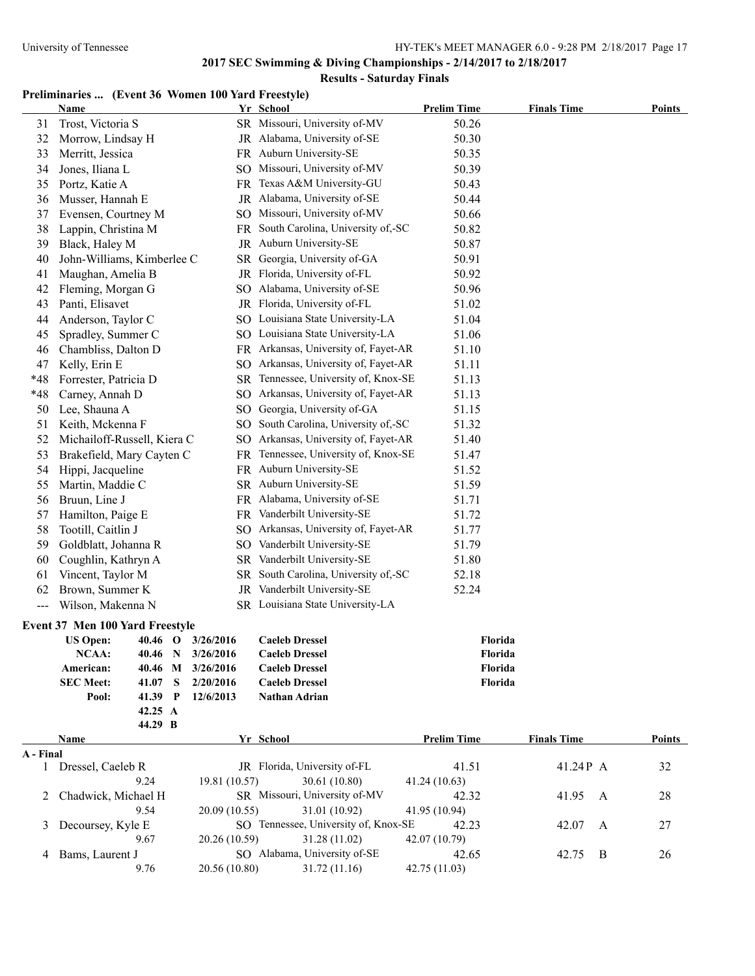### **Results - Saturday Finals**

### **Preliminaries ... (Event 36 Women 100 Yard Freestyle)**

|           | Name                                   |                                        | Yr School                                      | <b>Prelim Time</b> | <b>Finals Time</b> | <b>Points</b> |
|-----------|----------------------------------------|----------------------------------------|------------------------------------------------|--------------------|--------------------|---------------|
| 31        | Trost, Victoria S                      |                                        | SR Missouri, University of-MV                  | 50.26              |                    |               |
| 32        | Morrow, Lindsay H                      |                                        | JR Alabama, University of-SE                   | 50.30              |                    |               |
| 33        | Merritt, Jessica                       |                                        | FR Auburn University-SE                        | 50.35              |                    |               |
| 34        | Jones, Iliana L                        |                                        | SO Missouri, University of-MV                  | 50.39              |                    |               |
| 35        | Portz, Katie A                         |                                        | FR Texas A&M University-GU                     | 50.43              |                    |               |
| 36        | Musser, Hannah E                       |                                        | JR Alabama, University of-SE                   | 50.44              |                    |               |
| 37        | Evensen, Courtney M                    |                                        | SO Missouri, University of-MV                  | 50.66              |                    |               |
| 38        | Lappin, Christina M                    |                                        | FR South Carolina, University of,-SC           | 50.82              |                    |               |
| 39        | Black, Haley M                         |                                        | JR Auburn University-SE                        | 50.87              |                    |               |
| 40        | John-Williams, Kimberlee C             |                                        | SR Georgia, University of-GA                   | 50.91              |                    |               |
| 41        | Maughan, Amelia B                      |                                        | JR Florida, University of-FL                   | 50.92              |                    |               |
| 42        | Fleming, Morgan G                      |                                        | SO Alabama, University of-SE                   | 50.96              |                    |               |
| 43        | Panti, Elisavet                        |                                        | JR Florida, University of-FL                   | 51.02              |                    |               |
| 44        | Anderson, Taylor C                     |                                        | SO Louisiana State University-LA               | 51.04              |                    |               |
| 45        | Spradley, Summer C                     |                                        | SO Louisiana State University-LA               | 51.06              |                    |               |
| 46        | Chambliss, Dalton D                    |                                        | FR Arkansas, University of, Fayet-AR           | 51.10              |                    |               |
| 47        | Kelly, Erin E                          |                                        | SO Arkansas, University of, Fayet-AR           | 51.11              |                    |               |
| *48       | Forrester, Patricia D                  |                                        | SR Tennessee, University of, Knox-SE           | 51.13              |                    |               |
| *48       | Carney, Annah D                        |                                        | SO Arkansas, University of, Fayet-AR           | 51.13              |                    |               |
| 50        | Lee, Shauna A                          |                                        | SO Georgia, University of-GA                   | 51.15              |                    |               |
| 51        | Keith, Mckenna F                       |                                        | SO South Carolina, University of,-SC           | 51.32              |                    |               |
| 52        | Michailoff-Russell, Kiera C            |                                        | SO Arkansas, University of, Fayet-AR           | 51.40              |                    |               |
| 53        | Brakefield, Mary Cayten C              |                                        | FR Tennessee, University of, Knox-SE           | 51.47              |                    |               |
| 54        | Hippi, Jacqueline                      |                                        | FR Auburn University-SE                        | 51.52              |                    |               |
| 55        | Martin, Maddie C                       |                                        | SR Auburn University-SE                        | 51.59              |                    |               |
| 56        | Bruun, Line J                          |                                        | FR Alabama, University of-SE                   | 51.71              |                    |               |
| 57        | Hamilton, Paige E                      |                                        | FR Vanderbilt University-SE                    | 51.72              |                    |               |
| 58        | Tootill, Caitlin J                     |                                        | SO Arkansas, University of, Fayet-AR           | 51.77              |                    |               |
| 59        | Goldblatt, Johanna R                   |                                        | SO Vanderbilt University-SE                    | 51.79              |                    |               |
| 60        | Coughlin, Kathryn A                    |                                        | SR Vanderbilt University-SE                    | 51.80              |                    |               |
| 61        | Vincent, Taylor M                      |                                        | SR South Carolina, University of,-SC           | 52.18              |                    |               |
| 62        | Brown, Summer K                        |                                        | JR Vanderbilt University-SE                    | 52.24              |                    |               |
|           | Wilson, Makenna N                      |                                        | SR Louisiana State University-LA               |                    |                    |               |
|           |                                        |                                        |                                                |                    |                    |               |
|           | <b>Event 37 Men 100 Yard Freestyle</b> |                                        |                                                |                    |                    |               |
|           | <b>US Open:</b>                        | 40.46 O 3/26/2016                      | <b>Caeleb Dressel</b><br><b>Caeleb Dressel</b> | Florida            |                    |               |
|           | NCAA:<br>American:                     | 40.46 N 3/26/2016<br>40.46 M 3/26/2016 | <b>Caeleb Dressel</b>                          | Florida<br>Florida |                    |               |
|           | <b>SEC Meet:</b><br>41.07 S            | 2/20/2016                              | <b>Caeleb Dressel</b>                          | Florida            |                    |               |
|           | Pool:<br>41.39 P                       | 12/6/2013                              | Nathan Adrian                                  |                    |                    |               |
|           | 42.25 A                                |                                        |                                                |                    |                    |               |
|           | 44.29 B                                |                                        |                                                |                    |                    |               |
|           | Name                                   |                                        | Yr School                                      | <b>Prelim Time</b> | <b>Finals Time</b> | <b>Points</b> |
| A - Final |                                        |                                        |                                                |                    |                    |               |
|           | 1 Dressel, Caeleb R                    |                                        | JR Florida, University of-FL                   | 41.51              | 41.24P A           | 32            |
|           | 9.24                                   | 19.81 (10.57)                          | 30.61 (10.80)                                  | 41.24 (10.63)      |                    |               |
| 2         | Chadwick, Michael H                    |                                        | SR Missouri, University of-MV                  | 42.32              | 41.95<br>A         | 28            |
|           | 9.54                                   | 20.09 (10.55)                          | 31.01 (10.92)                                  | 41.95 (10.94)      |                    |               |
| 3         | Decoursey, Kyle E                      |                                        | SO Tennessee, University of, Knox-SE           | 42.23              | 42.07<br>A         | 27            |
|           | 9.67                                   | 20.26 (10.59)                          | 31.28 (11.02)                                  | 42.07 (10.79)      |                    |               |
|           | 4 Bams, Laurent J                      |                                        | SO Alabama, University of-SE                   | 42.65              | 42.75<br>B         | 26            |
|           | 9.76                                   | 20.56 (10.80)                          | 31.72 (11.16)                                  | 42.75 (11.03)      |                    |               |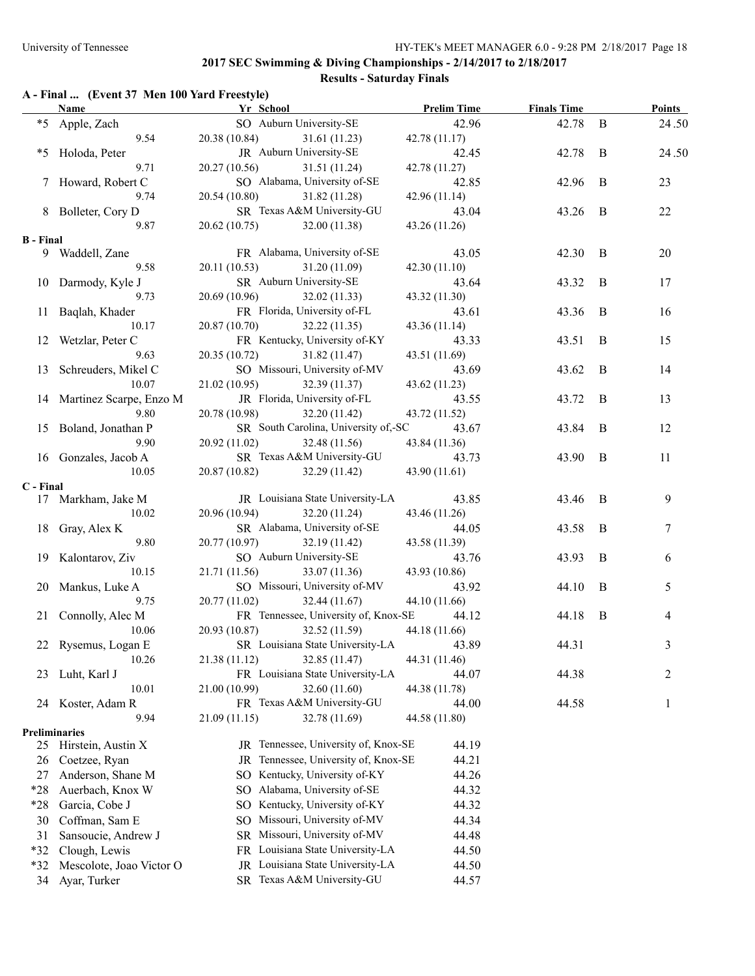# **Results - Saturday Finals**

### **A - Final ... (Event 37 Men 100 Yard Freestyle)**

|                  | <b>Name</b>                        | Yr School                   |                                                | <b>Prelim Time</b>     | <b>Finals Time</b> |                | <b>Points</b> |
|------------------|------------------------------------|-----------------------------|------------------------------------------------|------------------------|--------------------|----------------|---------------|
|                  | *5 Apple, Zach                     |                             | SO Auburn University-SE                        | 42.96                  | 42.78              | B              | 24.50         |
|                  | 9.54                               | 20.38 (10.84)               | 31.61 (11.23)                                  | 42.78(11.17)           |                    |                |               |
| *5               | Holoda, Peter                      |                             | JR Auburn University-SE                        | 42.45                  | 42.78              | B              | 24.50         |
|                  | 9.71                               | 20.27 (10.56)               | 31.51 (11.24)                                  | 42.78 (11.27)          |                    |                |               |
|                  | 7 Howard, Robert C                 |                             | SO Alabama, University of-SE                   | 42.85                  | 42.96              | B              | 23            |
|                  | 9.74                               | 20.54 (10.80)               | 31.82 (11.28)                                  | 42.96(11.14)           |                    |                |               |
|                  | 8 Bolleter, Cory D                 |                             | SR Texas A&M University-GU                     | 43.04                  | 43.26              | B              | 22            |
|                  | 9.87                               | 20.62(10.75)                | 32.00 (11.38)                                  | 43.26 (11.26)          |                    |                |               |
| <b>B</b> - Final |                                    |                             |                                                |                        |                    |                |               |
|                  | 9 Waddell, Zane                    |                             | FR Alabama, University of-SE                   | 43.05                  | 42.30              | B              | 20            |
|                  | 9.58                               | 20.11(10.53)                | 31.20 (11.09)                                  | 42.30(11.10)           |                    |                |               |
|                  | 10 Darmody, Kyle J                 |                             | SR Auburn University-SE                        | 43.64                  | 43.32              | B              | 17            |
|                  | 9.73                               | 20.69 (10.96)               | 32.02 (11.33)                                  | 43.32 (11.30)          |                    |                |               |
|                  | 11 Baqlah, Khader<br>10.17         |                             | FR Florida, University of-FL                   | 43.61                  | 43.36              | B              | 16            |
|                  | 12 Wetzlar, Peter C                | 20.87 (10.70)               | 32.22 (11.35)<br>FR Kentucky, University of-KY | 43.36 (11.14)          |                    | $\mathbf B$    | 15            |
|                  | 9.63                               | 20.35(10.72)                |                                                | 43.33<br>43.51 (11.69) | 43.51              |                |               |
|                  | 13 Schreuders, Mikel C             |                             | 31.82 (11.47)<br>SO Missouri, University of-MV | 43.69                  | 43.62              | B              | 14            |
|                  | 10.07                              | 21.02(10.95)                | 32.39 (11.37)                                  |                        |                    |                |               |
|                  |                                    |                             | JR Florida, University of-FL                   | 43.62 (11.23)<br>43.55 | 43.72              | B              | 13            |
|                  | 14 Martinez Scarpe, Enzo M<br>9.80 | 20.78 (10.98)               | 32.20(11.42)                                   | 43.72 (11.52)          |                    |                |               |
|                  | 15 Boland, Jonathan P              |                             | SR South Carolina, University of,-SC           | 43.67                  | 43.84              | B              | 12            |
|                  | 9.90                               | 20.92(11.02)                | 32.48 (11.56)                                  | 43.84 (11.36)          |                    |                |               |
|                  | 16 Gonzales, Jacob A               |                             | SR Texas A&M University-GU                     | 43.73                  | 43.90              | B              | 11            |
|                  | 10.05                              | 20.87 (10.82) 32.29 (11.42) |                                                | 43.90 (11.61)          |                    |                |               |
| C - Final        |                                    |                             |                                                |                        |                    |                |               |
|                  | 17 Markham, Jake M                 |                             | JR Louisiana State University-LA               | 43.85                  | 43.46              | $\overline{B}$ | 9             |
|                  | 10.02                              | 20.96 (10.94) 32.20 (11.24) |                                                | 43.46 (11.26)          |                    |                |               |
|                  | 18 Gray, Alex K                    |                             | SR Alabama, University of-SE                   | 44.05                  | 43.58              | B              | 7             |
|                  | 9.80                               | 20.77 (10.97) 32.19 (11.42) |                                                | 43.58 (11.39)          |                    |                |               |
|                  | 19 Kalontarov, Ziv                 |                             | SO Auburn University-SE                        | 43.76                  | 43.93              | $\mathbf{B}$   | 6             |
|                  | 10.15                              | 21.71(11.56)                | 33.07 (11.36)                                  | 43.93 (10.86)          |                    |                |               |
|                  | 20 Mankus, Luke A                  |                             | SO Missouri, University of-MV                  | 43.92                  | 44.10              | B              | 5             |
|                  | 9.75                               | 20.77(11.02)                | 32.44(11.67)                                   | 44.10 (11.66)          |                    |                |               |
|                  | 21 Connolly, Alec M                |                             | FR Tennessee, University of, Knox-SE           | 44.12                  | 44.18              | B              | 4             |
|                  | 10.06                              | 20.93 (10.87)               | 32.52 (11.59)                                  | 44.18 (11.66)          |                    |                |               |
|                  | 22 Rysemus, Logan E                |                             | SR Louisiana State University-LA               | 43.89                  | 44.31              |                | 3             |
|                  | 10.26                              | 21.38 (11.12)               | 32.85 (11.47)                                  | 44.31 (11.46)          |                    |                |               |
| 23               | Luht, Karl J                       |                             | FR Louisiana State University-LA               | 44.07                  | 44.38              |                | 2             |
|                  | 10.01                              | 21.00 (10.99)               | 32.60 (11.60)                                  | 44.38 (11.78)          |                    |                |               |
| 24               | Koster, Adam R                     |                             | FR Texas A&M University-GU                     | 44.00                  | 44.58              |                | 1             |
|                  | 9.94                               | 21.09 (11.15)               | 32.78 (11.69)                                  | 44.58 (11.80)          |                    |                |               |
|                  | <b>Preliminaries</b>               |                             |                                                |                        |                    |                |               |
| 25               | Hirstein, Austin X                 |                             | JR Tennessee, University of, Knox-SE           | 44.19                  |                    |                |               |
| 26               | Coetzee, Ryan                      | JR                          | Tennessee, University of, Knox-SE              | 44.21                  |                    |                |               |
| 27               | Anderson, Shane M                  |                             | SO Kentucky, University of-KY                  | 44.26                  |                    |                |               |
| $*28$            | Auerbach, Knox W                   | SO                          | Alabama, University of-SE                      | 44.32                  |                    |                |               |
| $*28$            | Garcia, Cobe J                     | SO.                         | Kentucky, University of-KY                     | 44.32                  |                    |                |               |
| 30               | Coffman, Sam E                     | SO.                         | Missouri, University of-MV                     | 44.34                  |                    |                |               |
| 31               | Sansoucie, Andrew J                |                             | SR Missouri, University of-MV                  | 44.48                  |                    |                |               |
| $*32$            | Clough, Lewis                      |                             | FR Louisiana State University-LA               | 44.50                  |                    |                |               |
| $*32$            | Mescolote, Joao Victor O           |                             | JR Louisiana State University-LA               | 44.50                  |                    |                |               |
| 34               | Ayar, Turker                       |                             | SR Texas A&M University-GU                     | 44.57                  |                    |                |               |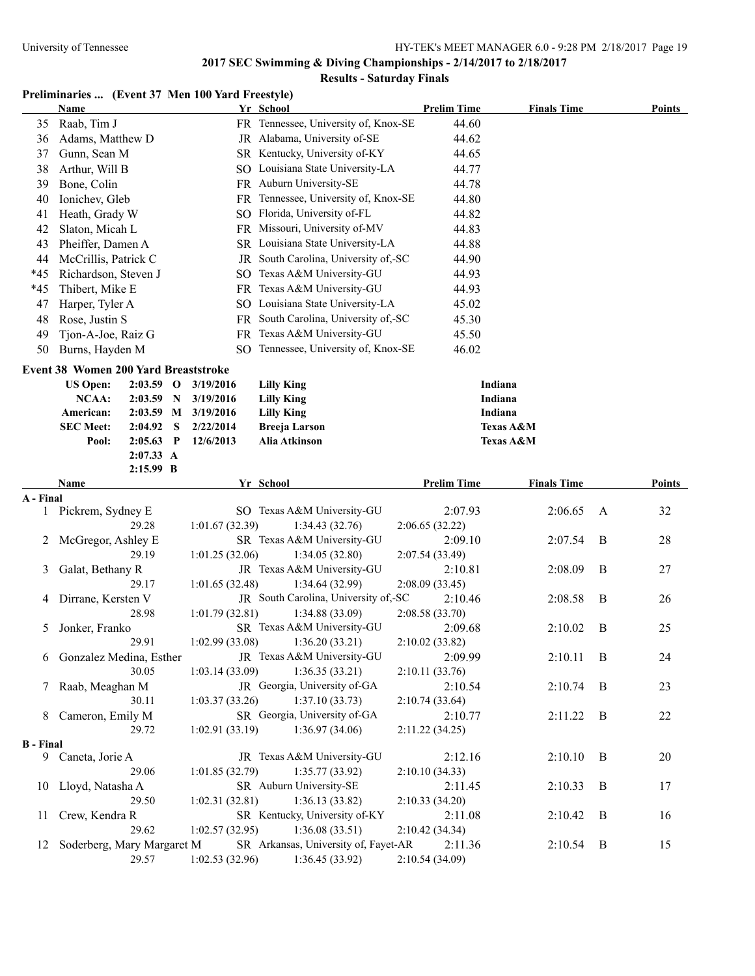#### **Results - Saturday Finals**

# **Preliminaries ... (Event 37 Men 100 Yard Freestyle)**

|                  | <b>Name</b>                                 |                        |   |                        | Yr School                                              | <b>Prelim Time</b>         | <b>Finals Time</b>                |                | Points |
|------------------|---------------------------------------------|------------------------|---|------------------------|--------------------------------------------------------|----------------------------|-----------------------------------|----------------|--------|
| 35               | Raab, Tim J                                 |                        |   |                        | FR Tennessee, University of, Knox-SE                   | 44.60                      |                                   |                |        |
| 36               | Adams, Matthew D                            |                        |   |                        | JR Alabama, University of-SE                           | 44.62                      |                                   |                |        |
| 37               | Gunn, Sean M                                |                        |   |                        | SR Kentucky, University of-KY                          | 44.65                      |                                   |                |        |
| 38               | Arthur, Will B                              |                        |   |                        | SO Louisiana State University-LA                       | 44.77                      |                                   |                |        |
| 39               | Bone, Colin                                 |                        |   |                        | FR Auburn University-SE                                | 44.78                      |                                   |                |        |
| 40               | Ionichev, Gleb                              |                        |   |                        | FR Tennessee, University of, Knox-SE                   | 44.80                      |                                   |                |        |
| 41               | Heath, Grady W                              |                        |   |                        | SO Florida, University of-FL                           | 44.82                      |                                   |                |        |
| 42               | Slaton, Micah L                             |                        |   |                        | FR Missouri, University of-MV                          | 44.83                      |                                   |                |        |
| 43               | Pheiffer, Damen A                           |                        |   |                        | SR Louisiana State University-LA                       | 44.88                      |                                   |                |        |
| 44               | McCrillis, Patrick C                        |                        |   |                        | JR South Carolina, University of,-SC                   | 44.90                      |                                   |                |        |
| $*45$            | Richardson, Steven J                        |                        |   |                        | SO Texas A&M University-GU                             | 44.93                      |                                   |                |        |
| $*45$            | Thibert, Mike E                             |                        |   |                        | FR Texas A&M University-GU                             | 44.93                      |                                   |                |        |
| 47               | Harper, Tyler A                             |                        |   |                        | SO Louisiana State University-LA                       | 45.02                      |                                   |                |        |
| 48               | Rose, Justin S                              |                        |   |                        | FR South Carolina, University of,-SC                   | 45.30                      |                                   |                |        |
| 49               | Tjon-A-Joe, Raiz G                          |                        |   |                        | FR Texas A&M University-GU                             | 45.50                      |                                   |                |        |
| 50               | Burns, Hayden M                             |                        |   |                        | SO Tennessee, University of, Knox-SE                   | 46.02                      |                                   |                |        |
|                  |                                             |                        |   |                        |                                                        |                            |                                   |                |        |
|                  | <b>Event 38 Women 200 Yard Breaststroke</b> |                        |   |                        |                                                        |                            |                                   |                |        |
|                  | <b>US Open:</b>                             | $2:03.59$ O            |   | 3/19/2016              | <b>Lilly King</b>                                      |                            | Indiana                           |                |        |
|                  | <b>NCAA:</b>                                | $2:03.59$ N            |   | 3/19/2016              | <b>Lilly King</b>                                      |                            | Indiana                           |                |        |
|                  | American:                                   |                        |   | 2:03.59 M 3/19/2016    | <b>Lilly King</b>                                      |                            | Indiana                           |                |        |
|                  | <b>SEC Meet:</b><br>Pool:                   | 2:04.92<br>$2:05.63$ P | S | 2/22/2014<br>12/6/2013 | <b>Breeja Larson</b><br>Alia Atkinson                  |                            | Texas A&M<br><b>Texas A&amp;M</b> |                |        |
|                  |                                             | 2:07.33 A              |   |                        |                                                        |                            |                                   |                |        |
|                  |                                             | 2:15.99 B              |   |                        |                                                        |                            |                                   |                |        |
|                  | Name                                        |                        |   |                        | Yr School                                              | <b>Prelim Time</b>         | <b>Finals Time</b>                |                | Points |
| A - Final        |                                             |                        |   |                        |                                                        |                            |                                   |                |        |
|                  | 1 Pickrem, Sydney E                         |                        |   |                        | SO Texas A&M University-GU                             | 2:07.93                    | 2:06.65                           | A              | 32     |
|                  |                                             | 29.28                  |   | 1:01.67(32.39)         | 1:34.43(32.76)                                         | 2:06.65(32.22)             |                                   |                |        |
| 2                | McGregor, Ashley E                          |                        |   |                        | SR Texas A&M University-GU                             | 2:09.10                    | 2:07.54                           | B              | 28     |
|                  |                                             | 29.19                  |   | 1:01.25 (32.06)        | 1:34.05(32.80)                                         | 2:07.54 (33.49)            |                                   |                |        |
| 3                | Galat, Bethany R                            |                        |   |                        | JR Texas A&M University-GU                             | 2:10.81                    | 2:08.09                           | B              | 27     |
|                  |                                             | 29.17                  |   | 1:01.65(32.48)         | 1:34.64(32.99)                                         | 2:08.09(33.45)             |                                   |                |        |
| 4                | Dirrane, Kersten V                          |                        |   |                        | JR South Carolina, University of,-SC                   | 2:10.46                    | 2:08.58                           | B              | 26     |
|                  |                                             | 28.98                  |   | 1:01.79(32.81)         | 1:34.88(33.09)                                         | 2:08.58 (33.70)            |                                   |                |        |
| 5                | Jonker, Franko                              |                        |   |                        | SR Texas A&M University-GU                             | 2:09.68                    | 2:10.02                           | B              | 25     |
|                  |                                             | 29.91                  |   | 1:02.99 (33.08)        | 1:36.20(33.21)                                         | 2:10.02(33.82)             |                                   |                |        |
|                  | 6 Gonzalez Medina, Esther                   |                        |   |                        | JR Texas A&M University-GU                             | 2:09.99                    | $2:10.11$ B                       |                | 24     |
|                  |                                             | 30.05                  |   | 1:03.14(33.09)         | 1:36.35(33.21)                                         | 2:10.11(33.76)             |                                   |                |        |
|                  | 7 Raab, Meaghan M                           |                        |   |                        | JR Georgia, University of-GA                           | 2:10.54                    | 2:10.74                           | $\overline{B}$ | 23     |
|                  |                                             | 30.11                  |   | 1:03.37(33.26)         | 1:37.10(33.73)                                         | 2:10.74(33.64)             |                                   |                |        |
| 8                | Cameron, Emily M                            |                        |   |                        | SR Georgia, University of-GA                           | 2:10.77                    | 2:11.22                           | B              | 22     |
|                  |                                             | 29.72                  |   | 1:02.91(33.19)         | 1:36.97(34.06)                                         | 2:11.22(34.25)             |                                   |                |        |
| <b>B</b> - Final |                                             |                        |   |                        |                                                        |                            |                                   |                |        |
|                  | 9 Caneta, Jorie A                           |                        |   |                        | JR Texas A&M University-GU                             | 2:12.16                    | 2:10.10                           | $\mathbf B$    | 20     |
|                  |                                             | 29.06                  |   | 1:01.85(32.79)         | 1:35.77(33.92)                                         | 2:10.10(34.33)             |                                   |                |        |
|                  | 10 Lloyd, Natasha A                         |                        |   |                        | SR Auburn University-SE                                | 2:11.45                    | 2:10.33                           | B              | 17     |
|                  |                                             | 29.50                  |   | 1:02.31(32.81)         | 1:36.13 (33.82)                                        | 2:10.33(34.20)             |                                   |                |        |
| 11               | Crew, Kendra R                              |                        |   |                        | SR Kentucky, University of-KY                          | 2:11.08                    | 2:10.42                           | B              | 16     |
|                  |                                             | 29.62                  |   | 1:02.57(32.95)         | 1:36.08(33.51)<br>SR Arkansas, University of, Fayet-AR | 2:10.42 (34.34)            |                                   |                |        |
| 12               | Soderberg, Mary Margaret M                  | 29.57                  |   | 1:02.53(32.96)         | 1:36.45(33.92)                                         | 2:11.36<br>2:10.54 (34.09) | 2:10.54                           | B              | 15     |
|                  |                                             |                        |   |                        |                                                        |                            |                                   |                |        |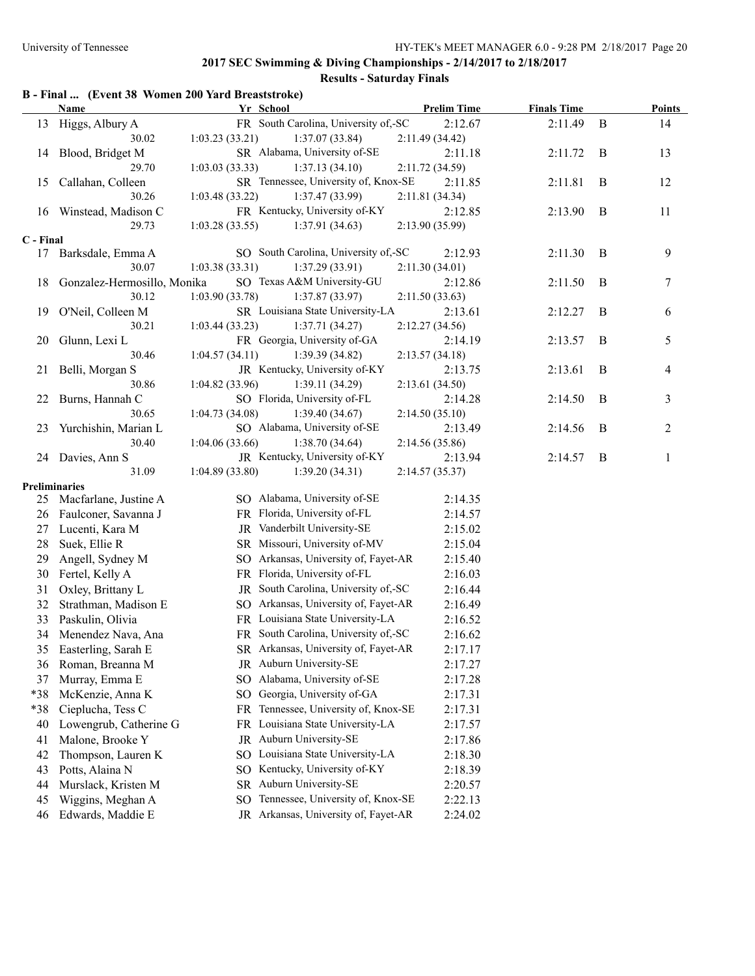# **Results - Saturday Finals**

|           | B - Final  (Event 38 Women 200 Yard Breaststroke) |                 |                                      |                    |                    |              |               |
|-----------|---------------------------------------------------|-----------------|--------------------------------------|--------------------|--------------------|--------------|---------------|
|           | Name                                              |                 | Yr School                            | <b>Prelim Time</b> | <b>Finals Time</b> |              | <b>Points</b> |
| 13        | Higgs, Albury A                                   |                 | FR South Carolina, University of,-SC | 2:12.67            | 2:11.49            | $\mathbf{B}$ | 14            |
|           | 30.02                                             | 1:03.23(33.21)  | 1:37.07(33.84)                       | 2:11.49(34.42)     |                    |              |               |
| 14        | Blood, Bridget M                                  |                 | SR Alabama, University of-SE         | 2:11.18            | 2:11.72            | B            | 13            |
|           | 29.70                                             | 1:03.03(33.33)  | 1:37.13(34.10)                       | 2:11.72(34.59)     |                    |              |               |
| 15        | Callahan, Colleen                                 |                 | SR Tennessee, University of, Knox-SE | 2:11.85            | 2:11.81            | B            | 12            |
|           | 30.26                                             | 1:03.48 (33.22) | 1:37.47 (33.99)                      | 2:11.81 (34.34)    |                    |              |               |
|           | 16 Winstead, Madison C                            |                 | FR Kentucky, University of-KY        | 2:12.85            | 2:13.90            | B            | 11            |
|           | 29.73                                             | 1:03.28(33.55)  | 1:37.91(34.63)                       | 2:13.90 (35.99)    |                    |              |               |
| C - Final |                                                   |                 |                                      |                    |                    |              |               |
|           | 17 Barksdale, Emma A                              |                 | SO South Carolina, University of,-SC | 2:12.93            | 2:11.30            | B            | 9             |
|           | 30.07                                             | 1:03.38(33.31)  | 1:37.29(33.91)                       | 2:11.30(34.01)     |                    |              |               |
| 18        | Gonzalez-Hermosillo, Monika                       |                 | SO Texas A&M University-GU           | 2:12.86            | 2:11.50            | B            | 7             |
|           | 30.12                                             | 1:03.90(33.78)  | 1:37.87(33.97)                       | 2:11.50(33.63)     |                    |              |               |
| 19        | O'Neil, Colleen M                                 |                 | SR Louisiana State University-LA     | 2:13.61            | 2:12.27            | B            | 6             |
|           | 30.21                                             | 1:03.44(33.23)  | 1:37.71(34.27)                       | 2:12.27(34.56)     |                    |              |               |
| 20        | Glunn, Lexi L                                     |                 | FR Georgia, University of-GA         | 2:14.19            | 2:13.57            | B            | 5             |
|           | 30.46                                             | 1:04.57(34.11)  | 1:39.39(34.82)                       | 2:13.57(34.18)     |                    |              |               |
| 21        | Belli, Morgan S                                   |                 | JR Kentucky, University of-KY        | 2:13.75            | 2:13.61            | B            | 4             |
|           | 30.86                                             | 1:04.82(33.96)  | 1:39.11(34.29)                       | 2:13.61(34.50)     |                    |              |               |
| 22        | Burns, Hannah C                                   |                 | SO Florida, University of-FL         | 2:14.28            | 2:14.50            | B            | 3             |
|           | 30.65                                             | 1:04.73(34.08)  | 1:39.40(34.67)                       | 2:14.50(35.10)     |                    |              |               |
| 23        | Yurchishin, Marian L                              |                 | SO Alabama, University of-SE         | 2:13.49            | 2:14.56            | B            | 2             |
|           | 30.40                                             | 1:04.06(33.66)  | 1:38.70(34.64)                       | 2:14.56(35.86)     |                    |              |               |
| 24        | Davies, Ann S                                     |                 | JR Kentucky, University of-KY        | 2:13.94            | 2:14.57            | B            | 1             |
|           | 31.09                                             | 1:04.89(33.80)  | 1:39.20(34.31)                       | 2:14.57(35.37)     |                    |              |               |
|           | <b>Preliminaries</b>                              |                 |                                      |                    |                    |              |               |
|           | 25 Macfarlane, Justine A                          |                 | SO Alabama, University of-SE         | 2:14.35            |                    |              |               |
| 26        | Faulconer, Savanna J                              |                 | FR Florida, University of-FL         | 2:14.57            |                    |              |               |
| 27        | Lucenti, Kara M                                   |                 | JR Vanderbilt University-SE          | 2:15.02            |                    |              |               |
| 28        | Suek, Ellie R                                     |                 | SR Missouri, University of-MV        | 2:15.04            |                    |              |               |
| 29        | Angell, Sydney M                                  |                 | SO Arkansas, University of, Fayet-AR | 2:15.40            |                    |              |               |
| 30        | Fertel, Kelly A                                   |                 | FR Florida, University of-FL         | 2:16.03            |                    |              |               |
| 31        | Oxley, Brittany L                                 |                 | JR South Carolina, University of,-SC | 2:16.44            |                    |              |               |
| 32        | Strathman, Madison E                              |                 | SO Arkansas, University of, Fayet-AR | 2:16.49            |                    |              |               |
| 33        | Paskulin, Olivia                                  |                 | FR Louisiana State University-LA     | 2:16.52            |                    |              |               |
| 34        | Menendez Nava, Ana                                |                 | FR South Carolina, University of,-SC | 2:16.62            |                    |              |               |
| 35        | Easterling, Sarah E                               |                 | SR Arkansas, University of, Fayet-AR | 2:17.17            |                    |              |               |
| 36        | Roman, Breanna M                                  |                 | JR Auburn University-SE              | 2:17.27            |                    |              |               |
| 37        | Murray, Emma E                                    |                 | SO Alabama, University of-SE         | 2:17.28            |                    |              |               |
| *38       | McKenzie, Anna K                                  | SO.             | Georgia, University of-GA            | 2:17.31            |                    |              |               |
| *38       | Cieplucha, Tess C                                 | FR.             | Tennessee, University of, Knox-SE    | 2:17.31            |                    |              |               |
| 40        | Lowengrub, Catherine G                            | FR              | Louisiana State University-LA        | 2:17.57            |                    |              |               |
| 41        | Malone, Brooke Y                                  |                 | JR Auburn University-SE              | 2:17.86            |                    |              |               |
| 42        | Thompson, Lauren K                                |                 | SO Louisiana State University-LA     | 2:18.30            |                    |              |               |
| 43        | Potts, Alaina N                                   | SO.             | Kentucky, University of-KY           | 2:18.39            |                    |              |               |
| 44        | Murslack, Kristen M                               | SR              | Auburn University-SE                 | 2:20.57            |                    |              |               |
| 45        | Wiggins, Meghan A                                 | SO.             | Tennessee, University of, Knox-SE    | 2:22.13            |                    |              |               |
| 46        | Edwards, Maddie E                                 |                 | JR Arkansas, University of, Fayet-AR | 2:24.02            |                    |              |               |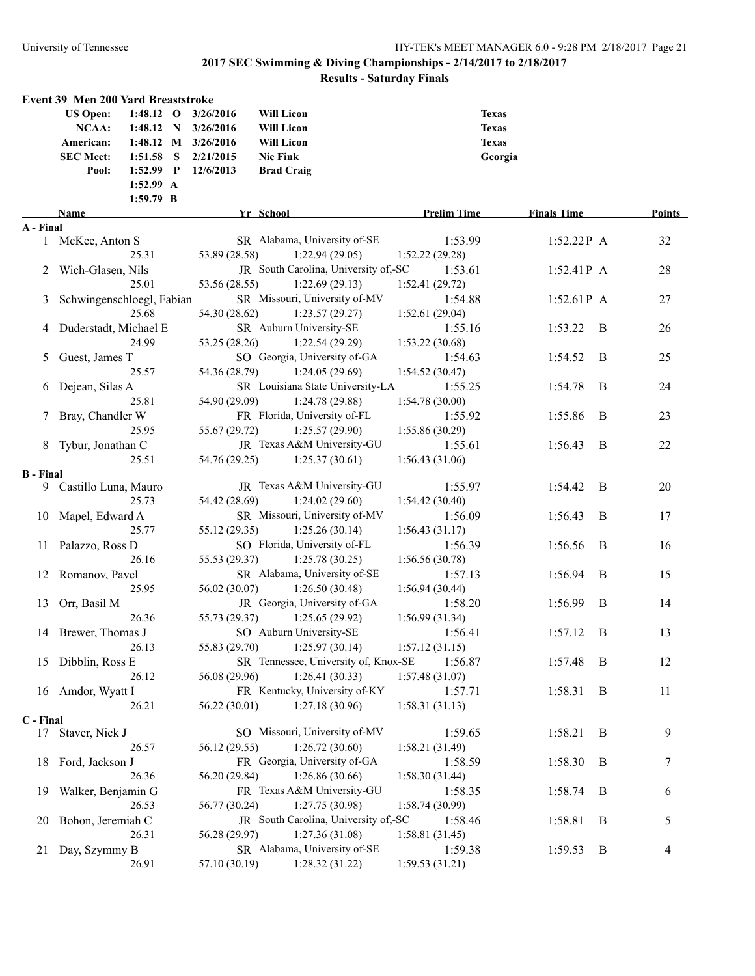|                  | <b>Event 39 Men 200 Yard Breaststroke</b> |                                      |                    |                    |   |        |
|------------------|-------------------------------------------|--------------------------------------|--------------------|--------------------|---|--------|
|                  | <b>US Open:</b><br>$1:48.12$ O            | 3/26/2016<br><b>Will Licon</b>       | <b>Texas</b>       |                    |   |        |
|                  | NCAA:<br>$1:48.12$ N                      | 3/26/2016<br>Will Licon              | <b>Texas</b>       |                    |   |        |
|                  | 1:48.12 M 3/26/2016<br>American:          | <b>Will Licon</b>                    | <b>Texas</b>       |                    |   |        |
|                  | <b>SEC Meet:</b><br>$1:51.58$ S           | 2/21/2015<br><b>Nic Fink</b>         | Georgia            |                    |   |        |
|                  | 1:52.99 P<br>Pool:                        | 12/6/2013<br><b>Brad Craig</b>       |                    |                    |   |        |
|                  | 1:52.99 A                                 |                                      |                    |                    |   |        |
|                  | 1:59.79 B                                 |                                      |                    |                    |   |        |
|                  | Name                                      | Yr School                            | <b>Prelim Time</b> | <b>Finals Time</b> |   | Points |
| A - Final        |                                           |                                      |                    |                    |   |        |
|                  | 1 McKee, Anton S                          | SR Alabama, University of-SE         | 1:53.99            | $1:52.22P$ A       |   | 32     |
|                  | 25.31                                     | 53.89 (28.58)<br>1:22.94(29.05)      | 1:52.22(29.28)     |                    |   |        |
| 2                | Wich-Glasen, Nils                         | JR South Carolina, University of,-SC | 1:53.61            | $1:52.41P$ A       |   | 28     |
|                  | 25.01                                     | 53.56 (28.55)<br>1:22.69(29.13)      | 1:52.41 (29.72)    |                    |   |        |
| 3                | Schwingenschloegl, Fabian                 | SR Missouri, University of-MV        | 1:54.88            | $1:52.61P$ A       |   | 27     |
|                  | 25.68                                     | 54.30 (28.62)<br>1:23.57(29.27)      | 1:52.61(29.04)     |                    |   |        |
| 4                | Duderstadt, Michael E                     | SR Auburn University-SE              | 1:55.16            | 1:53.22            | B | 26     |
|                  | 24.99                                     | 53.25 (28.26)<br>1:22.54(29.29)      | 1:53.22(30.68)     |                    |   |        |
| 5                | Guest, James T                            | SO Georgia, University of-GA         | 1:54.63            | 1:54.52            | B | 25     |
|                  | 25.57                                     | 54.36 (28.79)<br>1:24.05(29.69)      | 1:54.52(30.47)     |                    |   |        |
| 6                | Dejean, Silas A                           | SR Louisiana State University-LA     | 1:55.25            | 1:54.78            | B | 24     |
|                  | 25.81                                     | 54.90 (29.09)<br>1:24.78 (29.88)     | 1:54.78(30.00)     |                    |   |        |
| 7                | Bray, Chandler W                          | FR Florida, University of-FL         | 1:55.92            | 1:55.86            | B | 23     |
|                  | 25.95                                     | 55.67 (29.72)<br>1:25.57(29.90)      | 1:55.86(30.29)     |                    |   |        |
|                  | Tybur, Jonathan C                         | JR Texas A&M University-GU           | 1:55.61            | 1:56.43            | B | 22     |
|                  | 25.51                                     | 54.76 (29.25)<br>1:25.37(30.61)      | 1:56.43(31.06)     |                    |   |        |
| <b>B</b> - Final |                                           |                                      |                    |                    |   |        |
|                  | 9 Castillo Luna, Mauro                    | JR Texas A&M University-GU           | 1:55.97            | 1:54.42            | B | 20     |
|                  | 25.73                                     | 54.42 (28.69)<br>1:24.02(29.60)      | 1:54.42(30.40)     |                    |   |        |
|                  | 10 Mapel, Edward A                        | SR Missouri, University of-MV        | 1:56.09            | 1:56.43            | B | 17     |
|                  | 25.77                                     | 55.12 (29.35)<br>1:25.26(30.14)      | 1:56.43(31.17)     |                    |   |        |
|                  | 11 Palazzo, Ross D                        | SO Florida, University of-FL         | 1:56.39            | 1:56.56            | B | 16     |
|                  | 26.16                                     | 55.53 (29.37)<br>1:25.78(30.25)      | 1:56.56(30.78)     |                    |   |        |
|                  | 12 Romanov, Pavel                         | SR Alabama, University of-SE         | 1:57.13            | 1:56.94            | B | 15     |
|                  | 25.95                                     | 56.02 (30.07)<br>1:26.50(30.48)      | 1:56.94(30.44)     |                    |   |        |
|                  | 13 Orr, Basil M                           | JR Georgia, University of-GA         | 1:58.20            | 1:56.99            | B | 14     |
|                  | 26.36                                     | 55.73 (29.37)<br>1:25.65(29.92)      | 1:56.99(31.34)     |                    |   |        |
|                  | 14 Brewer, Thomas J                       | SO Auburn University-SE              | 1:56.41            | 1:57.12            | B | 13     |
|                  | 26.13                                     | $55.83(29.70)$ 1:25.97 (30.14)       | 1:57.12(31.15)     |                    |   |        |
|                  | 15 Dibblin, Ross E                        | SR Tennessee, University of, Knox-SE | 1:56.87            | 1:57.48            | B | 12     |
|                  | 26.12                                     | 1:26.41(30.33)<br>56.08 (29.96)      | 1:57.48(31.07)     |                    |   |        |
|                  | 16 Amdor, Wyatt I                         | FR Kentucky, University of-KY        | 1:57.71            | 1:58.31            | B | 11     |
|                  | 26.21                                     | 1:27.18(30.96)<br>56.22 (30.01)      | 1:58.31(31.13)     |                    |   |        |
| C - Final        |                                           |                                      |                    |                    |   |        |
|                  | 17 Staver, Nick J                         | SO Missouri, University of-MV        | 1:59.65            | 1:58.21            | B | 9      |
|                  | 26.57                                     | 56.12 (29.55)<br>1:26.72(30.60)      | 1:58.21(31.49)     |                    |   |        |
|                  | 18 Ford, Jackson J                        | FR Georgia, University of-GA         | 1:58.59            | 1:58.30            | B | 7      |
|                  | 26.36                                     | 1:26.86(30.66)<br>56.20 (29.84)      | 1:58.30(31.44)     |                    |   |        |
| 19               | Walker, Benjamin G                        | FR Texas A&M University-GU           | 1:58.35            | 1:58.74            | B | 6      |
|                  | 26.53                                     | 1:27.75(30.98)<br>56.77 (30.24)      | 1:58.74(30.99)     |                    |   |        |
| 20               | Bohon, Jeremiah C                         | JR South Carolina, University of,-SC | 1:58.46            | 1:58.81            | B | 5      |
|                  | 26.31                                     | 1:27.36(31.08)<br>56.28 (29.97)      | 1:58.81 (31.45)    |                    |   |        |
| 21               | Day, Szymmy B                             | SR Alabama, University of-SE         | 1:59.38            | 1:59.53            | B | 4      |
|                  | 26.91                                     | 1:28.32(31.22)<br>57.10 (30.19)      | 1:59.53(31.21)     |                    |   |        |
|                  |                                           |                                      |                    |                    |   |        |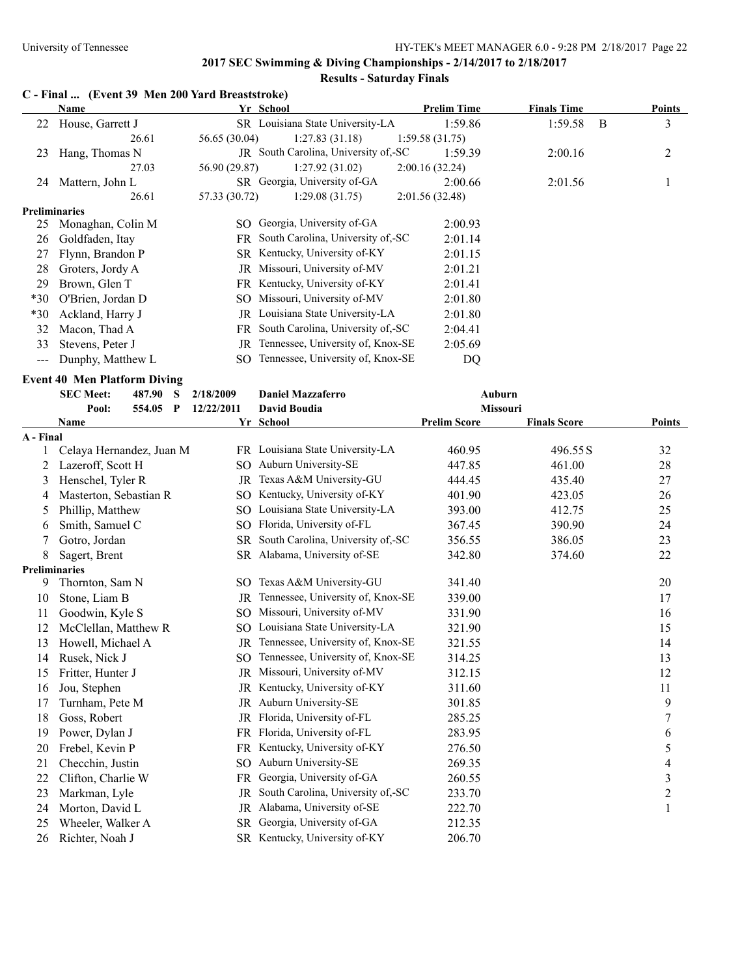# **Results - Saturday Finals**

### **C - Final ... (Event 39 Men 200 Yard Breaststroke)**

|                      | Name                                |               | Yr School                            | <b>Prelim Time</b> | <b>Finals Time</b> |   | <b>Points</b> |
|----------------------|-------------------------------------|---------------|--------------------------------------|--------------------|--------------------|---|---------------|
| 22                   | House, Garrett J                    |               | SR Louisiana State University-LA     | 1:59.86            | 1:59.58            | B | 3             |
|                      | 26.61                               | 56.65 (30.04) | 1:27.83(31.18)                       | 1:59.58(31.75)     |                    |   |               |
| 23                   | Hang, Thomas N                      |               | JR South Carolina, University of,-SC | 1:59.39            | 2:00.16            |   | 2             |
|                      | 27.03                               | 56.90 (29.87) | 1:27.92(31.02)                       | 2:00.16(32.24)     |                    |   |               |
| 24                   | Mattern, John L                     |               | SR Georgia, University of-GA         | 2:00.66            | 2:01.56            |   |               |
|                      | 26.61                               | 57.33 (30.72) | 1:29.08(31.75)                       | 2:01.56(32.48)     |                    |   |               |
| <b>Preliminaries</b> |                                     |               |                                      |                    |                    |   |               |
| 25                   | Monaghan, Colin M                   | SO.           | Georgia, University of-GA            | 2:00.93            |                    |   |               |
| 26                   | Goldfaden, Itay                     | FR -          | South Carolina, University of,-SC    | 2:01.14            |                    |   |               |
| 27                   | Flynn, Brandon P                    |               | SR Kentucky, University of-KY        | 2:01.15            |                    |   |               |
| 28                   | Groters, Jordy A                    |               | JR Missouri, University of-MV        | 2:01.21            |                    |   |               |
| 29                   | Brown, Glen T                       |               | FR Kentucky, University of-KY        | 2:01.41            |                    |   |               |
| $*30$                | O'Brien, Jordan D                   |               | SO Missouri, University of-MV        | 2:01.80            |                    |   |               |
| $*30$                | Ackland, Harry J                    | JR            | Louisiana State University-LA        | 2:01.80            |                    |   |               |
| 32                   | Macon, Thad A                       | FR -          | South Carolina, University of,-SC    | 2:04.41            |                    |   |               |
| 33                   | Stevens, Peter J                    | JR            | Tennessee, University of, Knox-SE    | 2:05.69            |                    |   |               |
| $\qquad \qquad - -$  | Dunphy, Matthew L                   | SO.           | Tennessee, University of, Knox-SE    | DQ                 |                    |   |               |
|                      | <b>Event 40 Men Platform Diving</b> |               |                                      |                    |                    |   |               |
|                      | <b>SEC Meet:</b><br>487.90<br>S     | 2/18/2009     | <b>Daniel Mazzaferro</b>             |                    | Auburn             |   |               |
|                      | 554.05<br>Pool:<br>P                | 12/22/2011    | <b>David Boudia</b>                  |                    | <b>Missouri</b>    |   |               |

|           | 1 VVI.<br>JJ4.UJ         | 14/44/4011 | Daviu Duuuia                      | <b>MISSUULL</b>     |                     |                  |
|-----------|--------------------------|------------|-----------------------------------|---------------------|---------------------|------------------|
|           | Name                     |            | Yr School                         | <b>Prelim Score</b> | <b>Finals Score</b> | <b>Points</b>    |
| A - Final |                          |            |                                   |                     |                     |                  |
|           | Celaya Hernandez, Juan M |            | FR Louisiana State University-LA  | 460.95              | 496.55 S            | 32               |
| 2         | Lazeroff, Scott H        | SO.        | Auburn University-SE              | 447.85              | 461.00              | 28               |
| 3         | Henschel, Tyler R        | JR         | Texas A&M University-GU           | 444.45              | 435.40              | 27               |
| 4         | Masterton, Sebastian R   | SO.        | Kentucky, University of-KY        | 401.90              | 423.05              | 26               |
| 5         | Phillip, Matthew         | SO.        | Louisiana State University-LA     | 393.00              | 412.75              | 25               |
| 6         | Smith, Samuel C          | SO.        | Florida, University of-FL         | 367.45              | 390.90              | 24               |
| 7         | Gotro, Jordan            | SR.        | South Carolina, University of,-SC | 356.55              | 386.05              | 23               |
| 8         | Sagert, Brent            |            | SR Alabama, University of-SE      | 342.80              | 374.60              | 22               |
|           | <b>Preliminaries</b>     |            |                                   |                     |                     |                  |
| 9         | Thornton, Sam N          |            | SO Texas A&M University-GU        | 341.40              |                     | 20               |
| 10        | Stone, Liam B            | JR         | Tennessee, University of, Knox-SE | 339.00              |                     | 17               |
| 11        | Goodwin, Kyle S          |            | SO Missouri, University of-MV     | 331.90              |                     | 16               |
| 12        | McClellan, Matthew R     | SO.        | Louisiana State University-LA     | 321.90              |                     | 15               |
| 13        | Howell, Michael A        | JR         | Tennessee, University of, Knox-SE | 321.55              |                     | 14               |
| 14        | Rusek, Nick J            | SO.        | Tennessee, University of, Knox-SE | 314.25              |                     | 13               |
| 15        | Fritter, Hunter J        | JR         | Missouri, University of-MV        | 312.15              |                     | 12               |
| 16        | Jou, Stephen             | JR         | Kentucky, University of-KY        | 311.60              |                     | 11               |
| 17        | Turnham, Pete M          | JR         | Auburn University-SE              | 301.85              |                     | 9                |
| 18        | Goss, Robert             | JR         | Florida, University of-FL         | 285.25              |                     | 7                |
| 19        | Power, Dylan J           | FR.        | Florida, University of-FL         | 283.95              |                     | 6                |
| 20        | Frebel, Kevin P          | FR         | Kentucky, University of-KY        | 276.50              |                     | 5                |
| 21        | Checchin, Justin         | SO.        | Auburn University-SE              | 269.35              |                     | 4                |
| 22        | Clifton, Charlie W       | FR.        | Georgia, University of-GA         | 260.55              |                     | 3                |
| 23        | Markman, Lyle            | JR         | South Carolina, University of,-SC | 233.70              |                     | $\boldsymbol{2}$ |
| 24        | Morton, David L          | JR         | Alabama, University of-SE         | 222.70              |                     | 1                |
| 25        | Wheeler, Walker A        | SR         | Georgia, University of-GA         | 212.35              |                     |                  |
| 26        | Richter, Noah J          |            | SR Kentucky, University of-KY     | 206.70              |                     |                  |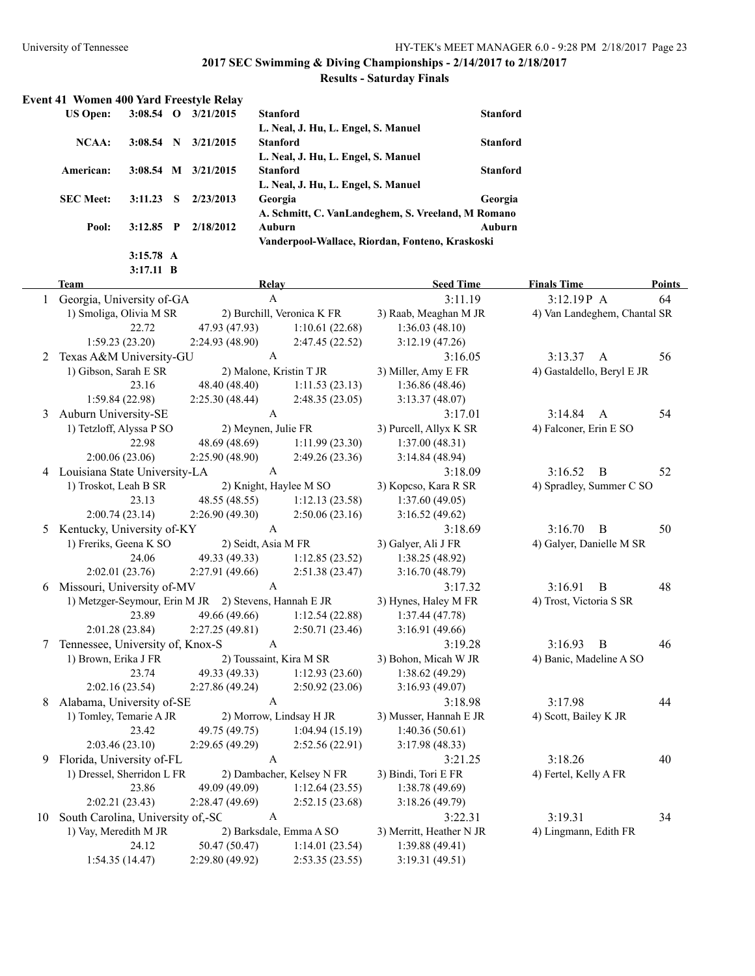### **Results - Saturday Finals**

| <b>Event 41 Women 400 Yard Freestyle Relay</b> |             |    |           |                                                    |                 |
|------------------------------------------------|-------------|----|-----------|----------------------------------------------------|-----------------|
| <b>US Open:</b>                                | $3:08.54$ O |    | 3/21/2015 | <b>Stanford</b>                                    | <b>Stanford</b> |
|                                                |             |    |           | L. Neal, J. Hu, L. Engel, S. Manuel                |                 |
| NCAA:                                          | $3:08.54$ N |    | 3/21/2015 | <b>Stanford</b>                                    | <b>Stanford</b> |
|                                                |             |    |           | L. Neal, J. Hu, L. Engel, S. Manuel                |                 |
| American:                                      | $3:08.54$ M |    | 3/21/2015 | <b>Stanford</b>                                    | <b>Stanford</b> |
|                                                |             |    |           | L. Neal, J. Hu, L. Engel, S. Manuel                |                 |
| <b>SEC Meet:</b>                               | 3:11.23     | -S | 2/23/2013 | Georgia                                            | Georgia         |
|                                                |             |    |           | A. Schmitt, C. VanLandeghem, S. Vreeland, M Romano |                 |
| Pool:                                          | $3:12.85$ P |    | 2/18/2012 | Auburn                                             | Auburn          |
|                                                |             |    |           | Vanderpool-Wallace, Riordan, Fonteno, Kraskoski    |                 |
|                                                | $3:15.78$ A |    |           |                                                    |                 |

|    | $3:17.11$ B                                           |                     |                            |                          |                              |               |
|----|-------------------------------------------------------|---------------------|----------------------------|--------------------------|------------------------------|---------------|
|    | Team                                                  | Relay               |                            | <b>Seed Time</b>         | <b>Finals Time</b>           | <b>Points</b> |
|    | 1 Georgia, University of-GA                           |                     | A                          | 3:11.19                  | 3:12.19P A                   | 64            |
|    | 1) Smoliga, Olivia M SR                               |                     | 2) Burchill, Veronica K FR | 3) Raab, Meaghan M JR    | 4) Van Landeghem, Chantal SR |               |
|    | 22.72                                                 | 47.93 (47.93)       | 1:10.61(22.68)             | 1:36.03(48.10)           |                              |               |
|    | 1:59.23(23.20)                                        | 2:24.93(48.90)      | 2:47.45(22.52)             | 3:12.19(47.26)           |                              |               |
| 2  | Texas A&M University-GU                               |                     | $\mathbf{A}$               | 3:16.05                  | 3:13.37 A                    | 56            |
|    | 1) Gibson, Sarah E SR                                 |                     | 2) Malone, Kristin T JR    | 3) Miller, Amy E FR      | 4) Gastaldello, Beryl E JR   |               |
|    | 23.16                                                 | 48.40 (48.40)       | 1:11.53(23.13)             | 1:36.86(48.46)           |                              |               |
|    | 1:59.84(22.98)                                        | 2:25.30(48.44)      | 2:48.35(23.05)             | 3:13.37(48.07)           |                              |               |
| 3  | Auburn University-SE                                  |                     | $\mathsf{A}$               | 3:17.01                  | 3:14.84<br>$\mathbf{A}$      | 54            |
|    | 1) Tetzloff, Alyssa P SO                              | 2) Meynen, Julie FR |                            | 3) Purcell, Allyx K SR   | 4) Falconer, Erin E SO       |               |
|    | 22.98                                                 | 48.69 (48.69)       | 1:11.99(23.30)             | 1:37.00(48.31)           |                              |               |
|    | 2:00.06(23.06)                                        | 2:25.90(48.90)      | 2:49.26(23.36)             | 3:14.84 (48.94)          |                              |               |
|    | 4 Louisiana State University-LA                       |                     | $\mathbf{A}$               | 3:18.09                  | 3:16.52<br>$\overline{B}$    | 52            |
|    | 1) Troskot, Leah B SR                                 |                     | 2) Knight, Haylee M SO     | 3) Kopcso, Kara R SR     | 4) Spradley, Summer C SO     |               |
|    | 23.13                                                 | 48.55 (48.55)       | 1:12.13(23.58)             | 1:37.60(49.05)           |                              |               |
|    | 2:00.74(23.14)                                        | 2:26.90(49.30)      | 2:50.06(23.16)             | 3:16.52(49.62)           |                              |               |
| 5  | Kentucky, University of-KY                            |                     | $\mathbf{A}$               | 3:18.69                  | 3:16.70<br>$\overline{B}$    | 50            |
|    | 1) Freriks, Geena K SO                                | 2) Seidt, Asia M FR |                            | 3) Galyer, Ali J FR      | 4) Galyer, Danielle M SR     |               |
|    | 24.06                                                 | 49.33 (49.33)       | 1:12.85(23.52)             | 1:38.25 (48.92)          |                              |               |
|    | 2:02.01(23.76)                                        | 2:27.91(49.66)      | 2:51.38(23.47)             | 3:16.70(48.79)           |                              |               |
|    | 6 Missouri, University of-MV                          |                     | $\mathbf{A}$               | 3:17.32                  | 3:16.91<br>$\mathbf{B}$      | 48            |
|    | 1) Metzger-Seymour, Erin M JR 2) Stevens, Hannah E JR |                     |                            | 3) Hynes, Haley M FR     | 4) Trost, Victoria S SR      |               |
|    | 23.89                                                 | 49.66 (49.66)       | 1:12.54(22.88)             | 1:37.44(47.78)           |                              |               |
|    | 2:01.28(23.84)                                        | 2:27.25(49.81)      | 2:50.71(23.46)             | 3:16.91(49.66)           |                              |               |
| 7  | Tennessee, University of, Knox-S                      |                     | $\mathsf{A}$               | 3:19.28                  | 3:16.93<br>B                 | 46            |
|    | 1) Brown, Erika J FR                                  |                     | 2) Toussaint, Kira M SR    | 3) Bohon, Micah W JR     | 4) Banic, Madeline A SO      |               |
|    | 23.74                                                 | 49.33 (49.33)       | 1:12.93(23.60)             | 1:38.62 (49.29)          |                              |               |
|    | 2:02.16(23.54)                                        | 2:27.86(49.24)      | 2:50.92(23.06)             | 3:16.93(49.07)           |                              |               |
| 8  | Alabama, University of-SE                             |                     | $\mathbf{A}$               | 3:18.98                  | 3:17.98                      | 44            |
|    | 1) Tomley, Temarie A JR                               |                     | 2) Morrow, Lindsay H JR    | 3) Musser, Hannah E JR   | 4) Scott, Bailey K JR        |               |
|    | 23.42                                                 | 49.75 (49.75)       | 1:04.94(15.19)             | 1:40.36(50.61)           |                              |               |
|    | 2:03.46(23.10)                                        | 2:29.65(49.29)      | 2:52.56(22.91)             | 3:17.98(48.33)           |                              |               |
| 9  | Florida, University of-FL                             |                     | $\mathsf{A}$               | 3:21.25                  | 3:18.26                      | 40            |
|    | 1) Dressel, Sherridon L FR                            |                     | 2) Dambacher, Kelsey N FR  | 3) Bindi, Tori E FR      | 4) Fertel, Kelly A FR        |               |
|    | 23.86                                                 | 49.09 (49.09)       | 1:12.64(23.55)             | 1:38.78 (49.69)          |                              |               |
|    | 2:02.21 (23.43)                                       | 2:28.47(49.69)      | 2:52.15(23.68)             | 3:18.26(49.79)           |                              |               |
| 10 | South Carolina, University of,-SC                     |                     | $\mathbf{A}$               | 3:22.31                  | 3:19.31                      | 34            |
|    | 1) Vay, Meredith M JR                                 |                     | 2) Barksdale, Emma A SO    | 3) Merritt, Heather N JR | 4) Lingmann, Edith FR        |               |

24.12 50.47 (50.47) 1:14.01 (23.54) 1:39.88 (49.41)

1:54.35 (14.47) 2:29.80 (49.92) 2:53.35 (23.55) 3:19.31 (49.51)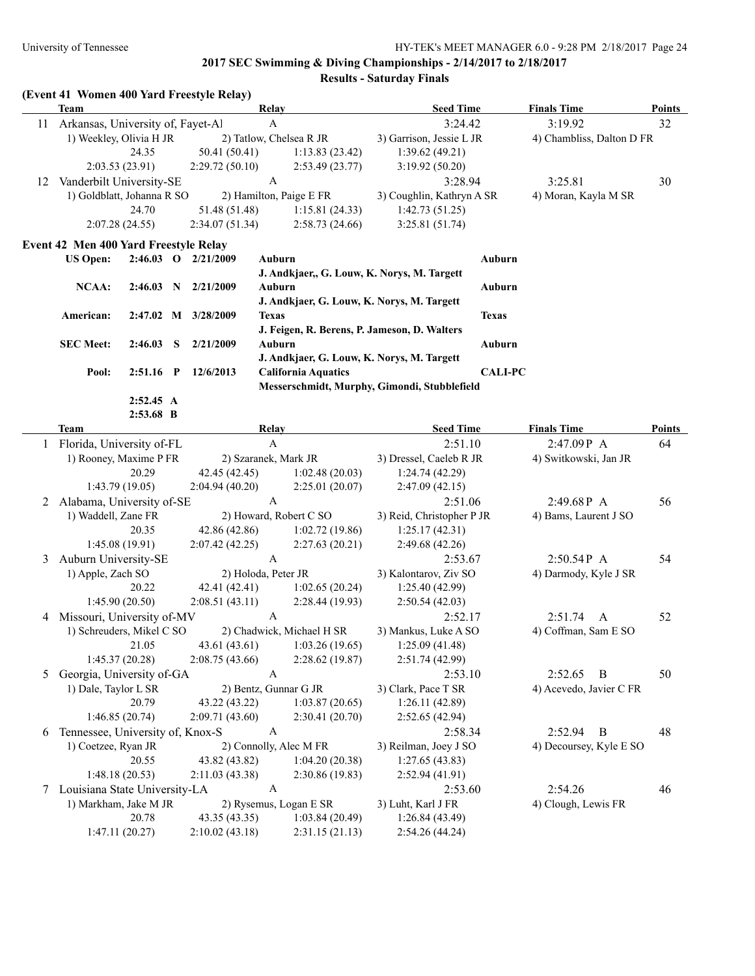**Results - Saturday Finals**

|    | <b>Team</b>                                         |                          |                                                          | (Event 41 Women 400 Yard Freestyle Relay)  |                                       |                                  | <b>Seed Time</b>                             |                | <b>Finals Time</b>        | <b>Points</b> |
|----|-----------------------------------------------------|--------------------------|----------------------------------------------------------|--------------------------------------------|---------------------------------------|----------------------------------|----------------------------------------------|----------------|---------------------------|---------------|
| 11 | Arkansas, University of, Fayet-Al                   |                          |                                                          |                                            | <b>Relay</b><br>$\mathbf{A}$          |                                  |                                              |                | 3:19.92                   | 32            |
|    |                                                     |                          |                                                          |                                            |                                       |                                  | 3:24.42                                      |                |                           |               |
|    | 1) Weekley, Olivia H JR<br>24.35<br>50.41 (50.41)   |                          |                                                          |                                            |                                       | 2) Tatlow, Chelsea R JR          | 3) Garrison, Jessie L JR                     |                | 4) Chambliss, Dalton D FR |               |
|    |                                                     |                          |                                                          |                                            |                                       | 1:13.83(23.42)                   | 1:39.62(49.21)                               |                |                           |               |
|    |                                                     | 2:03.53 (23.91)          |                                                          | 2:29.72(50.10)                             | $\mathbf{A}$                          | 2:53.49(23.77)                   | 3:19.92(50.20)                               |                |                           |               |
| 12 | Vanderbilt University-SE                            |                          |                                                          |                                            |                                       |                                  | 3:28.94                                      |                | 3:25.81                   | 30            |
|    | 1) Goldblatt, Johanna R SO                          |                          |                                                          |                                            |                                       | 2) Hamilton, Paige E FR          | 3) Coughlin, Kathryn A SR                    |                | 4) Moran, Kayla M SR      |               |
|    |                                                     | 24.70                    |                                                          | 51.48 (51.48)                              |                                       | 1:15.81(24.33)                   | 1:42.73(51.25)                               |                |                           |               |
|    |                                                     | 2:07.28 (24.55)          |                                                          | 2:34.07(51.34)                             |                                       | 2:58.73(24.66)                   | 3:25.81(51.74)                               |                |                           |               |
|    | Event 42 Men 400 Yard Freestyle Relay               |                          |                                                          |                                            |                                       |                                  |                                              |                |                           |               |
|    | <b>US Open:</b>                                     |                          |                                                          | 2:46.03 O 2/21/2009                        | Auburn                                |                                  |                                              | Auburn         |                           |               |
|    |                                                     |                          |                                                          |                                            |                                       |                                  | J. Andkjaer,, G. Louw, K. Norys, M. Targett  |                |                           |               |
|    | <b>NCAA:</b>                                        |                          |                                                          | $2:46.03$ N $2/21/2009$                    | Auburn                                |                                  |                                              | Auburn         |                           |               |
|    |                                                     |                          |                                                          |                                            |                                       |                                  | J. Andkjaer, G. Louw, K. Norys, M. Targett   |                |                           |               |
|    | American:                                           |                          |                                                          | 2:47.02 M 3/28/2009                        | <b>Texas</b>                          |                                  |                                              | <b>Texas</b>   |                           |               |
|    |                                                     |                          |                                                          |                                            |                                       |                                  | J. Feigen, R. Berens, P. Jameson, D. Walters |                |                           |               |
|    | <b>SEC Meet:</b>                                    | 2:46.03                  | S                                                        | 2/21/2009                                  | <b>Auburn</b>                         |                                  |                                              | Auburn         |                           |               |
|    |                                                     |                          |                                                          |                                            |                                       |                                  | J. Andkjaer, G. Louw, K. Norys, M. Targett   |                |                           |               |
|    | Pool:                                               | $2:51.16$ P              |                                                          | 12/6/2013                                  |                                       | <b>California Aquatics</b>       |                                              | <b>CALI-PC</b> |                           |               |
|    |                                                     |                          |                                                          |                                            |                                       |                                  | Messerschmidt, Murphy, Gimondi, Stubblefield |                |                           |               |
|    |                                                     | 2:52.45 A<br>$2:53.68$ B |                                                          |                                            |                                       |                                  |                                              |                |                           |               |
|    | <b>Team</b>                                         |                          |                                                          |                                            | Relay                                 |                                  | <b>Seed Time</b>                             |                | <b>Finals Time</b>        | Points        |
|    |                                                     |                          |                                                          |                                            | $\mathbf{A}$                          |                                  | 2:51.10                                      |                | 2:47.09P A                | 64            |
|    | Florida, University of-FL<br>1) Rooney, Maxime P FR |                          |                                                          |                                            |                                       | 2) Szaranek, Mark JR             | 3) Dressel, Caeleb R JR                      |                |                           |               |
|    |                                                     | 20.29                    |                                                          |                                            |                                       |                                  |                                              |                | 4) Switkowski, Jan JR     |               |
|    |                                                     | 1:43.79 (19.05)          |                                                          | 42.45 (42.45)<br>2:04.94(40.20)            |                                       | 1:02.48(20.03)<br>2:25.01(20.07) | 1:24.74(42.29)                               |                |                           |               |
|    |                                                     |                          |                                                          |                                            | $\mathbf{A}$                          |                                  | 2:47.09(42.15)                               |                | 2:49.68P A                | 56            |
| 2  | Alabama, University of-SE                           |                          |                                                          |                                            |                                       | 2) Howard, Robert C SO           | 2:51.06                                      |                |                           |               |
|    | 1) Waddell, Zane FR<br>20.35                        |                          |                                                          |                                            |                                       |                                  | 3) Reid, Christopher P JR<br>1:25.17(42.31)  |                | 4) Bams, Laurent J SO     |               |
|    |                                                     |                          |                                                          | 42.86 (42.86)                              |                                       | 1:02.72(19.86)                   |                                              |                |                           |               |
|    |                                                     | 1:45.08(19.91)           |                                                          | 2:07.42(42.25)                             | $\mathbf{A}$                          | 2:27.63(20.21)                   | 2:49.68(42.26)                               |                |                           |               |
| 3  | Auburn University-SE                                |                          |                                                          |                                            |                                       |                                  | 2:53.67                                      |                | 2:50.54P A                | 54            |
|    | 1) Apple, Zach SO                                   |                          |                                                          | 2) Holoda, Peter JR                        |                                       |                                  | 3) Kalontarov, Ziv SO                        |                | 4) Darmody, Kyle J SR     |               |
|    | 20.22<br>1:45.90 (20.50)                            |                          |                                                          | 42.41 (42.41)                              |                                       | 1:02.65(20.24)                   | 1:25.40(42.99)                               |                |                           |               |
|    |                                                     |                          |                                                          | 2:08.51(43.11)                             | A                                     | 2:28.44 (19.93)                  | 2:50.54(42.03)                               |                |                           |               |
| 4  | Missouri, University of-MV                          |                          |                                                          |                                            |                                       |                                  | 2:52.17                                      |                | 2:51.74<br>A              | 52            |
|    | 1) Schreuders, Mikel C SO                           |                          |                                                          | 2) Chadwick, Michael H SR<br>43.61 (43.61) |                                       |                                  | 3) Mankus, Luke A SO                         |                | 4) Coffman, Sam E SO      |               |
|    |                                                     | 21.05                    |                                                          | 2:08.75(43.66)                             |                                       | 1:03.26(19.65)                   | 1:25.09(41.48)                               |                |                           |               |
|    |                                                     | 1:45.37(20.28)           |                                                          |                                            |                                       | 2:28.62 (19.87)                  | 2:51.74 (42.99)                              |                |                           |               |
| 5  | Georgia, University of-GA                           |                          |                                                          | A                                          |                                       |                                  | 2:53.10<br>2:52.65<br>B                      |                | 50                        |               |
|    | 1) Dale, Taylor L SR<br>20.79                       |                          | 2) Bentz, Gunnar G JR<br>43.22 (43.22)<br>1:03.87(20.65) |                                            | 3) Clark, Pace T SR<br>1:26.11(42.89) |                                  | 4) Acevedo, Javier C FR                      |                |                           |               |
|    |                                                     |                          |                                                          |                                            |                                       |                                  |                                              |                |                           |               |
|    |                                                     | 1:46.85 (20.74)          |                                                          | 2:09.71(43.60)                             |                                       | 2:30.41(20.70)                   | 2:52.65(42.94)                               |                |                           |               |
| 6  | Tennessee, University of, Knox-S                    |                          |                                                          |                                            |                                       | $\mathbf{A}$<br>2:58.34          |                                              |                | 2:52.94<br>B              | 48            |
|    | 1) Coetzee, Ryan JR                                 |                          |                                                          | 2) Connolly, Alec M FR                     |                                       |                                  | 3) Reilman, Joey J SO                        |                | 4) Decoursey, Kyle E SO   |               |
|    |                                                     | 20.55                    |                                                          | 43.82 (43.82)                              |                                       | 1:04.20(20.38)                   | 1:27.65(43.83)                               |                |                           |               |
|    |                                                     | 1:48.18(20.53)           |                                                          | 2:11.03(43.38)                             |                                       | 2:30.86 (19.83)                  | 2:52.94(41.91)                               |                |                           |               |
|    | 7 Louisiana State University-LA                     |                          |                                                          |                                            | $\mathbf{A}$                          |                                  | 2:54.26<br>2:53.60                           |                |                           | 46            |
|    | 1) Markham, Jake M JR                               |                          |                                                          |                                            |                                       | 2) Rysemus, Logan E SR           | 3) Luht, Karl J FR<br>4) Clough, Lewis FR    |                |                           |               |
|    |                                                     | 20.78                    |                                                          | 43.35 (43.35)                              |                                       | 1:03.84(20.49)                   | 1:26.84(43.49)                               |                |                           |               |
|    |                                                     | 1:47.11(20.27)           |                                                          | 2:10.02(43.18)                             |                                       | 2:31.15(21.13)                   | 2:54.26 (44.24)                              |                |                           |               |